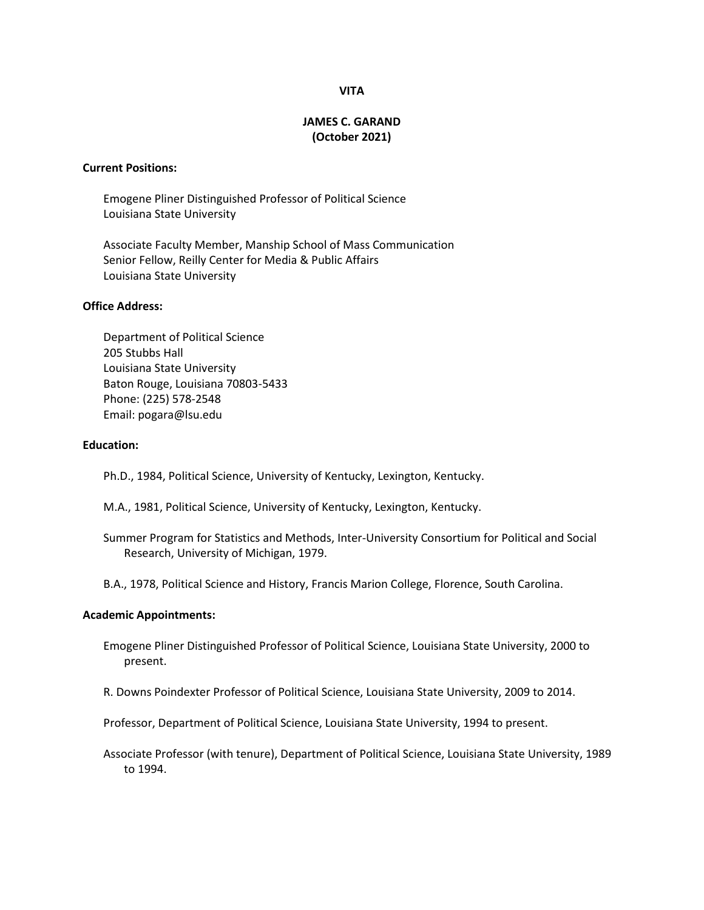## **VITA**

# **JAMES C. GARAND (October 2021)**

### **Current Positions:**

Emogene Pliner Distinguished Professor of Political Science Louisiana State University

Associate Faculty Member, Manship School of Mass Communication Senior Fellow, Reilly Center for Media & Public Affairs Louisiana State University

# **Office Address:**

Department of Political Science 205 Stubbs Hall Louisiana State University Baton Rouge, Louisiana 70803-5433 Phone: (225) 578-2548 Email: pogara@lsu.edu

### **Education:**

Ph.D., 1984, Political Science, University of Kentucky, Lexington, Kentucky.

- M.A., 1981, Political Science, University of Kentucky, Lexington, Kentucky.
- Summer Program for Statistics and Methods, Inter-University Consortium for Political and Social Research, University of Michigan, 1979.

B.A., 1978, Political Science and History, Francis Marion College, Florence, South Carolina.

### **Academic Appointments:**

Emogene Pliner Distinguished Professor of Political Science, Louisiana State University, 2000 to present.

R. Downs Poindexter Professor of Political Science, Louisiana State University, 2009 to 2014.

Professor, Department of Political Science, Louisiana State University, 1994 to present.

Associate Professor (with tenure), Department of Political Science, Louisiana State University, 1989 to 1994.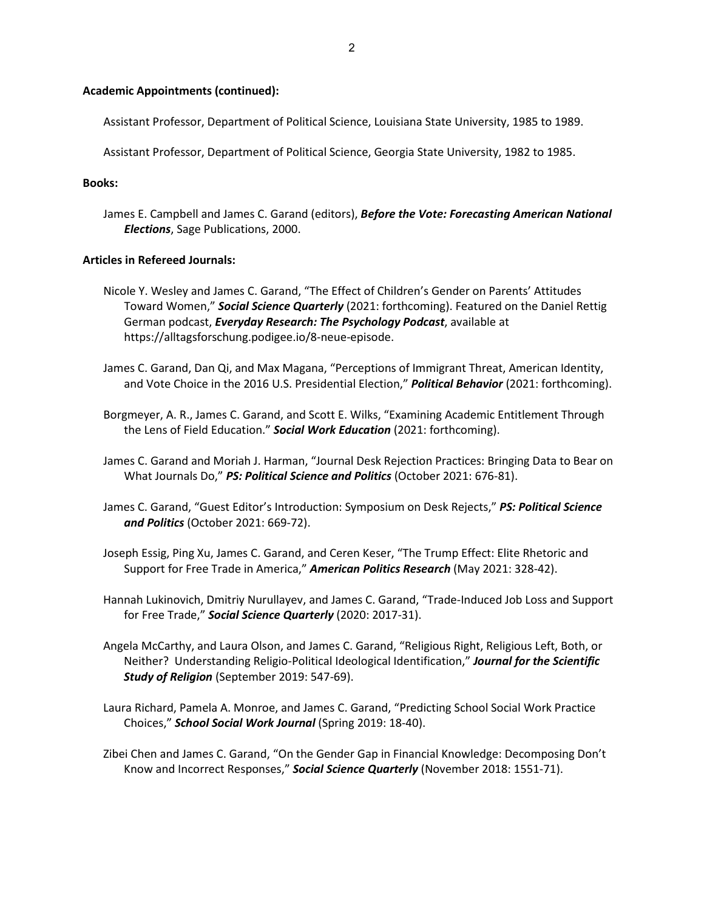# **Academic Appointments (continued):**

Assistant Professor, Department of Political Science, Louisiana State University, 1985 to 1989.

Assistant Professor, Department of Political Science, Georgia State University, 1982 to 1985.

# **Books:**

James E. Campbell and James C. Garand (editors), *Before the Vote: Forecasting American National Elections*, Sage Publications, 2000.

### **Articles in Refereed Journals:**

- Nicole Y. Wesley and James C. Garand, "The Effect of Children's Gender on Parents' Attitudes Toward Women," *Social Science Quarterly* (2021: forthcoming). Featured on the Daniel Rettig German podcast, *Everyday Research: The Psychology Podcast*, available at https://alltagsforschung.podigee.io/8-neue-episode.
- James C. Garand, Dan Qi, and Max Magana, "Perceptions of Immigrant Threat, American Identity, and Vote Choice in the 2016 U.S. Presidential Election," *Political Behavior* (2021: forthcoming).
- Borgmeyer, A. R., James C. Garand, and Scott E. Wilks, "Examining Academic Entitlement Through the Lens of Field Education." *Social Work Education* (2021: forthcoming).
- James C. Garand and Moriah J. Harman, "Journal Desk Rejection Practices: Bringing Data to Bear on What Journals Do," *PS: Political Science and Politics* (October 2021: 676-81).
- James C. Garand, "Guest Editor's Introduction: Symposium on Desk Rejects," *PS: Political Science and Politics* (October 2021: 669-72).
- Joseph Essig, Ping Xu, James C. Garand, and Ceren Keser, "The Trump Effect: Elite Rhetoric and Support for Free Trade in America," *American Politics Research* (May 2021: 328-42).
- Hannah Lukinovich, Dmitriy Nurullayev, and James C. Garand, "Trade-Induced Job Loss and Support for Free Trade," *Social Science Quarterly* (2020: 2017-31).
- Angela McCarthy, and Laura Olson, and James C. Garand, "Religious Right, Religious Left, Both, or Neither? Understanding Religio-Political Ideological Identification," *Journal for the Scientific Study of Religion* (September 2019: 547-69).
- Laura Richard, Pamela A. Monroe, and James C. Garand, "Predicting School Social Work Practice Choices," *School Social Work Journal* (Spring 2019: 18-40).
- Zibei Chen and James C. Garand, "On the Gender Gap in Financial Knowledge: Decomposing Don't Know and Incorrect Responses," *Social Science Quarterly* (November 2018: 1551-71).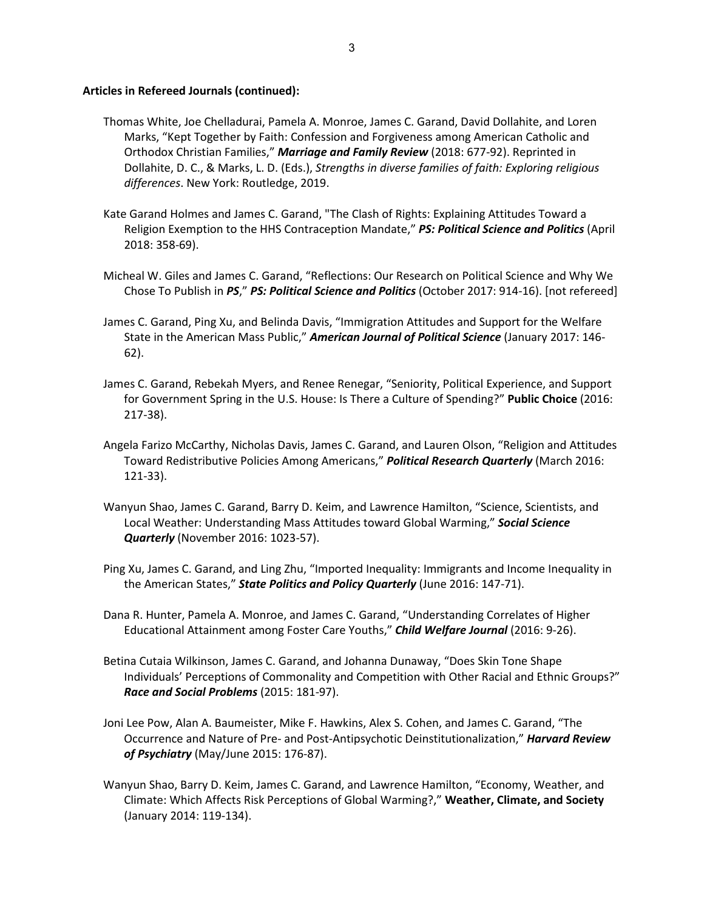- Thomas White, Joe Chelladurai, Pamela A. Monroe, James C. Garand, David Dollahite, and Loren Marks, "Kept Together by Faith: Confession and Forgiveness among American Catholic and Orthodox Christian Families," *Marriage and Family Review* (2018: 677-92). Reprinted in Dollahite, D. C., & Marks, L. D. (Eds.), *Strengths in diverse families of faith: Exploring religious differences*. New York: Routledge, 2019.
- Kate Garand Holmes and James C. Garand, "The Clash of Rights: Explaining Attitudes Toward a Religion Exemption to the HHS Contraception Mandate," *PS: Political Science and Politics* (April 2018: 358-69).
- Micheal W. Giles and James C. Garand, "Reflections: Our Research on Political Science and Why We Chose To Publish in *PS*," *PS: Political Science and Politics* (October 2017: 914-16). [not refereed]
- James C. Garand, Ping Xu, and Belinda Davis, "Immigration Attitudes and Support for the Welfare State in the American Mass Public," *American Journal of Political Science* (January 2017: 146- 62).
- James C. Garand, Rebekah Myers, and Renee Renegar, "Seniority, Political Experience, and Support for Government Spring in the U.S. House: Is There a Culture of Spending?" **Public Choice** (2016: 217-38).
- Angela Farizo McCarthy, Nicholas Davis, James C. Garand, and Lauren Olson, "Religion and Attitudes Toward Redistributive Policies Among Americans," *Political Research Quarterly* (March 2016: 121-33).
- Wanyun Shao, James C. Garand, Barry D. Keim, and Lawrence Hamilton, "Science, Scientists, and Local Weather: Understanding Mass Attitudes toward Global Warming," *Social Science Quarterly* (November 2016: 1023-57).
- Ping Xu, James C. Garand, and Ling Zhu, "Imported Inequality: Immigrants and Income Inequality in the American States," *State Politics and Policy Quarterly* (June 2016: 147-71).
- Dana R. Hunter, Pamela A. Monroe, and James C. Garand, "Understanding Correlates of Higher Educational Attainment among Foster Care Youths," *Child Welfare Journal* (2016: 9-26).
- Betina Cutaia Wilkinson, James C. Garand, and Johanna Dunaway, "Does Skin Tone Shape Individuals' Perceptions of Commonality and Competition with Other Racial and Ethnic Groups?" *Race and Social Problems* (2015: 181-97).
- Joni Lee Pow, Alan A. Baumeister, Mike F. Hawkins, Alex S. Cohen, and James C. Garand, "The Occurrence and Nature of Pre- and Post-Antipsychotic Deinstitutionalization," *Harvard Review of Psychiatry* (May/June 2015: 176-87).
- Wanyun Shao, Barry D. Keim, James C. Garand, and Lawrence Hamilton, "Economy, Weather, and Climate: Which Affects Risk Perceptions of Global Warming?," **Weather, Climate, and Society** (January 2014: 119-134).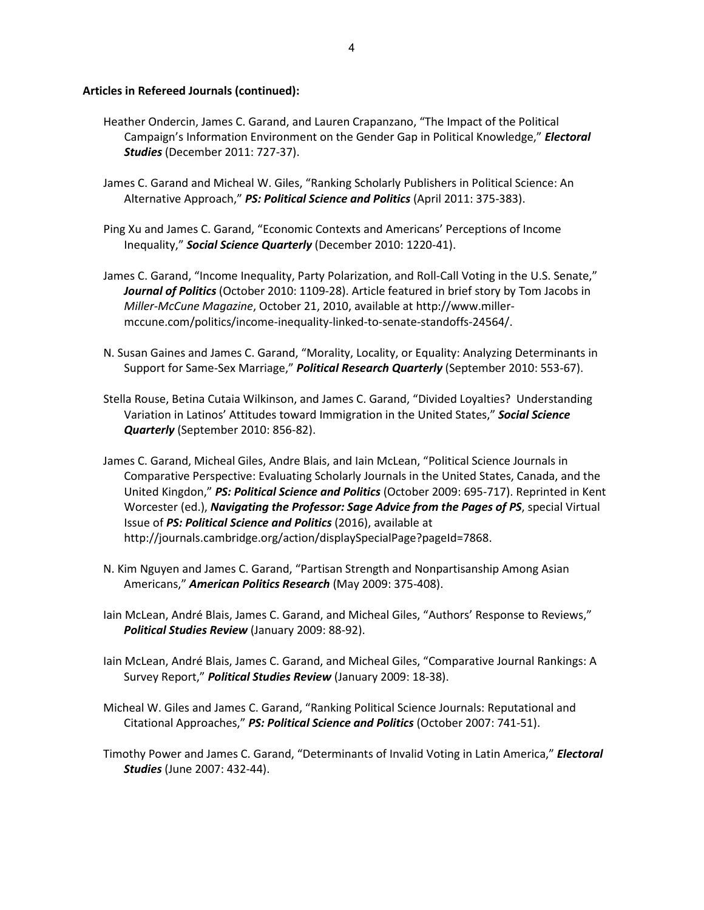- Heather Ondercin, James C. Garand, and Lauren Crapanzano, "The Impact of the Political Campaign's Information Environment on the Gender Gap in Political Knowledge," *Electoral Studies* (December 2011: 727-37).
- James C. Garand and Micheal W. Giles, "Ranking Scholarly Publishers in Political Science: An Alternative Approach," *PS: Political Science and Politics* (April 2011: 375-383).
- Ping Xu and James C. Garand, "Economic Contexts and Americans' Perceptions of Income Inequality," *Social Science Quarterly* (December 2010: 1220-41).
- James C. Garand, "Income Inequality, Party Polarization, and Roll-Call Voting in the U.S. Senate," *Journal of Politics* (October 2010: 1109-28). Article featured in brief story by Tom Jacobs in *Miller-McCune Magazine*, October 21, 2010, available at http://www.millermccune.com/politics/income-inequality-linked-to-senate-standoffs-24564/.
- N. Susan Gaines and James C. Garand, "Morality, Locality, or Equality: Analyzing Determinants in Support for Same-Sex Marriage," *Political Research Quarterly* (September 2010: 553-67).
- Stella Rouse, Betina Cutaia Wilkinson, and James C. Garand, "Divided Loyalties? Understanding Variation in Latinos' Attitudes toward Immigration in the United States," *Social Science Quarterly* (September 2010: 856-82).
- James C. Garand, Micheal Giles, Andre Blais, and Iain McLean, "Political Science Journals in Comparative Perspective: Evaluating Scholarly Journals in the United States, Canada, and the United Kingdon," *PS: Political Science and Politics* (October 2009: 695-717). Reprinted in Kent Worcester (ed.), *Navigating the Professor: Sage Advice from the Pages of PS*, special Virtual Issue of *PS: Political Science and Politics* (2016), available at http://journals.cambridge.org/action/displaySpecialPage?pageId=7868.
- N. Kim Nguyen and James C. Garand, "Partisan Strength and Nonpartisanship Among Asian Americans," *American Politics Research* (May 2009: 375-408).
- Iain McLean, André Blais, James C. Garand, and Micheal Giles, "Authors' Response to Reviews," *Political Studies Review* (January 2009: 88-92).
- Iain McLean, André Blais, James C. Garand, and Micheal Giles, "Comparative Journal Rankings: A Survey Report," *Political Studies Review* (January 2009: 18-38).
- Micheal W. Giles and James C. Garand, "Ranking Political Science Journals: Reputational and Citational Approaches," *PS: Political Science and Politics* (October 2007: 741-51).
- Timothy Power and James C. Garand, "Determinants of Invalid Voting in Latin America," *Electoral Studies* (June 2007: 432-44).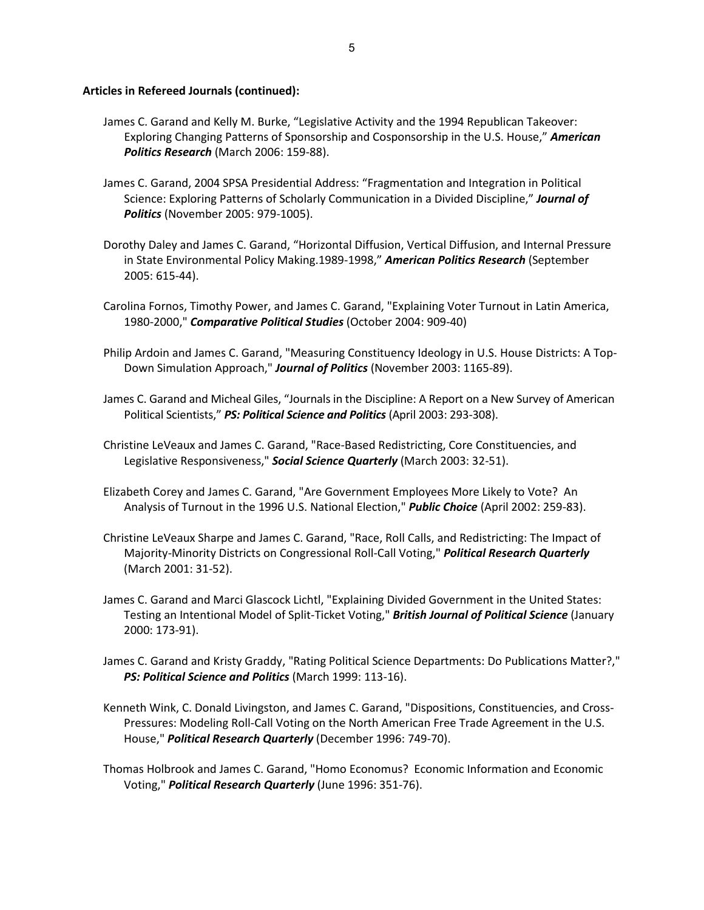- James C. Garand and Kelly M. Burke, "Legislative Activity and the 1994 Republican Takeover: Exploring Changing Patterns of Sponsorship and Cosponsorship in the U.S. House," *American Politics Research* (March 2006: 159-88).
- James C. Garand, 2004 SPSA Presidential Address: "Fragmentation and Integration in Political Science: Exploring Patterns of Scholarly Communication in a Divided Discipline," *Journal of Politics* (November 2005: 979-1005).
- Dorothy Daley and James C. Garand, "Horizontal Diffusion, Vertical Diffusion, and Internal Pressure in State Environmental Policy Making.1989-1998," *American Politics Research* (September 2005: 615-44).
- Carolina Fornos, Timothy Power, and James C. Garand, "Explaining Voter Turnout in Latin America, 1980-2000," *Comparative Political Studies* (October 2004: 909-40)
- Philip Ardoin and James C. Garand, "Measuring Constituency Ideology in U.S. House Districts: A Top-Down Simulation Approach," *Journal of Politics* (November 2003: 1165-89).
- James C. Garand and Micheal Giles, "Journals in the Discipline: A Report on a New Survey of American Political Scientists," *PS: Political Science and Politics* (April 2003: 293-308).
- Christine LeVeaux and James C. Garand, "Race-Based Redistricting, Core Constituencies, and Legislative Responsiveness," *Social Science Quarterly* (March 2003: 32-51).
- Elizabeth Corey and James C. Garand, "Are Government Employees More Likely to Vote? An Analysis of Turnout in the 1996 U.S. National Election," *Public Choice* (April 2002: 259-83).
- Christine LeVeaux Sharpe and James C. Garand, "Race, Roll Calls, and Redistricting: The Impact of Majority-Minority Districts on Congressional Roll-Call Voting," *Political Research Quarterly* (March 2001: 31-52).
- James C. Garand and Marci Glascock Lichtl, "Explaining Divided Government in the United States: Testing an Intentional Model of Split-Ticket Voting," *British Journal of Political Science* (January 2000: 173-91).
- James C. Garand and Kristy Graddy, "Rating Political Science Departments: Do Publications Matter?," *PS: Political Science and Politics* (March 1999: 113-16).
- Kenneth Wink, C. Donald Livingston, and James C. Garand, "Dispositions, Constituencies, and Cross-Pressures: Modeling Roll-Call Voting on the North American Free Trade Agreement in the U.S. House," *Political Research Quarterly* (December 1996: 749-70).
- Thomas Holbrook and James C. Garand, "Homo Economus? Economic Information and Economic Voting," *Political Research Quarterly* (June 1996: 351-76).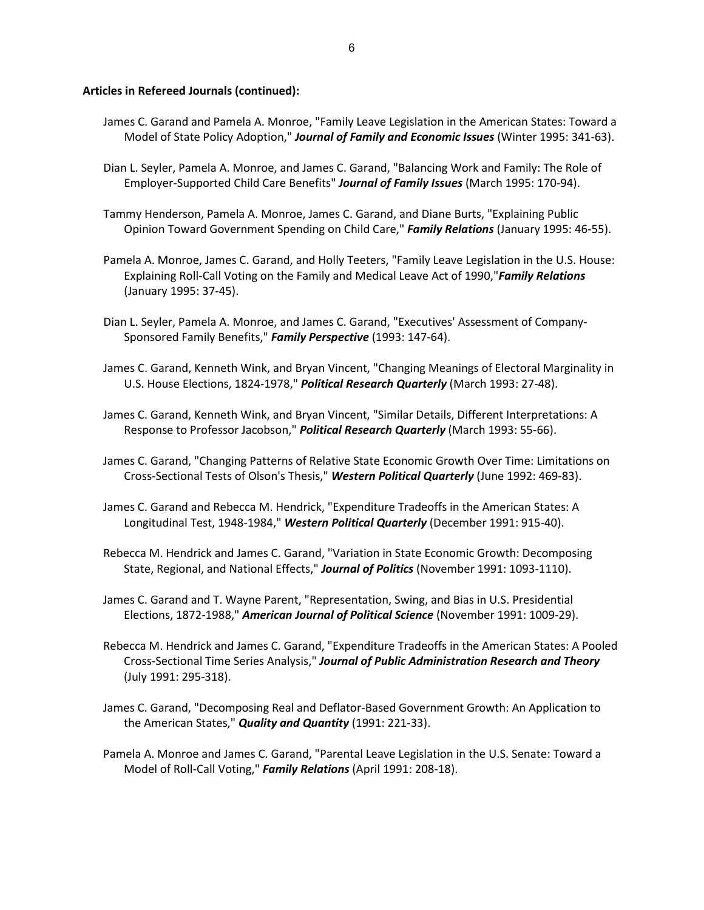- James C. Garand and Pamela A. Monroe, "Family Leave Legislation in the American States: Toward a Model of State Policy Adoption," *Journal of Family and Economic Issues* (Winter 1995: 341-63).
- Dian L. Seyler, Pamela A. Monroe, and James C. Garand, "Balancing Work and Family: The Role of Employer-Supported Child Care Benefits" *Journal of Family Issues* (March 1995: 170-94).
- Tammy Henderson, Pamela A. Monroe, James C. Garand, and Diane Burts, "Explaining Public Opinion Toward Government Spending on Child Care," *Family Relations* (January 1995: 46-55).
- Pamela A. Monroe, James C. Garand, and Holly Teeters, "Family Leave Legislation in the U.S. House: Explaining Roll-Call Voting on the Family and Medical Leave Act of 1990,"*Family Relations* (January 1995: 37-45).
- Dian L. Seyler, Pamela A. Monroe, and James C. Garand, "Executives' Assessment of Company-Sponsored Family Benefits," *Family Perspective* (1993: 147-64).
- James C. Garand, Kenneth Wink, and Bryan Vincent, "Changing Meanings of Electoral Marginality in U.S. House Elections, 1824-1978," *Political Research Quarterly* (March 1993: 27-48).
- James C. Garand, Kenneth Wink, and Bryan Vincent, "Similar Details, Different Interpretations: A Response to Professor Jacobson," *Political Research Quarterly* (March 1993: 55-66).
- James C. Garand, "Changing Patterns of Relative State Economic Growth Over Time: Limitations on Cross-Sectional Tests of Olson's Thesis," *Western Political Quarterly* (June 1992: 469-83).
- James C. Garand and Rebecca M. Hendrick, "Expenditure Tradeoffs in the American States: A Longitudinal Test, 1948-1984," *Western Political Quarterly* (December 1991: 915-40).
- Rebecca M. Hendrick and James C. Garand, "Variation in State Economic Growth: Decomposing State, Regional, and National Effects," *Journal of Politics* (November 1991: 1093-1110).
- James C. Garand and T. Wayne Parent, "Representation, Swing, and Bias in U.S. Presidential Elections, 1872-1988," *American Journal of Political Science* (November 1991: 1009-29).
- Rebecca M. Hendrick and James C. Garand, "Expenditure Tradeoffs in the American States: A Pooled Cross-Sectional Time Series Analysis," *Journal of Public Administration Research and Theory* (July 1991: 295-318).
- James C. Garand, "Decomposing Real and Deflator-Based Government Growth: An Application to the American States," *Quality and Quantity* (1991: 221-33).
- Pamela A. Monroe and James C. Garand, "Parental Leave Legislation in the U.S. Senate: Toward a Model of Roll-Call Voting," *Family Relations* (April 1991: 208-18).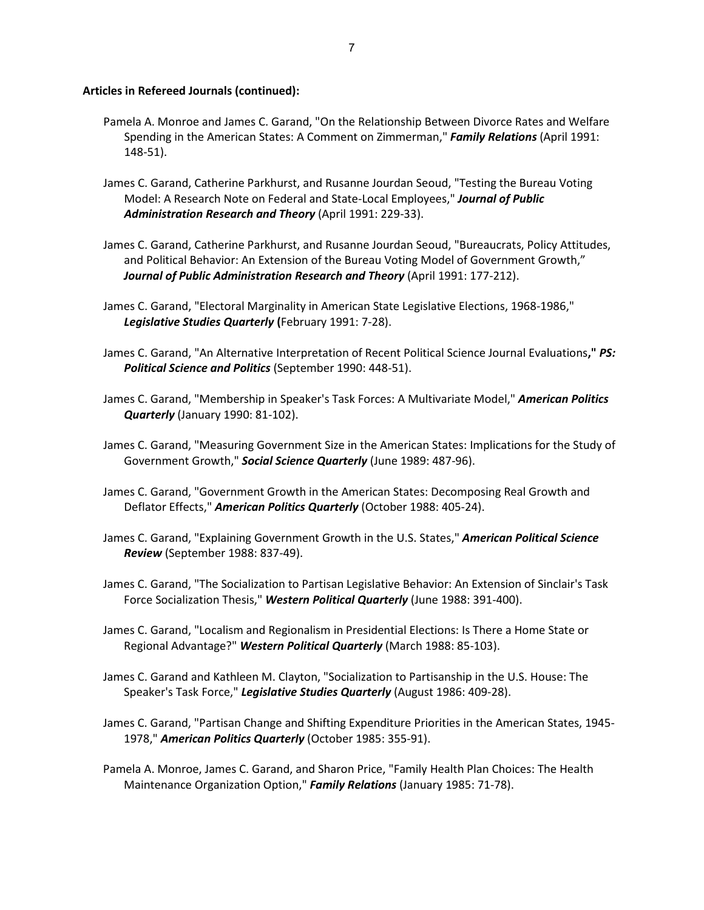- Pamela A. Monroe and James C. Garand, "On the Relationship Between Divorce Rates and Welfare Spending in the American States: A Comment on Zimmerman," *Family Relations* (April 1991: 148-51).
- James C. Garand, Catherine Parkhurst, and Rusanne Jourdan Seoud, "Testing the Bureau Voting Model: A Research Note on Federal and State-Local Employees," *Journal of Public Administration Research and Theory* (April 1991: 229-33).
- James C. Garand, Catherine Parkhurst, and Rusanne Jourdan Seoud, "Bureaucrats, Policy Attitudes, and Political Behavior: An Extension of the Bureau Voting Model of Government Growth," *Journal of Public Administration Research and Theory* (April 1991: 177-212).
- James C. Garand, "Electoral Marginality in American State Legislative Elections, 1968-1986," *Legislative Studies Quarterly* **(**February 1991: 7-28).
- James C. Garand, "An Alternative Interpretation of Recent Political Science Journal Evaluations**,"** *PS: Political Science and Politics* (September 1990: 448-51).
- James C. Garand, "Membership in Speaker's Task Forces: A Multivariate Model," *American Politics Quarterly* (January 1990: 81-102).
- James C. Garand, "Measuring Government Size in the American States: Implications for the Study of Government Growth," *Social Science Quarterly* (June 1989: 487-96).
- James C. Garand, "Government Growth in the American States: Decomposing Real Growth and Deflator Effects," *American Politics Quarterly* (October 1988: 405-24).
- James C. Garand, "Explaining Government Growth in the U.S. States," *American Political Science Review* (September 1988: 837-49).
- James C. Garand, "The Socialization to Partisan Legislative Behavior: An Extension of Sinclair's Task Force Socialization Thesis," *Western Political Quarterly* (June 1988: 391-400).
- James C. Garand, "Localism and Regionalism in Presidential Elections: Is There a Home State or Regional Advantage?" *Western Political Quarterly* (March 1988: 85-103).
- James C. Garand and Kathleen M. Clayton, "Socialization to Partisanship in the U.S. House: The Speaker's Task Force," *Legislative Studies Quarterly* (August 1986: 409-28).
- James C. Garand, "Partisan Change and Shifting Expenditure Priorities in the American States, 1945- 1978," *American Politics Quarterly* (October 1985: 355-91).
- Pamela A. Monroe, James C. Garand, and Sharon Price, "Family Health Plan Choices: The Health Maintenance Organization Option," *Family Relations* (January 1985: 71-78).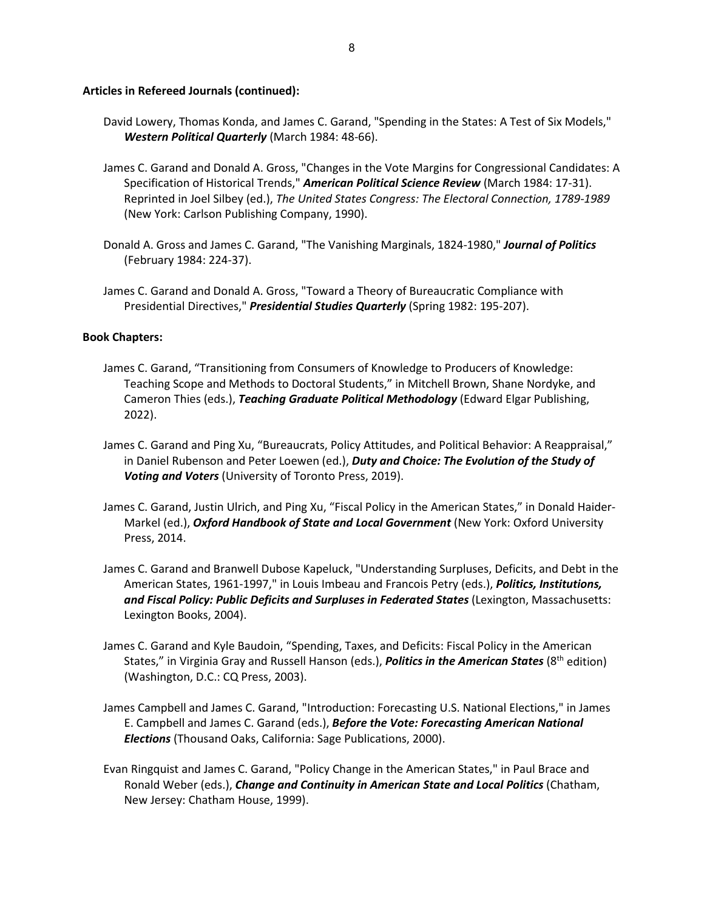- David Lowery, Thomas Konda, and James C. Garand, "Spending in the States: A Test of Six Models," *Western Political Quarterly* (March 1984: 48-66).
- James C. Garand and Donald A. Gross, "Changes in the Vote Margins for Congressional Candidates: A Specification of Historical Trends," *American Political Science Review* (March 1984: 17-31). Reprinted in Joel Silbey (ed.), *The United States Congress: The Electoral Connection, 1789-1989* (New York: Carlson Publishing Company, 1990).
- Donald A. Gross and James C. Garand, "The Vanishing Marginals, 1824-1980," *Journal of Politics* (February 1984: 224-37).
- James C. Garand and Donald A. Gross, "Toward a Theory of Bureaucratic Compliance with Presidential Directives," *Presidential Studies Quarterly* (Spring 1982: 195-207).

### **Book Chapters:**

- James C. Garand, "Transitioning from Consumers of Knowledge to Producers of Knowledge: Teaching Scope and Methods to Doctoral Students," in Mitchell Brown, Shane Nordyke, and Cameron Thies (eds.), *Teaching Graduate Political Methodology* (Edward Elgar Publishing, 2022).
- James C. Garand and Ping Xu, "Bureaucrats, Policy Attitudes, and Political Behavior: A Reappraisal," in Daniel Rubenson and Peter Loewen (ed.), *Duty and Choice: The Evolution of the Study of Voting and Voters* (University of Toronto Press, 2019).
- James C. Garand, Justin Ulrich, and Ping Xu, "Fiscal Policy in the American States," in Donald Haider-Markel (ed.), *Oxford Handbook of State and Local Government* (New York: Oxford University Press, 2014.
- James C. Garand and Branwell Dubose Kapeluck, "Understanding Surpluses, Deficits, and Debt in the American States, 1961-1997," in Louis Imbeau and Francois Petry (eds.), *Politics, Institutions, and Fiscal Policy: Public Deficits and Surpluses in Federated States* (Lexington, Massachusetts: Lexington Books, 2004).
- James C. Garand and Kyle Baudoin, "Spending, Taxes, and Deficits: Fiscal Policy in the American States," in Virginia Gray and Russell Hanson (eds.), *Politics in the American States* (8th edition) (Washington, D.C.: CQ Press, 2003).
- James Campbell and James C. Garand, "Introduction: Forecasting U.S. National Elections," in James E. Campbell and James C. Garand (eds.), *Before the Vote: Forecasting American National Elections* (Thousand Oaks, California: Sage Publications, 2000).
- Evan Ringquist and James C. Garand, "Policy Change in the American States," in Paul Brace and Ronald Weber (eds.), *Change and Continuity in American State and Local Politics* (Chatham, New Jersey: Chatham House, 1999).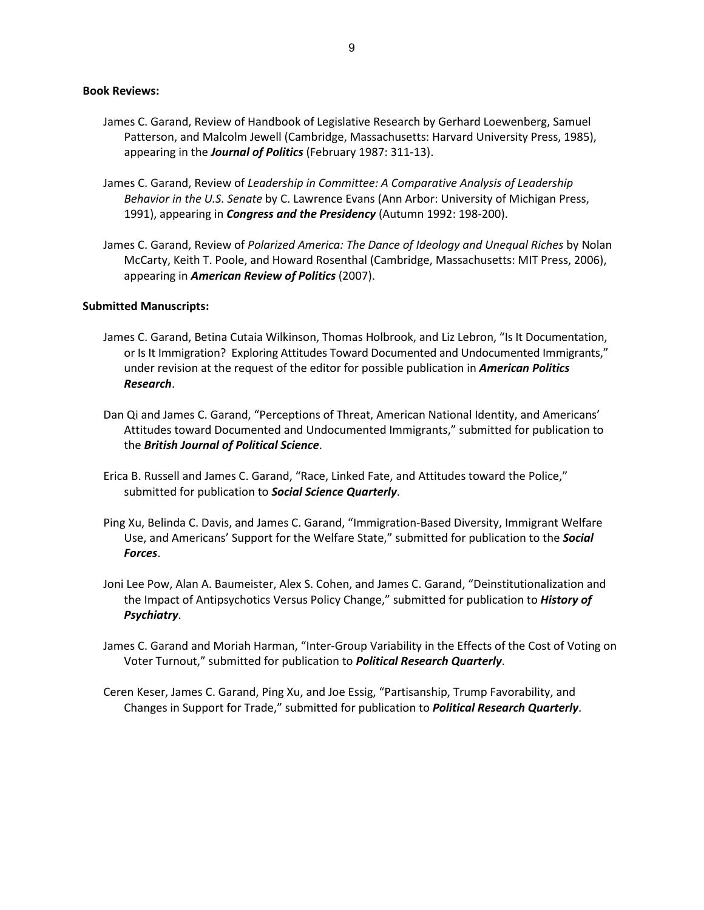#### **Book Reviews:**

- James C. Garand, Review of Handbook of Legislative Research by Gerhard Loewenberg, Samuel Patterson, and Malcolm Jewell (Cambridge, Massachusetts: Harvard University Press, 1985), appearing in the *Journal of Politics* (February 1987: 311-13).
- James C. Garand, Review of *Leadership in Committee: A Comparative Analysis of Leadership Behavior in the U.S. Senate* by C. Lawrence Evans (Ann Arbor: University of Michigan Press, 1991), appearing in *Congress and the Presidency* (Autumn 1992: 198-200).
- James C. Garand, Review of *Polarized America: The Dance of Ideology and Unequal Riches* by Nolan McCarty, Keith T. Poole, and Howard Rosenthal (Cambridge, Massachusetts: MIT Press, 2006), appearing in *American Review of Politics* (2007).

#### **Submitted Manuscripts:**

- James C. Garand, Betina Cutaia Wilkinson, Thomas Holbrook, and Liz Lebron, "Is It Documentation, or Is It Immigration? Exploring Attitudes Toward Documented and Undocumented Immigrants," under revision at the request of the editor for possible publication in *American Politics Research*.
- Dan Qi and James C. Garand, "Perceptions of Threat, American National Identity, and Americans' Attitudes toward Documented and Undocumented Immigrants," submitted for publication to the *British Journal of Political Science*.
- Erica B. Russell and James C. Garand, "Race, Linked Fate, and Attitudes toward the Police," submitted for publication to *Social Science Quarterly*.
- Ping Xu, Belinda C. Davis, and James C. Garand, "Immigration-Based Diversity, Immigrant Welfare Use, and Americans' Support for the Welfare State," submitted for publication to the *Social Forces*.
- Joni Lee Pow, Alan A. Baumeister, Alex S. Cohen, and James C. Garand, "Deinstitutionalization and the Impact of Antipsychotics Versus Policy Change," submitted for publication to *History of Psychiatry*.
- James C. Garand and Moriah Harman, "Inter-Group Variability in the Effects of the Cost of Voting on Voter Turnout," submitted for publication to *Political Research Quarterly*.
- Ceren Keser, James C. Garand, Ping Xu, and Joe Essig, "Partisanship, Trump Favorability, and Changes in Support for Trade," submitted for publication to *Political Research Quarterly*.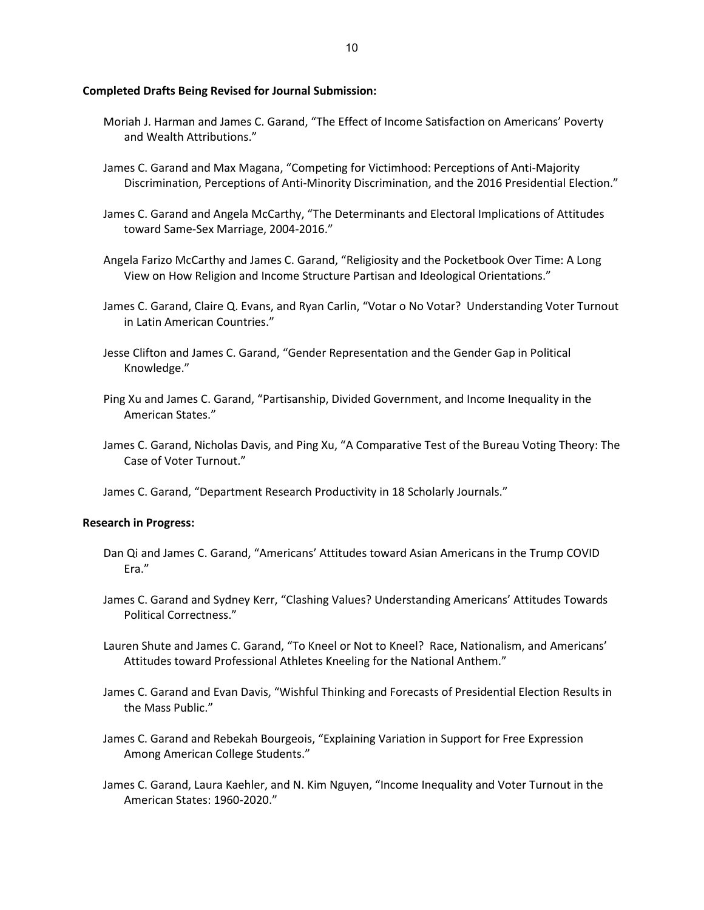## **Completed Drafts Being Revised for Journal Submission:**

- Moriah J. Harman and James C. Garand, "The Effect of Income Satisfaction on Americans' Poverty and Wealth Attributions."
- James C. Garand and Max Magana, "Competing for Victimhood: Perceptions of Anti-Majority Discrimination, Perceptions of Anti-Minority Discrimination, and the 2016 Presidential Election."
- James C. Garand and Angela McCarthy, "The Determinants and Electoral Implications of Attitudes toward Same-Sex Marriage, 2004-2016."
- Angela Farizo McCarthy and James C. Garand, "Religiosity and the Pocketbook Over Time: A Long View on How Religion and Income Structure Partisan and Ideological Orientations."
- James C. Garand, Claire Q. Evans, and Ryan Carlin, "Votar o No Votar? Understanding Voter Turnout in Latin American Countries."
- Jesse Clifton and James C. Garand, "Gender Representation and the Gender Gap in Political Knowledge."
- Ping Xu and James C. Garand, "Partisanship, Divided Government, and Income Inequality in the American States."
- James C. Garand, Nicholas Davis, and Ping Xu, "A Comparative Test of the Bureau Voting Theory: The Case of Voter Turnout."

James C. Garand, "Department Research Productivity in 18 Scholarly Journals."

#### **Research in Progress:**

- Dan Qi and James C. Garand, "Americans' Attitudes toward Asian Americans in the Trump COVID Era."
- James C. Garand and Sydney Kerr, "Clashing Values? Understanding Americans' Attitudes Towards Political Correctness."
- Lauren Shute and James C. Garand, "To Kneel or Not to Kneel? Race, Nationalism, and Americans' Attitudes toward Professional Athletes Kneeling for the National Anthem."
- James C. Garand and Evan Davis, "Wishful Thinking and Forecasts of Presidential Election Results in the Mass Public."
- James C. Garand and Rebekah Bourgeois, "Explaining Variation in Support for Free Expression Among American College Students."
- James C. Garand, Laura Kaehler, and N. Kim Nguyen, "Income Inequality and Voter Turnout in the American States: 1960-2020."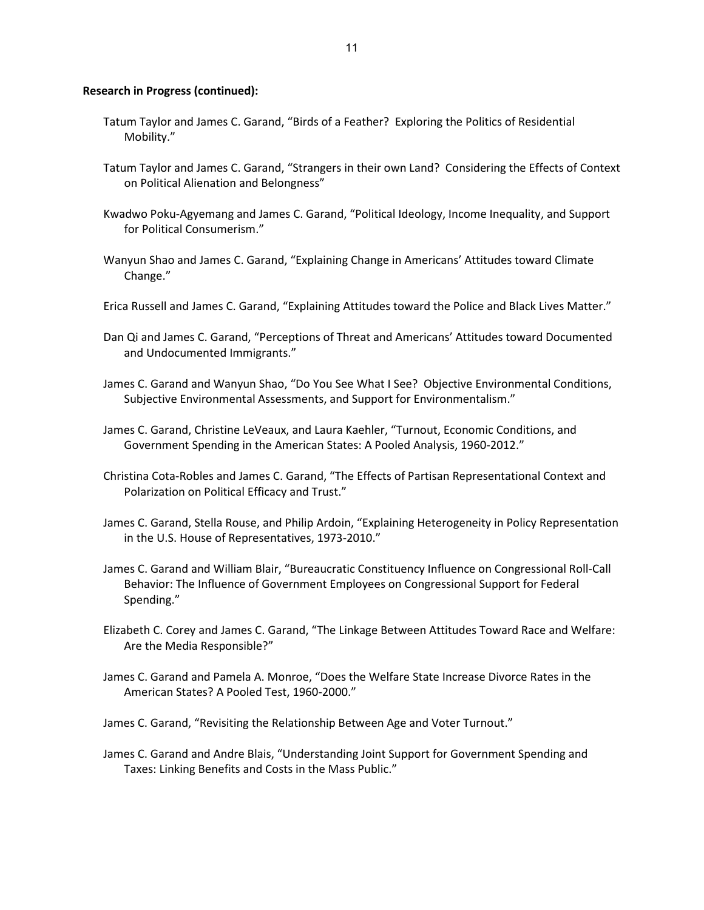### **Research in Progress (continued):**

- Tatum Taylor and James C. Garand, "Birds of a Feather? Exploring the Politics of Residential Mobility."
- Tatum Taylor and James C. Garand, "Strangers in their own Land? Considering the Effects of Context on Political Alienation and Belongness"
- Kwadwo Poku-Agyemang and James C. Garand, "Political Ideology, Income Inequality, and Support for Political Consumerism."
- Wanyun Shao and James C. Garand, "Explaining Change in Americans' Attitudes toward Climate Change."
- Erica Russell and James C. Garand, "Explaining Attitudes toward the Police and Black Lives Matter."
- Dan Qi and James C. Garand, "Perceptions of Threat and Americans' Attitudes toward Documented and Undocumented Immigrants."
- James C. Garand and Wanyun Shao, "Do You See What I See? Objective Environmental Conditions, Subjective Environmental Assessments, and Support for Environmentalism."
- James C. Garand, Christine LeVeaux, and Laura Kaehler, "Turnout, Economic Conditions, and Government Spending in the American States: A Pooled Analysis, 1960-2012."
- Christina Cota-Robles and James C. Garand, "The Effects of Partisan Representational Context and Polarization on Political Efficacy and Trust."
- James C. Garand, Stella Rouse, and Philip Ardoin, "Explaining Heterogeneity in Policy Representation in the U.S. House of Representatives, 1973-2010."
- James C. Garand and William Blair, "Bureaucratic Constituency Influence on Congressional Roll-Call Behavior: The Influence of Government Employees on Congressional Support for Federal Spending."
- Elizabeth C. Corey and James C. Garand, "The Linkage Between Attitudes Toward Race and Welfare: Are the Media Responsible?"
- James C. Garand and Pamela A. Monroe, "Does the Welfare State Increase Divorce Rates in the American States? A Pooled Test, 1960-2000."
- James C. Garand, "Revisiting the Relationship Between Age and Voter Turnout."
- James C. Garand and Andre Blais, "Understanding Joint Support for Government Spending and Taxes: Linking Benefits and Costs in the Mass Public."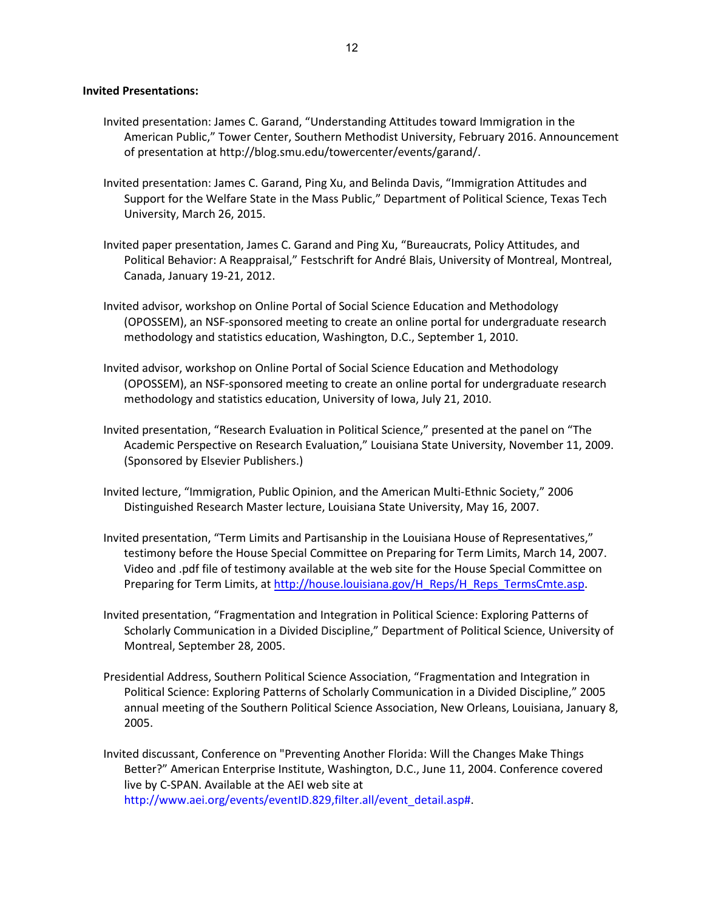### **Invited Presentations:**

- Invited presentation: James C. Garand, "Understanding Attitudes toward Immigration in the American Public," Tower Center, Southern Methodist University, February 2016. Announcement of presentation at http://blog.smu.edu/towercenter/events/garand/.
- Invited presentation: James C. Garand, Ping Xu, and Belinda Davis, "Immigration Attitudes and Support for the Welfare State in the Mass Public," Department of Political Science, Texas Tech University, March 26, 2015.
- Invited paper presentation, James C. Garand and Ping Xu, "Bureaucrats, Policy Attitudes, and Political Behavior: A Reappraisal," Festschrift for André Blais, University of Montreal, Montreal, Canada, January 19-21, 2012.
- Invited advisor, workshop on Online Portal of Social Science Education and Methodology (OPOSSEM), an NSF-sponsored meeting to create an online portal for undergraduate research methodology and statistics education, Washington, D.C., September 1, 2010.
- Invited advisor, workshop on Online Portal of Social Science Education and Methodology (OPOSSEM), an NSF-sponsored meeting to create an online portal for undergraduate research methodology and statistics education, University of Iowa, July 21, 2010.
- Invited presentation, "Research Evaluation in Political Science," presented at the panel on "The Academic Perspective on Research Evaluation," Louisiana State University, November 11, 2009. (Sponsored by Elsevier Publishers.)
- Invited lecture, "Immigration, Public Opinion, and the American Multi-Ethnic Society," 2006 Distinguished Research Master lecture, Louisiana State University, May 16, 2007.
- Invited presentation, "Term Limits and Partisanship in the Louisiana House of Representatives," testimony before the House Special Committee on Preparing for Term Limits, March 14, 2007. Video and .pdf file of testimony available at the web site for the House Special Committee on Preparing for Term Limits, at [http://house.louisiana.gov/H\\_Reps/H\\_Reps\\_TermsCmte.asp.](http://house.louisiana.gov/H_Reps/H_Reps_TermsCmte.asp)
- Invited presentation, "Fragmentation and Integration in Political Science: Exploring Patterns of Scholarly Communication in a Divided Discipline," Department of Political Science, University of Montreal, September 28, 2005.
- Presidential Address, Southern Political Science Association, "Fragmentation and Integration in Political Science: Exploring Patterns of Scholarly Communication in a Divided Discipline," 2005 annual meeting of the Southern Political Science Association, New Orleans, Louisiana, January 8, 2005.
- Invited discussant, Conference on "Preventing Another Florida: Will the Changes Make Things Better?" American Enterprise Institute, Washington, D.C., June 11, 2004. Conference covered live by C-SPAN. Available at the AEI web site at [http://www.aei.org/events/eventID.829,filter.all/event\\_detail.asp#.](http://www.aei.org/events/eventID.829,filter.all/event_detail.asp)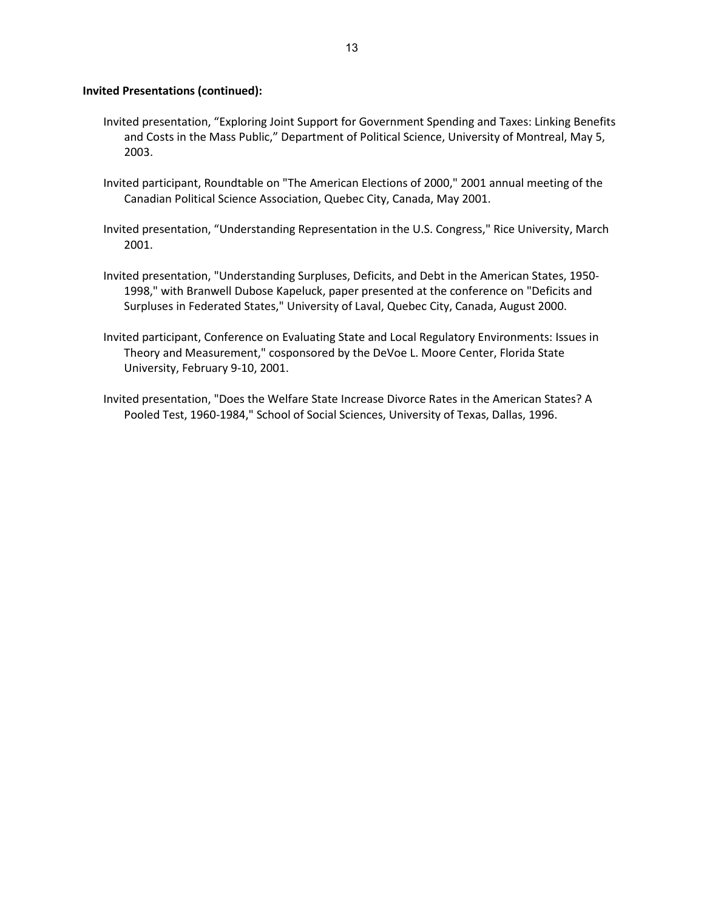## **Invited Presentations (continued):**

- Invited presentation, "Exploring Joint Support for Government Spending and Taxes: Linking Benefits and Costs in the Mass Public," Department of Political Science, University of Montreal, May 5, 2003.
- Invited participant, Roundtable on "The American Elections of 2000," 2001 annual meeting of the Canadian Political Science Association, Quebec City, Canada, May 2001.
- Invited presentation, "Understanding Representation in the U.S. Congress," Rice University, March 2001.
- Invited presentation, "Understanding Surpluses, Deficits, and Debt in the American States, 1950- 1998," with Branwell Dubose Kapeluck, paper presented at the conference on "Deficits and Surpluses in Federated States," University of Laval, Quebec City, Canada, August 2000.
- Invited participant, Conference on Evaluating State and Local Regulatory Environments: Issues in Theory and Measurement," cosponsored by the DeVoe L. Moore Center, Florida State University, February 9-10, 2001.
- Invited presentation, "Does the Welfare State Increase Divorce Rates in the American States? A Pooled Test, 1960-1984," School of Social Sciences, University of Texas, Dallas, 1996.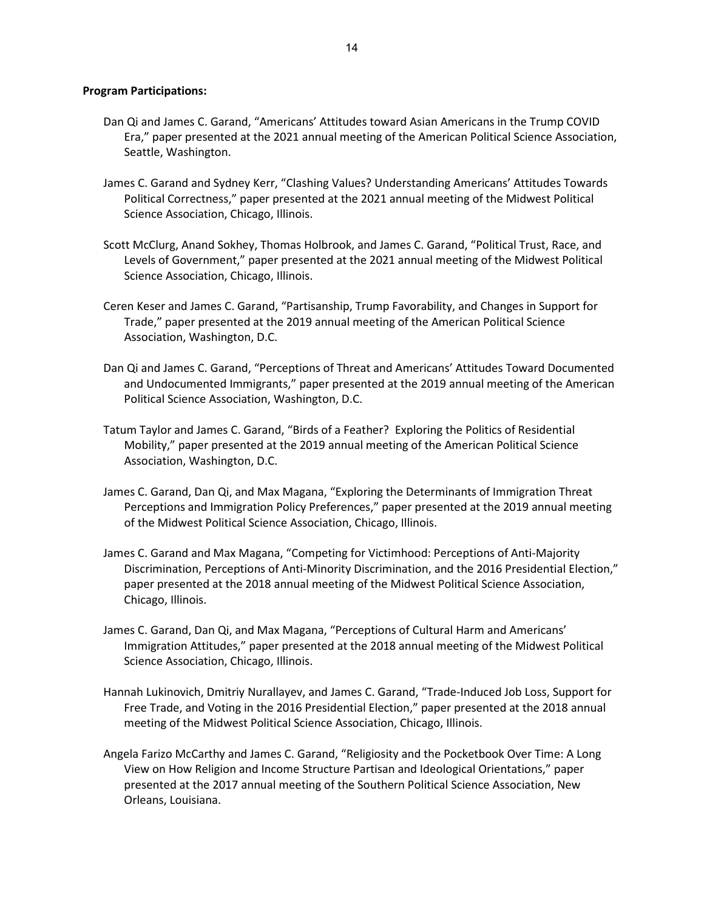## **Program Participations:**

- Dan Qi and James C. Garand, "Americans' Attitudes toward Asian Americans in the Trump COVID Era," paper presented at the 2021 annual meeting of the American Political Science Association, Seattle, Washington.
- James C. Garand and Sydney Kerr, "Clashing Values? Understanding Americans' Attitudes Towards Political Correctness," paper presented at the 2021 annual meeting of the Midwest Political Science Association, Chicago, Illinois.
- Scott McClurg, Anand Sokhey, Thomas Holbrook, and James C. Garand, "Political Trust, Race, and Levels of Government," paper presented at the 2021 annual meeting of the Midwest Political Science Association, Chicago, Illinois.
- Ceren Keser and James C. Garand, "Partisanship, Trump Favorability, and Changes in Support for Trade," paper presented at the 2019 annual meeting of the American Political Science Association, Washington, D.C.
- Dan Qi and James C. Garand, "Perceptions of Threat and Americans' Attitudes Toward Documented and Undocumented Immigrants," paper presented at the 2019 annual meeting of the American Political Science Association, Washington, D.C.
- Tatum Taylor and James C. Garand, "Birds of a Feather? Exploring the Politics of Residential Mobility," paper presented at the 2019 annual meeting of the American Political Science Association, Washington, D.C.
- James C. Garand, Dan Qi, and Max Magana, "Exploring the Determinants of Immigration Threat Perceptions and Immigration Policy Preferences," paper presented at the 2019 annual meeting of the Midwest Political Science Association, Chicago, Illinois.
- James C. Garand and Max Magana, "Competing for Victimhood: Perceptions of Anti-Majority Discrimination, Perceptions of Anti-Minority Discrimination, and the 2016 Presidential Election," paper presented at the 2018 annual meeting of the Midwest Political Science Association, Chicago, Illinois.
- James C. Garand, Dan Qi, and Max Magana, "Perceptions of Cultural Harm and Americans' Immigration Attitudes," paper presented at the 2018 annual meeting of the Midwest Political Science Association, Chicago, Illinois.
- Hannah Lukinovich, Dmitriy Nurallayev, and James C. Garand, "Trade-Induced Job Loss, Support for Free Trade, and Voting in the 2016 Presidential Election," paper presented at the 2018 annual meeting of the Midwest Political Science Association, Chicago, Illinois.
- Angela Farizo McCarthy and James C. Garand, "Religiosity and the Pocketbook Over Time: A Long View on How Religion and Income Structure Partisan and Ideological Orientations," paper presented at the 2017 annual meeting of the Southern Political Science Association, New Orleans, Louisiana.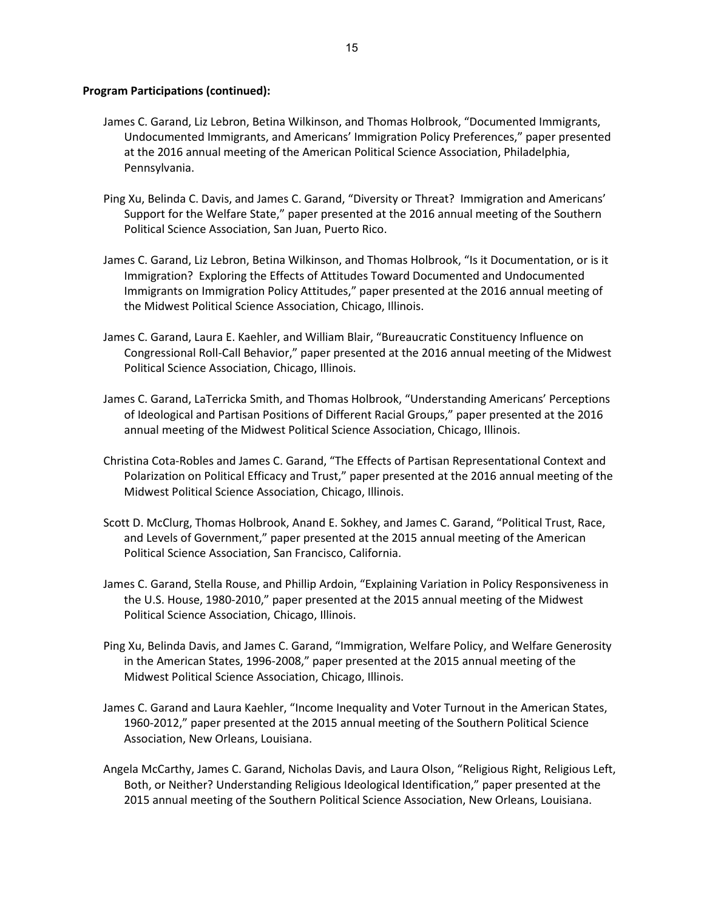- James C. Garand, Liz Lebron, Betina Wilkinson, and Thomas Holbrook, "Documented Immigrants, Undocumented Immigrants, and Americans' Immigration Policy Preferences," paper presented at the 2016 annual meeting of the American Political Science Association, Philadelphia, Pennsylvania.
- Ping Xu, Belinda C. Davis, and James C. Garand, "Diversity or Threat? Immigration and Americans' Support for the Welfare State," paper presented at the 2016 annual meeting of the Southern Political Science Association, San Juan, Puerto Rico.
- James C. Garand, Liz Lebron, Betina Wilkinson, and Thomas Holbrook, "Is it Documentation, or is it Immigration? Exploring the Effects of Attitudes Toward Documented and Undocumented Immigrants on Immigration Policy Attitudes," paper presented at the 2016 annual meeting of the Midwest Political Science Association, Chicago, Illinois.
- James C. Garand, Laura E. Kaehler, and William Blair, "Bureaucratic Constituency Influence on Congressional Roll-Call Behavior," paper presented at the 2016 annual meeting of the Midwest Political Science Association, Chicago, Illinois.
- James C. Garand, LaTerricka Smith, and Thomas Holbrook, "Understanding Americans' Perceptions of Ideological and Partisan Positions of Different Racial Groups," paper presented at the 2016 annual meeting of the Midwest Political Science Association, Chicago, Illinois.
- Christina Cota-Robles and James C. Garand, "The Effects of Partisan Representational Context and Polarization on Political Efficacy and Trust," paper presented at the 2016 annual meeting of the Midwest Political Science Association, Chicago, Illinois.
- Scott D. McClurg, Thomas Holbrook, Anand E. Sokhey, and James C. Garand, "Political Trust, Race, and Levels of Government," paper presented at the 2015 annual meeting of the American Political Science Association, San Francisco, California.
- James C. Garand, Stella Rouse, and Phillip Ardoin, "Explaining Variation in Policy Responsiveness in the U.S. House, 1980-2010," paper presented at the 2015 annual meeting of the Midwest Political Science Association, Chicago, Illinois.
- Ping Xu, Belinda Davis, and James C. Garand, "Immigration, Welfare Policy, and Welfare Generosity in the American States, 1996-2008," paper presented at the 2015 annual meeting of the Midwest Political Science Association, Chicago, Illinois.
- James C. Garand and Laura Kaehler, "Income Inequality and Voter Turnout in the American States, 1960-2012," paper presented at the 2015 annual meeting of the Southern Political Science Association, New Orleans, Louisiana.
- Angela McCarthy, James C. Garand, Nicholas Davis, and Laura Olson, "Religious Right, Religious Left, Both, or Neither? Understanding Religious Ideological Identification," paper presented at the 2015 annual meeting of the Southern Political Science Association, New Orleans, Louisiana.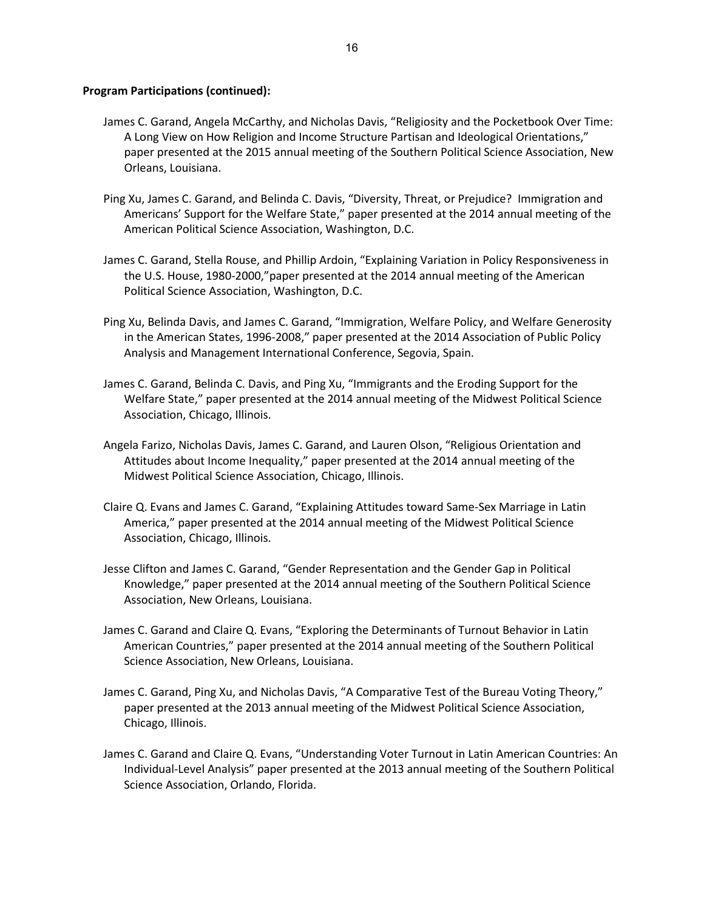- James C. Garand, Angela McCarthy, and Nicholas Davis, "Religiosity and the Pocketbook Over Time: A Long View on How Religion and Income Structure Partisan and Ideological Orientations," paper presented at the 2015 annual meeting of the Southern Political Science Association, New Orleans, Louisiana.
- Ping Xu, James C. Garand, and Belinda C. Davis, "Diversity, Threat, or Prejudice? Immigration and Americans' Support for the Welfare State," paper presented at the 2014 annual meeting of the American Political Science Association, Washington, D.C.
- James C. Garand, Stella Rouse, and Phillip Ardoin, "Explaining Variation in Policy Responsiveness in the U.S. House, 1980-2000,"paper presented at the 2014 annual meeting of the American Political Science Association, Washington, D.C.
- Ping Xu, Belinda Davis, and James C. Garand, "Immigration, Welfare Policy, and Welfare Generosity in the American States, 1996-2008," paper presented at the 2014 Association of Public Policy Analysis and Management International Conference, Segovia, Spain.
- James C. Garand, Belinda C. Davis, and Ping Xu, "Immigrants and the Eroding Support for the Welfare State," paper presented at the 2014 annual meeting of the Midwest Political Science Association, Chicago, Illinois.
- Angela Farizo, Nicholas Davis, James C. Garand, and Lauren Olson, "Religious Orientation and Attitudes about Income Inequality," paper presented at the 2014 annual meeting of the Midwest Political Science Association, Chicago, Illinois.
- Claire Q. Evans and James C. Garand, "Explaining Attitudes toward Same-Sex Marriage in Latin America," paper presented at the 2014 annual meeting of the Midwest Political Science Association, Chicago, Illinois.
- Jesse Clifton and James C. Garand, "Gender Representation and the Gender Gap in Political Knowledge," paper presented at the 2014 annual meeting of the Southern Political Science Association, New Orleans, Louisiana.
- James C. Garand and Claire Q. Evans, "Exploring the Determinants of Turnout Behavior in Latin American Countries," paper presented at the 2014 annual meeting of the Southern Political Science Association, New Orleans, Louisiana.
- James C. Garand, Ping Xu, and Nicholas Davis, "A Comparative Test of the Bureau Voting Theory," paper presented at the 2013 annual meeting of the Midwest Political Science Association, Chicago, Illinois.
- James C. Garand and Claire Q. Evans, "Understanding Voter Turnout in Latin American Countries: An Individual-Level Analysis" paper presented at the 2013 annual meeting of the Southern Political Science Association, Orlando, Florida.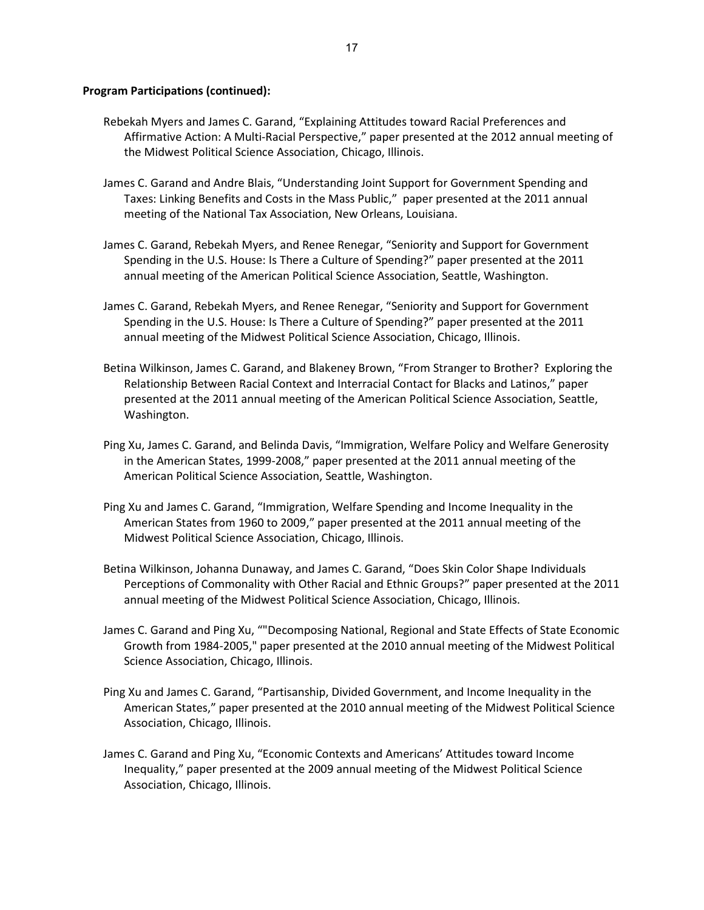- Rebekah Myers and James C. Garand, "Explaining Attitudes toward Racial Preferences and Affirmative Action: A Multi-Racial Perspective," paper presented at the 2012 annual meeting of the Midwest Political Science Association, Chicago, Illinois.
- James C. Garand and Andre Blais, "Understanding Joint Support for Government Spending and Taxes: Linking Benefits and Costs in the Mass Public," paper presented at the 2011 annual meeting of the National Tax Association, New Orleans, Louisiana.
- James C. Garand, Rebekah Myers, and Renee Renegar, "Seniority and Support for Government Spending in the U.S. House: Is There a Culture of Spending?" paper presented at the 2011 annual meeting of the American Political Science Association, Seattle, Washington.
- James C. Garand, Rebekah Myers, and Renee Renegar, "Seniority and Support for Government Spending in the U.S. House: Is There a Culture of Spending?" paper presented at the 2011 annual meeting of the Midwest Political Science Association, Chicago, Illinois.
- Betina Wilkinson, James C. Garand, and Blakeney Brown, "From Stranger to Brother? Exploring the Relationship Between Racial Context and Interracial Contact for Blacks and Latinos," paper presented at the 2011 annual meeting of the American Political Science Association, Seattle, Washington.
- Ping Xu, James C. Garand, and Belinda Davis, "Immigration, Welfare Policy and Welfare Generosity in the American States, 1999-2008," paper presented at the 2011 annual meeting of the American Political Science Association, Seattle, Washington.
- Ping Xu and James C. Garand, "Immigration, Welfare Spending and Income Inequality in the American States from 1960 to 2009," paper presented at the 2011 annual meeting of the Midwest Political Science Association, Chicago, Illinois.
- Betina Wilkinson, Johanna Dunaway, and James C. Garand, "Does Skin Color Shape Individuals Perceptions of Commonality with Other Racial and Ethnic Groups?" paper presented at the 2011 annual meeting of the Midwest Political Science Association, Chicago, Illinois.
- James C. Garand and Ping Xu, ""Decomposing National, Regional and State Effects of State Economic Growth from 1984-2005," paper presented at the 2010 annual meeting of the Midwest Political Science Association, Chicago, Illinois.
- Ping Xu and James C. Garand, "Partisanship, Divided Government, and Income Inequality in the American States," paper presented at the 2010 annual meeting of the Midwest Political Science Association, Chicago, Illinois.
- James C. Garand and Ping Xu, "Economic Contexts and Americans' Attitudes toward Income Inequality," paper presented at the 2009 annual meeting of the Midwest Political Science Association, Chicago, Illinois.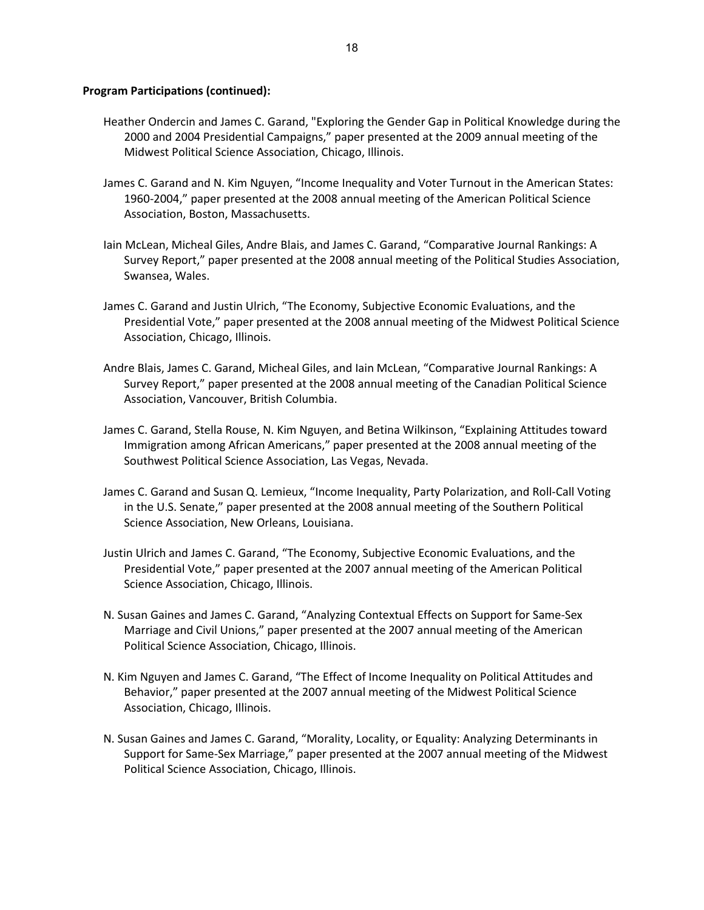- Heather Ondercin and James C. Garand, "Exploring the Gender Gap in Political Knowledge during the 2000 and 2004 Presidential Campaigns," paper presented at the 2009 annual meeting of the Midwest Political Science Association, Chicago, Illinois.
- James C. Garand and N. Kim Nguyen, "Income Inequality and Voter Turnout in the American States: 1960-2004," paper presented at the 2008 annual meeting of the American Political Science Association, Boston, Massachusetts.
- Iain McLean, Micheal Giles, Andre Blais, and James C. Garand, "Comparative Journal Rankings: A Survey Report," paper presented at the 2008 annual meeting of the Political Studies Association, Swansea, Wales.
- James C. Garand and Justin Ulrich, "The Economy, Subjective Economic Evaluations, and the Presidential Vote," paper presented at the 2008 annual meeting of the Midwest Political Science Association, Chicago, Illinois.
- Andre Blais, James C. Garand, Micheal Giles, and Iain McLean, "Comparative Journal Rankings: A Survey Report," paper presented at the 2008 annual meeting of the Canadian Political Science Association, Vancouver, British Columbia.
- James C. Garand, Stella Rouse, N. Kim Nguyen, and Betina Wilkinson, "Explaining Attitudes toward Immigration among African Americans," paper presented at the 2008 annual meeting of the Southwest Political Science Association, Las Vegas, Nevada.
- James C. Garand and Susan Q. Lemieux, "Income Inequality, Party Polarization, and Roll-Call Voting in the U.S. Senate," paper presented at the 2008 annual meeting of the Southern Political Science Association, New Orleans, Louisiana.
- Justin Ulrich and James C. Garand, "The Economy, Subjective Economic Evaluations, and the Presidential Vote," paper presented at the 2007 annual meeting of the American Political Science Association, Chicago, Illinois.
- N. Susan Gaines and James C. Garand, "Analyzing Contextual Effects on Support for Same-Sex Marriage and Civil Unions," paper presented at the 2007 annual meeting of the American Political Science Association, Chicago, Illinois.
- N. Kim Nguyen and James C. Garand, "The Effect of Income Inequality on Political Attitudes and Behavior," paper presented at the 2007 annual meeting of the Midwest Political Science Association, Chicago, Illinois.
- N. Susan Gaines and James C. Garand, "Morality, Locality, or Equality: Analyzing Determinants in Support for Same-Sex Marriage," paper presented at the 2007 annual meeting of the Midwest Political Science Association, Chicago, Illinois.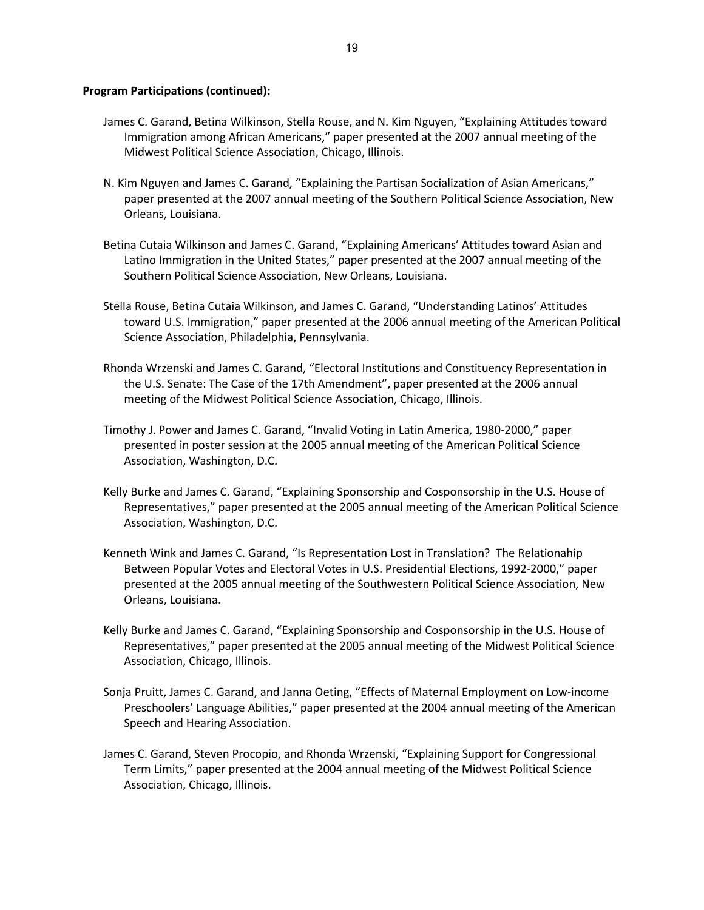- James C. Garand, Betina Wilkinson, Stella Rouse, and N. Kim Nguyen, "Explaining Attitudes toward Immigration among African Americans," paper presented at the 2007 annual meeting of the Midwest Political Science Association, Chicago, Illinois.
- N. Kim Nguyen and James C. Garand, "Explaining the Partisan Socialization of Asian Americans," paper presented at the 2007 annual meeting of the Southern Political Science Association, New Orleans, Louisiana.
- Betina Cutaia Wilkinson and James C. Garand, "Explaining Americans' Attitudes toward Asian and Latino Immigration in the United States," paper presented at the 2007 annual meeting of the Southern Political Science Association, New Orleans, Louisiana.
- Stella Rouse, Betina Cutaia Wilkinson, and James C. Garand, "Understanding Latinos' Attitudes toward U.S. Immigration," paper presented at the 2006 annual meeting of the American Political Science Association, Philadelphia, Pennsylvania.
- Rhonda Wrzenski and James C. Garand, "Electoral Institutions and Constituency Representation in the U.S. Senate: The Case of the 17th Amendment", paper presented at the 2006 annual meeting of the Midwest Political Science Association, Chicago, Illinois.
- Timothy J. Power and James C. Garand, "Invalid Voting in Latin America, 1980-2000," paper presented in poster session at the 2005 annual meeting of the American Political Science Association, Washington, D.C.
- Kelly Burke and James C. Garand, "Explaining Sponsorship and Cosponsorship in the U.S. House of Representatives," paper presented at the 2005 annual meeting of the American Political Science Association, Washington, D.C.
- Kenneth Wink and James C. Garand, "Is Representation Lost in Translation? The Relationahip Between Popular Votes and Electoral Votes in U.S. Presidential Elections, 1992-2000," paper presented at the 2005 annual meeting of the Southwestern Political Science Association, New Orleans, Louisiana.
- Kelly Burke and James C. Garand, "Explaining Sponsorship and Cosponsorship in the U.S. House of Representatives," paper presented at the 2005 annual meeting of the Midwest Political Science Association, Chicago, Illinois.
- Sonja Pruitt, James C. Garand, and Janna Oeting, "Effects of Maternal Employment on Low-income Preschoolers' Language Abilities," paper presented at the 2004 annual meeting of the American Speech and Hearing Association.
- James C. Garand, Steven Procopio, and Rhonda Wrzenski, "Explaining Support for Congressional Term Limits," paper presented at the 2004 annual meeting of the Midwest Political Science Association, Chicago, Illinois.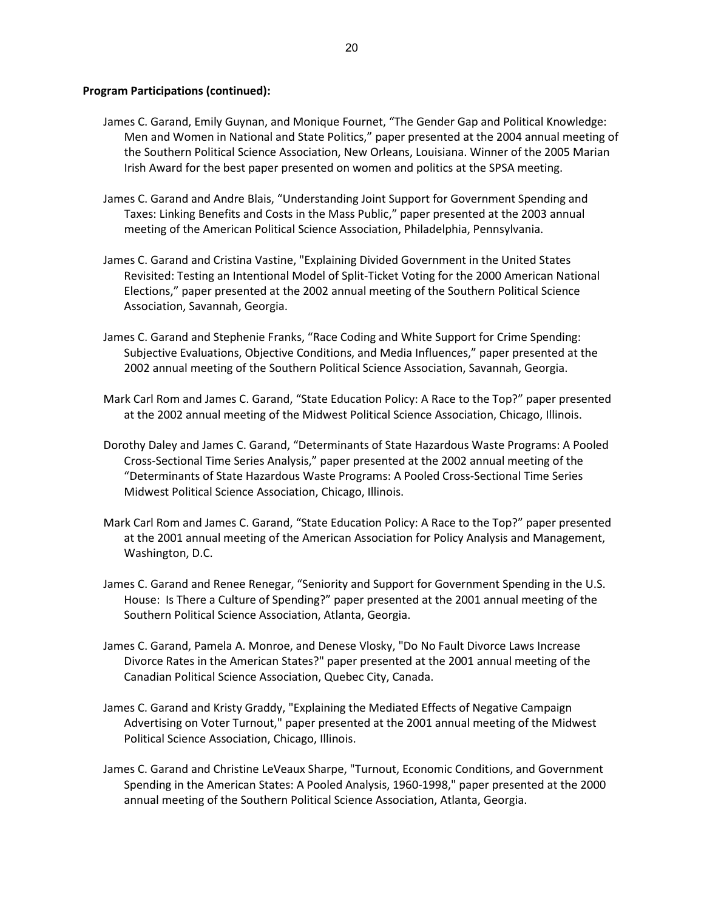- James C. Garand, Emily Guynan, and Monique Fournet, "The Gender Gap and Political Knowledge: Men and Women in National and State Politics," paper presented at the 2004 annual meeting of the Southern Political Science Association, New Orleans, Louisiana. Winner of the 2005 Marian Irish Award for the best paper presented on women and politics at the SPSA meeting.
- James C. Garand and Andre Blais, "Understanding Joint Support for Government Spending and Taxes: Linking Benefits and Costs in the Mass Public," paper presented at the 2003 annual meeting of the American Political Science Association, Philadelphia, Pennsylvania.
- James C. Garand and Cristina Vastine, "Explaining Divided Government in the United States Revisited: Testing an Intentional Model of Split-Ticket Voting for the 2000 American National Elections," paper presented at the 2002 annual meeting of the Southern Political Science Association, Savannah, Georgia.
- James C. Garand and Stephenie Franks, "Race Coding and White Support for Crime Spending: Subjective Evaluations, Objective Conditions, and Media Influences," paper presented at the 2002 annual meeting of the Southern Political Science Association, Savannah, Georgia.
- Mark Carl Rom and James C. Garand, "State Education Policy: A Race to the Top?" paper presented at the 2002 annual meeting of the Midwest Political Science Association, Chicago, Illinois.
- Dorothy Daley and James C. Garand, "Determinants of State Hazardous Waste Programs: A Pooled Cross-Sectional Time Series Analysis," paper presented at the 2002 annual meeting of the "Determinants of State Hazardous Waste Programs: A Pooled Cross-Sectional Time Series Midwest Political Science Association, Chicago, Illinois.
- Mark Carl Rom and James C. Garand, "State Education Policy: A Race to the Top?" paper presented at the 2001 annual meeting of the American Association for Policy Analysis and Management, Washington, D.C.
- James C. Garand and Renee Renegar, "Seniority and Support for Government Spending in the U.S. House: Is There a Culture of Spending?" paper presented at the 2001 annual meeting of the Southern Political Science Association, Atlanta, Georgia.
- James C. Garand, Pamela A. Monroe, and Denese Vlosky, "Do No Fault Divorce Laws Increase Divorce Rates in the American States?" paper presented at the 2001 annual meeting of the Canadian Political Science Association, Quebec City, Canada.
- James C. Garand and Kristy Graddy, "Explaining the Mediated Effects of Negative Campaign Advertising on Voter Turnout," paper presented at the 2001 annual meeting of the Midwest Political Science Association, Chicago, Illinois.
- James C. Garand and Christine LeVeaux Sharpe, "Turnout, Economic Conditions, and Government Spending in the American States: A Pooled Analysis, 1960-1998," paper presented at the 2000 annual meeting of the Southern Political Science Association, Atlanta, Georgia.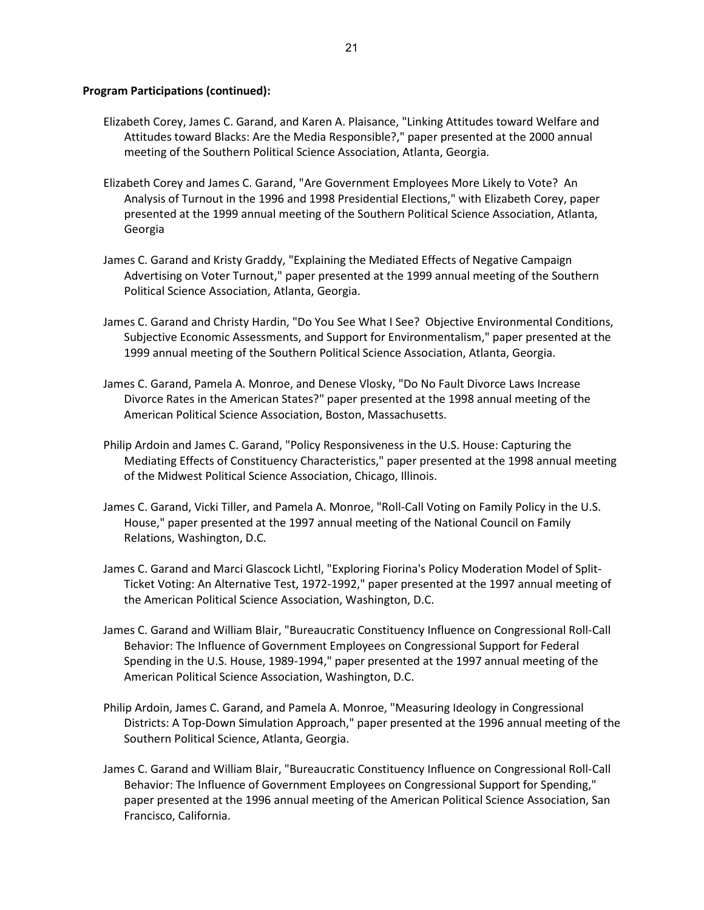- Elizabeth Corey, James C. Garand, and Karen A. Plaisance, "Linking Attitudes toward Welfare and Attitudes toward Blacks: Are the Media Responsible?," paper presented at the 2000 annual meeting of the Southern Political Science Association, Atlanta, Georgia.
- Elizabeth Corey and James C. Garand, "Are Government Employees More Likely to Vote? An Analysis of Turnout in the 1996 and 1998 Presidential Elections," with Elizabeth Corey, paper presented at the 1999 annual meeting of the Southern Political Science Association, Atlanta, Georgia
- James C. Garand and Kristy Graddy, "Explaining the Mediated Effects of Negative Campaign Advertising on Voter Turnout," paper presented at the 1999 annual meeting of the Southern Political Science Association, Atlanta, Georgia.
- James C. Garand and Christy Hardin, "Do You See What I See? Objective Environmental Conditions, Subjective Economic Assessments, and Support for Environmentalism," paper presented at the 1999 annual meeting of the Southern Political Science Association, Atlanta, Georgia.
- James C. Garand, Pamela A. Monroe, and Denese Vlosky, "Do No Fault Divorce Laws Increase Divorce Rates in the American States?" paper presented at the 1998 annual meeting of the American Political Science Association, Boston, Massachusetts.
- Philip Ardoin and James C. Garand, "Policy Responsiveness in the U.S. House: Capturing the Mediating Effects of Constituency Characteristics," paper presented at the 1998 annual meeting of the Midwest Political Science Association, Chicago, Illinois.
- James C. Garand, Vicki Tiller, and Pamela A. Monroe, "Roll-Call Voting on Family Policy in the U.S. House," paper presented at the 1997 annual meeting of the National Council on Family Relations, Washington, D.C.
- James C. Garand and Marci Glascock Lichtl, "Exploring Fiorina's Policy Moderation Model of Split-Ticket Voting: An Alternative Test, 1972-1992," paper presented at the 1997 annual meeting of the American Political Science Association, Washington, D.C.
- James C. Garand and William Blair, "Bureaucratic Constituency Influence on Congressional Roll-Call Behavior: The Influence of Government Employees on Congressional Support for Federal Spending in the U.S. House, 1989-1994," paper presented at the 1997 annual meeting of the American Political Science Association, Washington, D.C.
- Philip Ardoin, James C. Garand, and Pamela A. Monroe, "Measuring Ideology in Congressional Districts: A Top-Down Simulation Approach," paper presented at the 1996 annual meeting of the Southern Political Science, Atlanta, Georgia.
- James C. Garand and William Blair, "Bureaucratic Constituency Influence on Congressional Roll-Call Behavior: The Influence of Government Employees on Congressional Support for Spending," paper presented at the 1996 annual meeting of the American Political Science Association, San Francisco, California.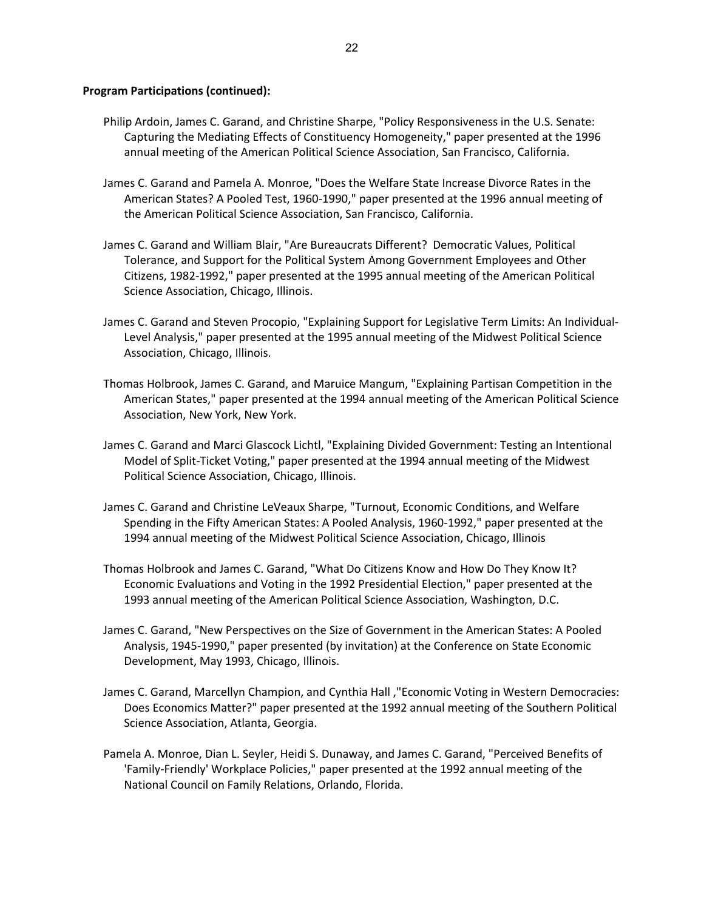- Philip Ardoin, James C. Garand, and Christine Sharpe, "Policy Responsiveness in the U.S. Senate: Capturing the Mediating Effects of Constituency Homogeneity," paper presented at the 1996 annual meeting of the American Political Science Association, San Francisco, California.
- James C. Garand and Pamela A. Monroe, "Does the Welfare State Increase Divorce Rates in the American States? A Pooled Test, 1960-1990," paper presented at the 1996 annual meeting of the American Political Science Association, San Francisco, California.
- James C. Garand and William Blair, "Are Bureaucrats Different? Democratic Values, Political Tolerance, and Support for the Political System Among Government Employees and Other Citizens, 1982-1992," paper presented at the 1995 annual meeting of the American Political Science Association, Chicago, Illinois.
- James C. Garand and Steven Procopio, "Explaining Support for Legislative Term Limits: An Individual-Level Analysis," paper presented at the 1995 annual meeting of the Midwest Political Science Association, Chicago, Illinois.
- Thomas Holbrook, James C. Garand, and Maruice Mangum, "Explaining Partisan Competition in the American States," paper presented at the 1994 annual meeting of the American Political Science Association, New York, New York.
- James C. Garand and Marci Glascock Lichtl, "Explaining Divided Government: Testing an Intentional Model of Split-Ticket Voting," paper presented at the 1994 annual meeting of the Midwest Political Science Association, Chicago, Illinois.
- James C. Garand and Christine LeVeaux Sharpe, "Turnout, Economic Conditions, and Welfare Spending in the Fifty American States: A Pooled Analysis, 1960-1992," paper presented at the 1994 annual meeting of the Midwest Political Science Association, Chicago, Illinois
- Thomas Holbrook and James C. Garand, "What Do Citizens Know and How Do They Know It? Economic Evaluations and Voting in the 1992 Presidential Election," paper presented at the 1993 annual meeting of the American Political Science Association, Washington, D.C.
- James C. Garand, "New Perspectives on the Size of Government in the American States: A Pooled Analysis, 1945-1990," paper presented (by invitation) at the Conference on State Economic Development, May 1993, Chicago, Illinois.
- James C. Garand, Marcellyn Champion, and Cynthia Hall ,"Economic Voting in Western Democracies: Does Economics Matter?" paper presented at the 1992 annual meeting of the Southern Political Science Association, Atlanta, Georgia.
- Pamela A. Monroe, Dian L. Seyler, Heidi S. Dunaway, and James C. Garand, "Perceived Benefits of 'Family-Friendly' Workplace Policies," paper presented at the 1992 annual meeting of the National Council on Family Relations, Orlando, Florida.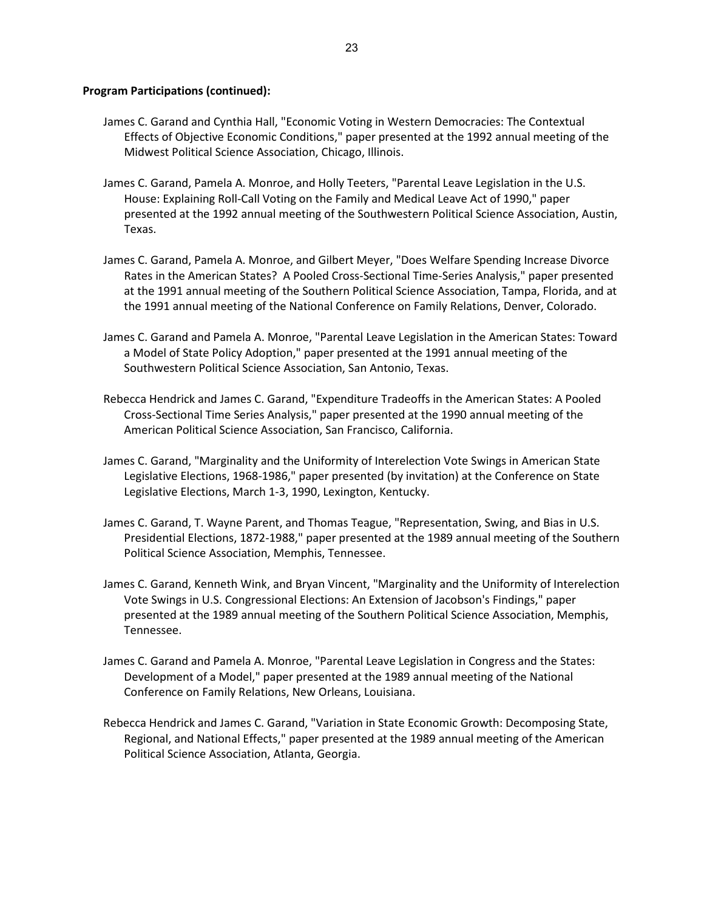- James C. Garand and Cynthia Hall, "Economic Voting in Western Democracies: The Contextual Effects of Objective Economic Conditions," paper presented at the 1992 annual meeting of the Midwest Political Science Association, Chicago, Illinois.
- James C. Garand, Pamela A. Monroe, and Holly Teeters, "Parental Leave Legislation in the U.S. House: Explaining Roll-Call Voting on the Family and Medical Leave Act of 1990," paper presented at the 1992 annual meeting of the Southwestern Political Science Association, Austin, Texas.
- James C. Garand, Pamela A. Monroe, and Gilbert Meyer, "Does Welfare Spending Increase Divorce Rates in the American States? A Pooled Cross-Sectional Time-Series Analysis," paper presented at the 1991 annual meeting of the Southern Political Science Association, Tampa, Florida, and at the 1991 annual meeting of the National Conference on Family Relations, Denver, Colorado.
- James C. Garand and Pamela A. Monroe, "Parental Leave Legislation in the American States: Toward a Model of State Policy Adoption," paper presented at the 1991 annual meeting of the Southwestern Political Science Association, San Antonio, Texas.
- Rebecca Hendrick and James C. Garand, "Expenditure Tradeoffs in the American States: A Pooled Cross-Sectional Time Series Analysis," paper presented at the 1990 annual meeting of the American Political Science Association, San Francisco, California.
- James C. Garand, "Marginality and the Uniformity of Interelection Vote Swings in American State Legislative Elections, 1968-1986," paper presented (by invitation) at the Conference on State Legislative Elections, March 1-3, 1990, Lexington, Kentucky.
- James C. Garand, T. Wayne Parent, and Thomas Teague, "Representation, Swing, and Bias in U.S. Presidential Elections, 1872-1988," paper presented at the 1989 annual meeting of the Southern Political Science Association, Memphis, Tennessee.
- James C. Garand, Kenneth Wink, and Bryan Vincent, "Marginality and the Uniformity of Interelection Vote Swings in U.S. Congressional Elections: An Extension of Jacobson's Findings," paper presented at the 1989 annual meeting of the Southern Political Science Association, Memphis, Tennessee.
- James C. Garand and Pamela A. Monroe, "Parental Leave Legislation in Congress and the States: Development of a Model," paper presented at the 1989 annual meeting of the National Conference on Family Relations, New Orleans, Louisiana.
- Rebecca Hendrick and James C. Garand, "Variation in State Economic Growth: Decomposing State, Regional, and National Effects," paper presented at the 1989 annual meeting of the American Political Science Association, Atlanta, Georgia.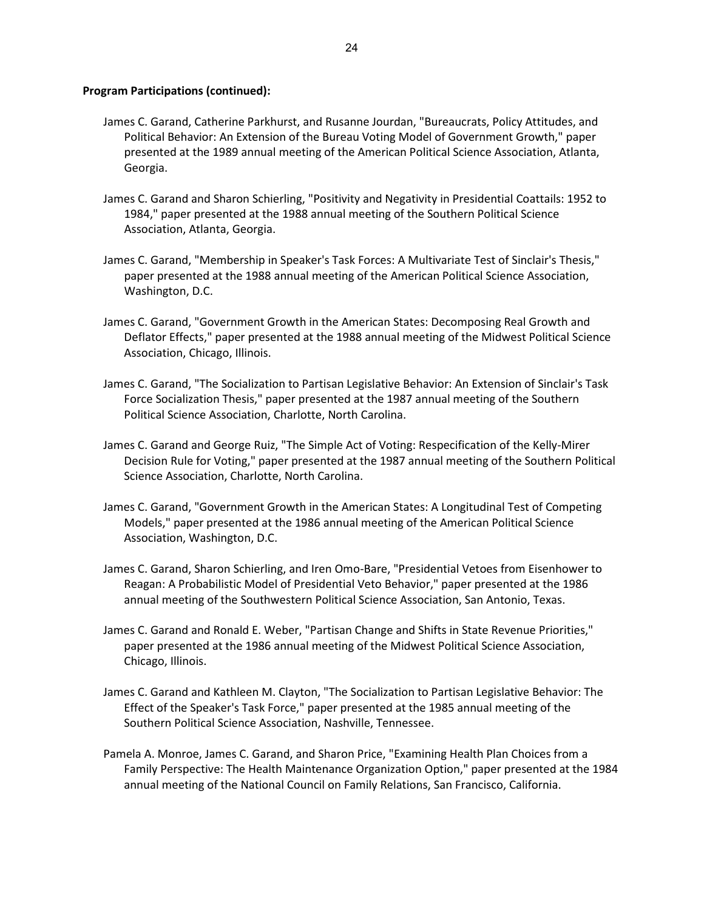- James C. Garand, Catherine Parkhurst, and Rusanne Jourdan, "Bureaucrats, Policy Attitudes, and Political Behavior: An Extension of the Bureau Voting Model of Government Growth," paper presented at the 1989 annual meeting of the American Political Science Association, Atlanta, Georgia.
- James C. Garand and Sharon Schierling, "Positivity and Negativity in Presidential Coattails: 1952 to 1984," paper presented at the 1988 annual meeting of the Southern Political Science Association, Atlanta, Georgia.
- James C. Garand, "Membership in Speaker's Task Forces: A Multivariate Test of Sinclair's Thesis," paper presented at the 1988 annual meeting of the American Political Science Association, Washington, D.C.
- James C. Garand, "Government Growth in the American States: Decomposing Real Growth and Deflator Effects," paper presented at the 1988 annual meeting of the Midwest Political Science Association, Chicago, Illinois.
- James C. Garand, "The Socialization to Partisan Legislative Behavior: An Extension of Sinclair's Task Force Socialization Thesis," paper presented at the 1987 annual meeting of the Southern Political Science Association, Charlotte, North Carolina.
- James C. Garand and George Ruiz, "The Simple Act of Voting: Respecification of the Kelly-Mirer Decision Rule for Voting," paper presented at the 1987 annual meeting of the Southern Political Science Association, Charlotte, North Carolina.
- James C. Garand, "Government Growth in the American States: A Longitudinal Test of Competing Models," paper presented at the 1986 annual meeting of the American Political Science Association, Washington, D.C.
- James C. Garand, Sharon Schierling, and Iren Omo-Bare, "Presidential Vetoes from Eisenhower to Reagan: A Probabilistic Model of Presidential Veto Behavior," paper presented at the 1986 annual meeting of the Southwestern Political Science Association, San Antonio, Texas.
- James C. Garand and Ronald E. Weber, "Partisan Change and Shifts in State Revenue Priorities," paper presented at the 1986 annual meeting of the Midwest Political Science Association, Chicago, Illinois.
- James C. Garand and Kathleen M. Clayton, "The Socialization to Partisan Legislative Behavior: The Effect of the Speaker's Task Force," paper presented at the 1985 annual meeting of the Southern Political Science Association, Nashville, Tennessee.
- Pamela A. Monroe, James C. Garand, and Sharon Price, "Examining Health Plan Choices from a Family Perspective: The Health Maintenance Organization Option," paper presented at the 1984 annual meeting of the National Council on Family Relations, San Francisco, California.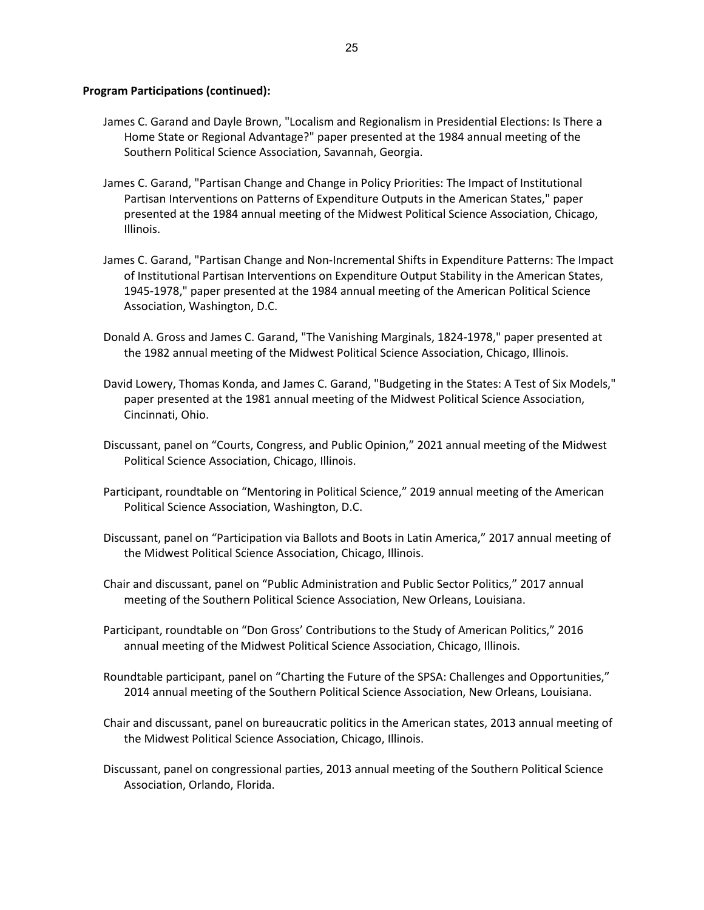- James C. Garand and Dayle Brown, "Localism and Regionalism in Presidential Elections: Is There a Home State or Regional Advantage?" paper presented at the 1984 annual meeting of the Southern Political Science Association, Savannah, Georgia.
- James C. Garand, "Partisan Change and Change in Policy Priorities: The Impact of Institutional Partisan Interventions on Patterns of Expenditure Outputs in the American States," paper presented at the 1984 annual meeting of the Midwest Political Science Association, Chicago, Illinois.
- James C. Garand, "Partisan Change and Non-Incremental Shifts in Expenditure Patterns: The Impact of Institutional Partisan Interventions on Expenditure Output Stability in the American States, 1945-1978," paper presented at the 1984 annual meeting of the American Political Science Association, Washington, D.C.
- Donald A. Gross and James C. Garand, "The Vanishing Marginals, 1824-1978," paper presented at the 1982 annual meeting of the Midwest Political Science Association, Chicago, Illinois.
- David Lowery, Thomas Konda, and James C. Garand, "Budgeting in the States: A Test of Six Models," paper presented at the 1981 annual meeting of the Midwest Political Science Association, Cincinnati, Ohio.
- Discussant, panel on "Courts, Congress, and Public Opinion," 2021 annual meeting of the Midwest Political Science Association, Chicago, Illinois.
- Participant, roundtable on "Mentoring in Political Science," 2019 annual meeting of the American Political Science Association, Washington, D.C.
- Discussant, panel on "Participation via Ballots and Boots in Latin America," 2017 annual meeting of the Midwest Political Science Association, Chicago, Illinois.
- Chair and discussant, panel on "Public Administration and Public Sector Politics," 2017 annual meeting of the Southern Political Science Association, New Orleans, Louisiana.
- Participant, roundtable on "Don Gross' Contributions to the Study of American Politics," 2016 annual meeting of the Midwest Political Science Association, Chicago, Illinois.
- Roundtable participant, panel on "Charting the Future of the SPSA: Challenges and Opportunities," 2014 annual meeting of the Southern Political Science Association, New Orleans, Louisiana.
- Chair and discussant, panel on bureaucratic politics in the American states, 2013 annual meeting of the Midwest Political Science Association, Chicago, Illinois.
- Discussant, panel on congressional parties, 2013 annual meeting of the Southern Political Science Association, Orlando, Florida.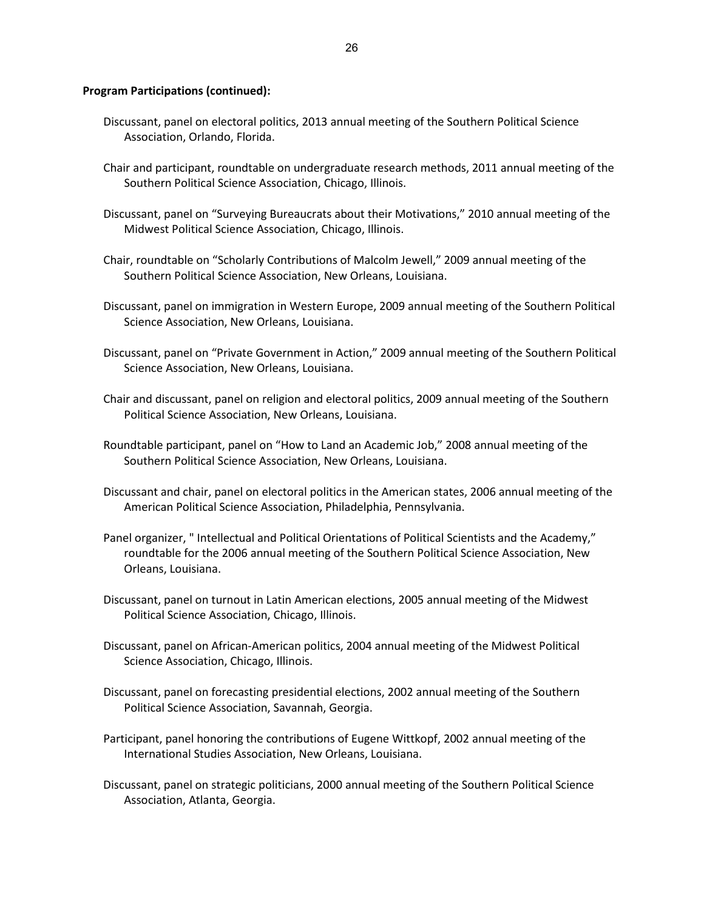- Discussant, panel on electoral politics, 2013 annual meeting of the Southern Political Science Association, Orlando, Florida.
- Chair and participant, roundtable on undergraduate research methods, 2011 annual meeting of the Southern Political Science Association, Chicago, Illinois.
- Discussant, panel on "Surveying Bureaucrats about their Motivations," 2010 annual meeting of the Midwest Political Science Association, Chicago, Illinois.
- Chair, roundtable on "Scholarly Contributions of Malcolm Jewell," 2009 annual meeting of the Southern Political Science Association, New Orleans, Louisiana.
- Discussant, panel on immigration in Western Europe, 2009 annual meeting of the Southern Political Science Association, New Orleans, Louisiana.
- Discussant, panel on "Private Government in Action," 2009 annual meeting of the Southern Political Science Association, New Orleans, Louisiana.
- Chair and discussant, panel on religion and electoral politics, 2009 annual meeting of the Southern Political Science Association, New Orleans, Louisiana.
- Roundtable participant, panel on "How to Land an Academic Job," 2008 annual meeting of the Southern Political Science Association, New Orleans, Louisiana.
- Discussant and chair, panel on electoral politics in the American states, 2006 annual meeting of the American Political Science Association, Philadelphia, Pennsylvania.
- Panel organizer, " Intellectual and Political Orientations of Political Scientists and the Academy," roundtable for the 2006 annual meeting of the Southern Political Science Association, New Orleans, Louisiana.
- Discussant, panel on turnout in Latin American elections, 2005 annual meeting of the Midwest Political Science Association, Chicago, Illinois.
- Discussant, panel on African-American politics, 2004 annual meeting of the Midwest Political Science Association, Chicago, Illinois.
- Discussant, panel on forecasting presidential elections, 2002 annual meeting of the Southern Political Science Association, Savannah, Georgia.
- Participant, panel honoring the contributions of Eugene Wittkopf, 2002 annual meeting of the International Studies Association, New Orleans, Louisiana.
- Discussant, panel on strategic politicians, 2000 annual meeting of the Southern Political Science Association, Atlanta, Georgia.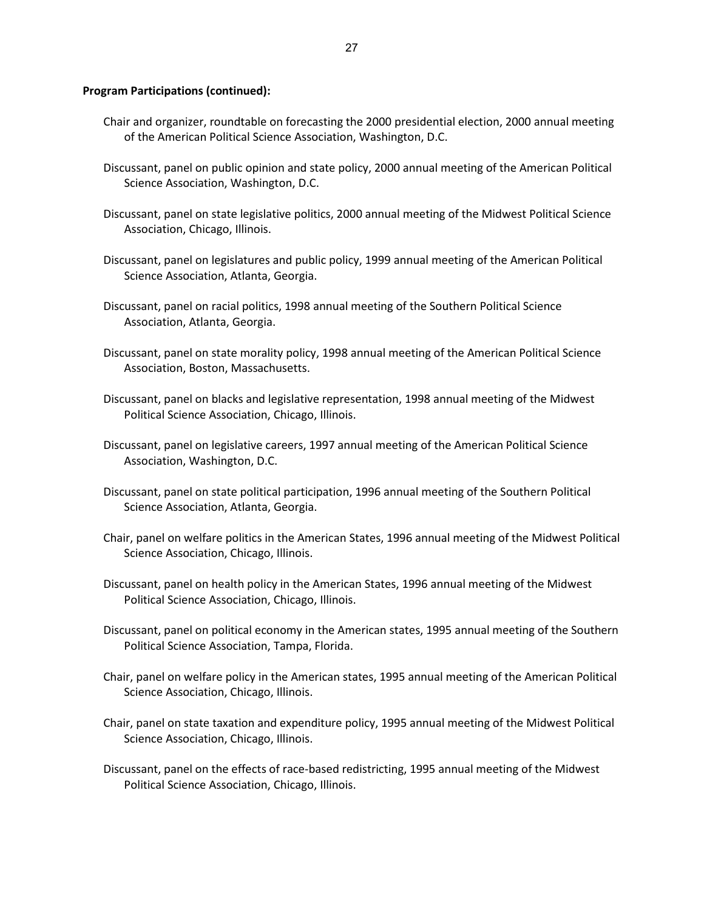- Chair and organizer, roundtable on forecasting the 2000 presidential election, 2000 annual meeting of the American Political Science Association, Washington, D.C.
- Discussant, panel on public opinion and state policy, 2000 annual meeting of the American Political Science Association, Washington, D.C.
- Discussant, panel on state legislative politics, 2000 annual meeting of the Midwest Political Science Association, Chicago, Illinois.
- Discussant, panel on legislatures and public policy, 1999 annual meeting of the American Political Science Association, Atlanta, Georgia.
- Discussant, panel on racial politics, 1998 annual meeting of the Southern Political Science Association, Atlanta, Georgia.
- Discussant, panel on state morality policy, 1998 annual meeting of the American Political Science Association, Boston, Massachusetts.
- Discussant, panel on blacks and legislative representation, 1998 annual meeting of the Midwest Political Science Association, Chicago, Illinois.
- Discussant, panel on legislative careers, 1997 annual meeting of the American Political Science Association, Washington, D.C.
- Discussant, panel on state political participation, 1996 annual meeting of the Southern Political Science Association, Atlanta, Georgia.
- Chair, panel on welfare politics in the American States, 1996 annual meeting of the Midwest Political Science Association, Chicago, Illinois.
- Discussant, panel on health policy in the American States, 1996 annual meeting of the Midwest Political Science Association, Chicago, Illinois.
- Discussant, panel on political economy in the American states, 1995 annual meeting of the Southern Political Science Association, Tampa, Florida.
- Chair, panel on welfare policy in the American states, 1995 annual meeting of the American Political Science Association, Chicago, Illinois.
- Chair, panel on state taxation and expenditure policy, 1995 annual meeting of the Midwest Political Science Association, Chicago, Illinois.
- Discussant, panel on the effects of race-based redistricting, 1995 annual meeting of the Midwest Political Science Association, Chicago, Illinois.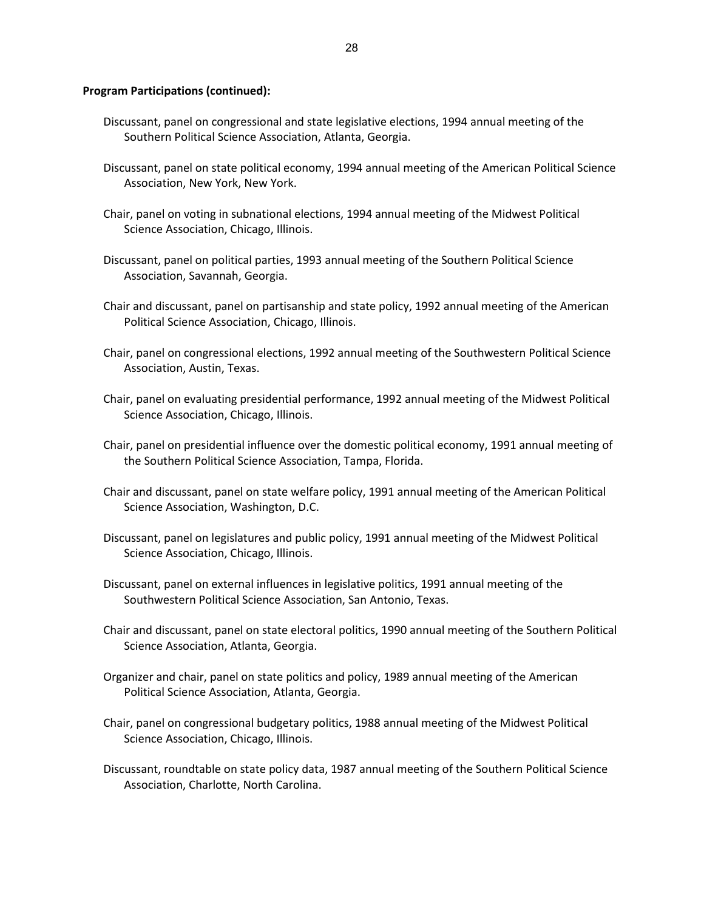- Discussant, panel on congressional and state legislative elections, 1994 annual meeting of the Southern Political Science Association, Atlanta, Georgia.
- Discussant, panel on state political economy, 1994 annual meeting of the American Political Science Association, New York, New York.
- Chair, panel on voting in subnational elections, 1994 annual meeting of the Midwest Political Science Association, Chicago, Illinois.
- Discussant, panel on political parties, 1993 annual meeting of the Southern Political Science Association, Savannah, Georgia.
- Chair and discussant, panel on partisanship and state policy, 1992 annual meeting of the American Political Science Association, Chicago, Illinois.
- Chair, panel on congressional elections, 1992 annual meeting of the Southwestern Political Science Association, Austin, Texas.
- Chair, panel on evaluating presidential performance, 1992 annual meeting of the Midwest Political Science Association, Chicago, Illinois.
- Chair, panel on presidential influence over the domestic political economy, 1991 annual meeting of the Southern Political Science Association, Tampa, Florida.
- Chair and discussant, panel on state welfare policy, 1991 annual meeting of the American Political Science Association, Washington, D.C.
- Discussant, panel on legislatures and public policy, 1991 annual meeting of the Midwest Political Science Association, Chicago, Illinois.
- Discussant, panel on external influences in legislative politics, 1991 annual meeting of the Southwestern Political Science Association, San Antonio, Texas.
- Chair and discussant, panel on state electoral politics, 1990 annual meeting of the Southern Political Science Association, Atlanta, Georgia.
- Organizer and chair, panel on state politics and policy, 1989 annual meeting of the American Political Science Association, Atlanta, Georgia.
- Chair, panel on congressional budgetary politics, 1988 annual meeting of the Midwest Political Science Association, Chicago, Illinois.
- Discussant, roundtable on state policy data, 1987 annual meeting of the Southern Political Science Association, Charlotte, North Carolina.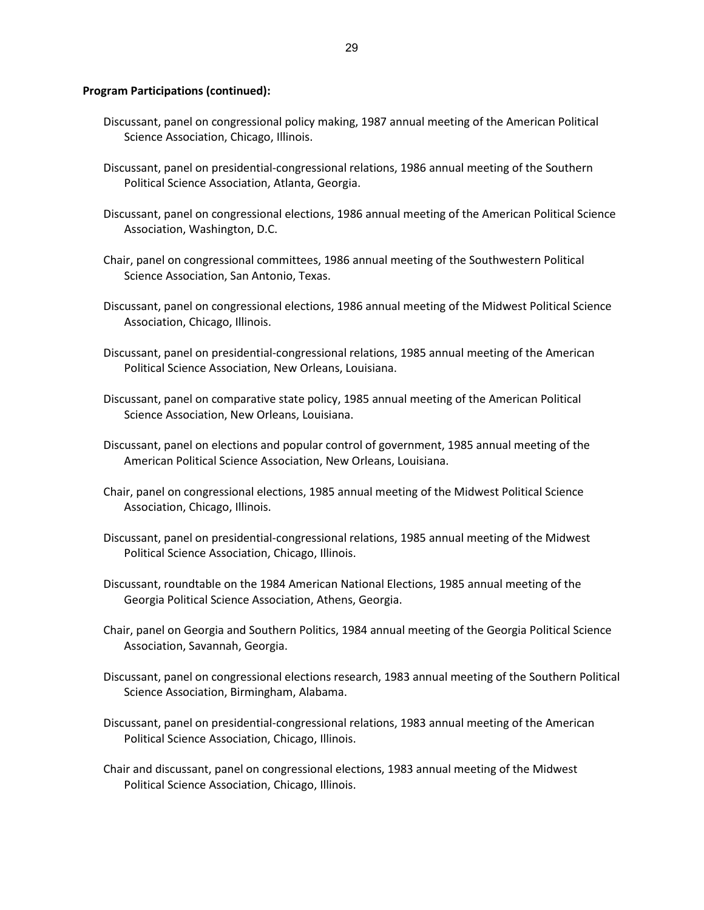- Discussant, panel on congressional policy making, 1987 annual meeting of the American Political Science Association, Chicago, Illinois.
- Discussant, panel on presidential-congressional relations, 1986 annual meeting of the Southern Political Science Association, Atlanta, Georgia.
- Discussant, panel on congressional elections, 1986 annual meeting of the American Political Science Association, Washington, D.C.
- Chair, panel on congressional committees, 1986 annual meeting of the Southwestern Political Science Association, San Antonio, Texas.
- Discussant, panel on congressional elections, 1986 annual meeting of the Midwest Political Science Association, Chicago, Illinois.
- Discussant, panel on presidential-congressional relations, 1985 annual meeting of the American Political Science Association, New Orleans, Louisiana.
- Discussant, panel on comparative state policy, 1985 annual meeting of the American Political Science Association, New Orleans, Louisiana.
- Discussant, panel on elections and popular control of government, 1985 annual meeting of the American Political Science Association, New Orleans, Louisiana.
- Chair, panel on congressional elections, 1985 annual meeting of the Midwest Political Science Association, Chicago, Illinois.
- Discussant, panel on presidential-congressional relations, 1985 annual meeting of the Midwest Political Science Association, Chicago, Illinois.
- Discussant, roundtable on the 1984 American National Elections, 1985 annual meeting of the Georgia Political Science Association, Athens, Georgia.
- Chair, panel on Georgia and Southern Politics, 1984 annual meeting of the Georgia Political Science Association, Savannah, Georgia.
- Discussant, panel on congressional elections research, 1983 annual meeting of the Southern Political Science Association, Birmingham, Alabama.
- Discussant, panel on presidential-congressional relations, 1983 annual meeting of the American Political Science Association, Chicago, Illinois.
- Chair and discussant, panel on congressional elections, 1983 annual meeting of the Midwest Political Science Association, Chicago, Illinois.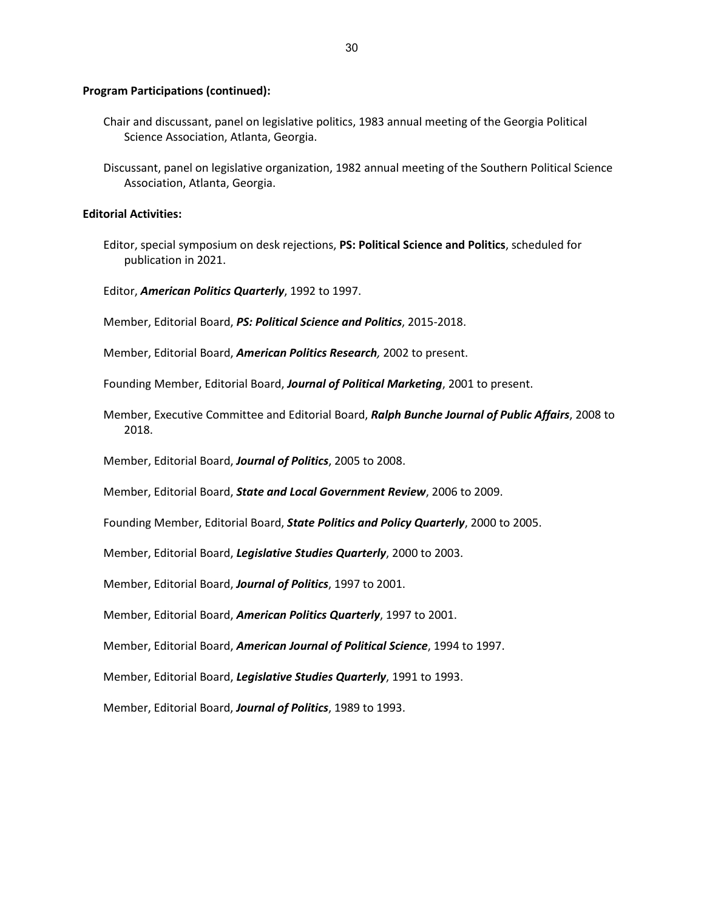- Chair and discussant, panel on legislative politics, 1983 annual meeting of the Georgia Political Science Association, Atlanta, Georgia.
- Discussant, panel on legislative organization, 1982 annual meeting of the Southern Political Science Association, Atlanta, Georgia.

# **Editorial Activities:**

- Editor, special symposium on desk rejections, **PS: Political Science and Politics**, scheduled for publication in 2021.
- Editor, *American Politics Quarterly*, 1992 to 1997.
- Member, Editorial Board, *PS: Political Science and Politics*, 2015-2018.
- Member, Editorial Board, *American Politics Research,* 2002 to present.
- Founding Member, Editorial Board, *Journal of Political Marketing*, 2001 to present.
- Member, Executive Committee and Editorial Board, *Ralph Bunche Journal of Public Affairs*, 2008 to 2018.
- Member, Editorial Board, *Journal of Politics*, 2005 to 2008.
- Member, Editorial Board, *State and Local Government Review*, 2006 to 2009.
- Founding Member, Editorial Board, *State Politics and Policy Quarterly*, 2000 to 2005.
- Member, Editorial Board, *Legislative Studies Quarterly*, 2000 to 2003.
- Member, Editorial Board, *Journal of Politics*, 1997 to 2001.
- Member, Editorial Board, *American Politics Quarterly*, 1997 to 2001.
- Member, Editorial Board, *American Journal of Political Science*, 1994 to 1997.
- Member, Editorial Board, *Legislative Studies Quarterly*, 1991 to 1993.
- Member, Editorial Board, *Journal of Politics*, 1989 to 1993.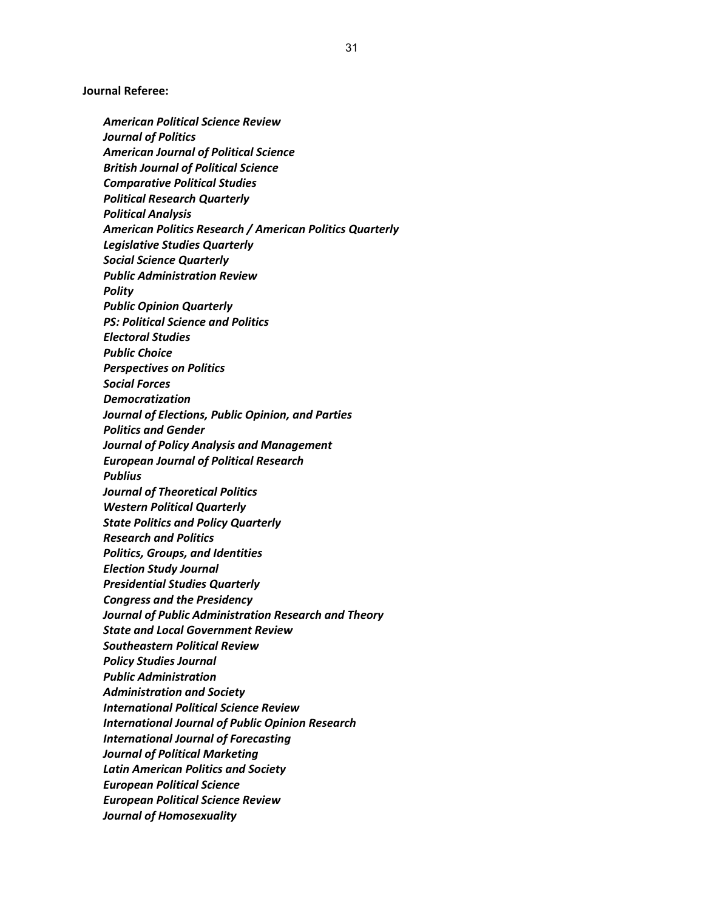**Journal Referee:**

*American Political Science Review Journal of Politics American Journal of Political Science British Journal of Political Science Comparative Political Studies Political Research Quarterly Political Analysis American Politics Research / American Politics Quarterly Legislative Studies Quarterly Social Science Quarterly Public Administration Review Polity Public Opinion Quarterly PS: Political Science and Politics Electoral Studies Public Choice Perspectives on Politics Social Forces Democratization Journal of Elections, Public Opinion, and Parties Politics and Gender Journal of Policy Analysis and Management European Journal of Political Research Publius Journal of Theoretical Politics Western Political Quarterly State Politics and Policy Quarterly Research and Politics Politics, Groups, and Identities Election Study Journal Presidential Studies Quarterly Congress and the Presidency Journal of Public Administration Research and Theory State and Local Government Review Southeastern Political Review Policy Studies Journal Public Administration Administration and Society International Political Science Review International Journal of Public Opinion Research International Journal of Forecasting Journal of Political Marketing Latin American Politics and Society European Political Science European Political Science Review Journal of Homosexuality*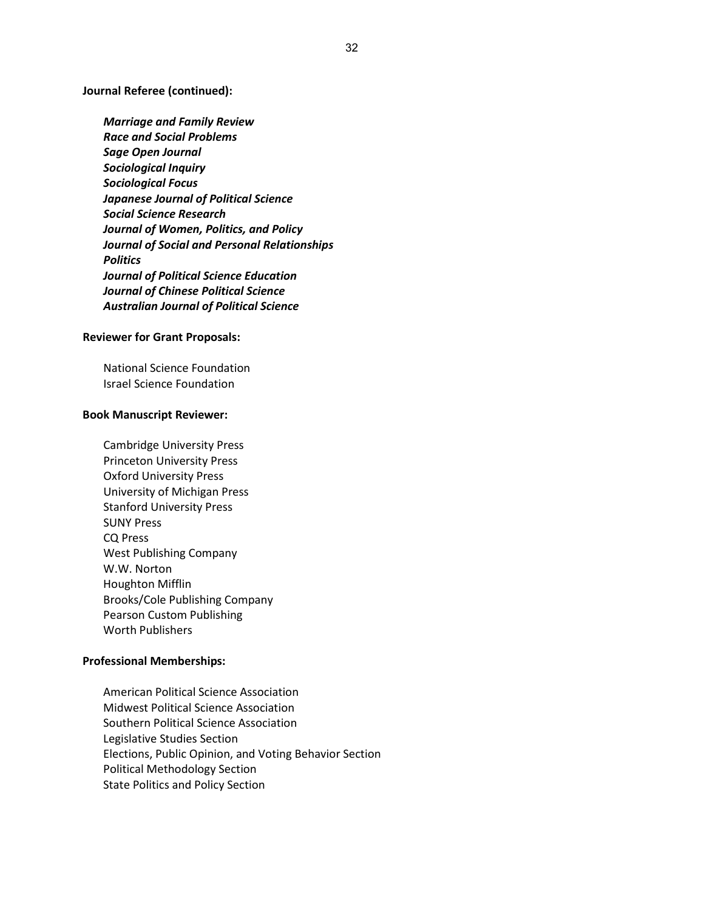**Journal Referee (continued):**

*Marriage and Family Review Race and Social Problems Sage Open Journal Sociological Inquiry Sociological Focus Japanese Journal of Political Science Social Science Research Journal of Women, Politics, and Policy Journal of Social and Personal Relationships Politics Journal of Political Science Education Journal of Chinese Political Science Australian Journal of Political Science*

### **Reviewer for Grant Proposals:**

National Science Foundation Israel Science Foundation

### **Book Manuscript Reviewer:**

Cambridge University Press Princeton University Press Oxford University Press University of Michigan Press Stanford University Press SUNY Press CQ Press West Publishing Company W.W. Norton Houghton Mifflin Brooks/Cole Publishing Company Pearson Custom Publishing Worth Publishers

# **Professional Memberships:**

American Political Science Association Midwest Political Science Association Southern Political Science Association Legislative Studies Section Elections, Public Opinion, and Voting Behavior Section Political Methodology Section State Politics and Policy Section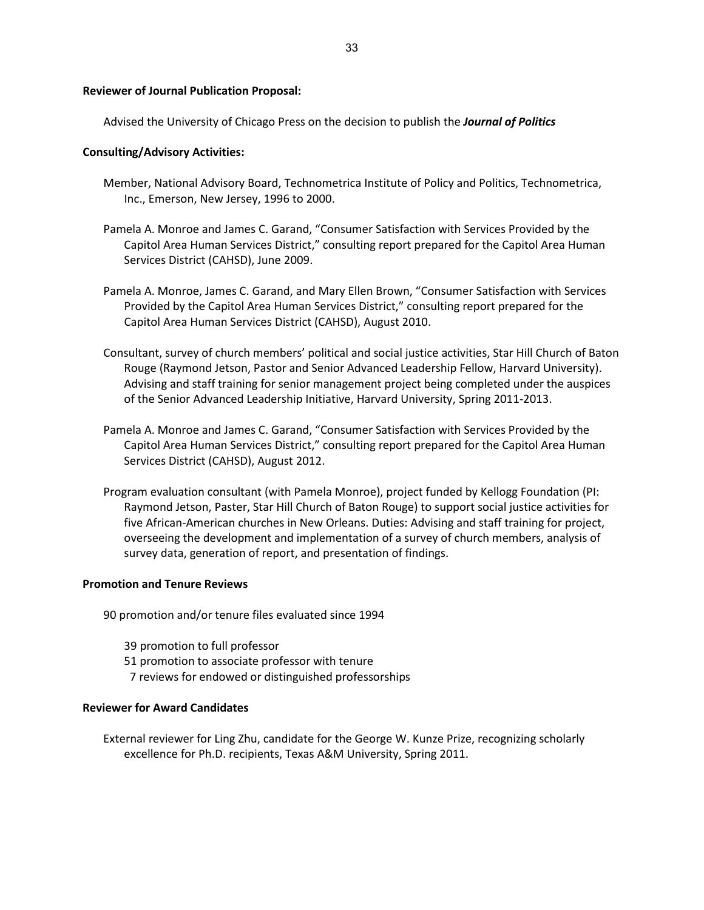33

### **Reviewer of Journal Publication Proposal:**

Advised the University of Chicago Press on the decision to publish the *Journal of Politics*

### **Consulting/Advisory Activities:**

- Member, National Advisory Board, Technometrica Institute of Policy and Politics, Technometrica, Inc., Emerson, New Jersey, 1996 to 2000.
- Pamela A. Monroe and James C. Garand, "Consumer Satisfaction with Services Provided by the Capitol Area Human Services District," consulting report prepared for the Capitol Area Human Services District (CAHSD), June 2009.
- Pamela A. Monroe, James C. Garand, and Mary Ellen Brown, "Consumer Satisfaction with Services Provided by the Capitol Area Human Services District," consulting report prepared for the Capitol Area Human Services District (CAHSD), August 2010.
- Consultant, survey of church members' political and social justice activities, Star Hill Church of Baton Rouge (Raymond Jetson, Pastor and Senior Advanced Leadership Fellow, Harvard University). Advising and staff training for senior management project being completed under the auspices of the Senior Advanced Leadership Initiative, Harvard University, Spring 2011-2013.
- Pamela A. Monroe and James C. Garand, "Consumer Satisfaction with Services Provided by the Capitol Area Human Services District," consulting report prepared for the Capitol Area Human Services District (CAHSD), August 2012.
- Program evaluation consultant (with Pamela Monroe), project funded by Kellogg Foundation (PI: Raymond Jetson, Paster, Star Hill Church of Baton Rouge) to support social justice activities for five African-American churches in New Orleans. Duties: Advising and staff training for project, overseeing the development and implementation of a survey of church members, analysis of survey data, generation of report, and presentation of findings.

### **Promotion and Tenure Reviews**

90 promotion and/or tenure files evaluated since 1994

- 39 promotion to full professor
- 51 promotion to associate professor with tenure
- 7 reviews for endowed or distinguished professorships

# **Reviewer for Award Candidates**

External reviewer for Ling Zhu, candidate for the George W. Kunze Prize, recognizing scholarly excellence for Ph.D. recipients, Texas A&M University, Spring 2011.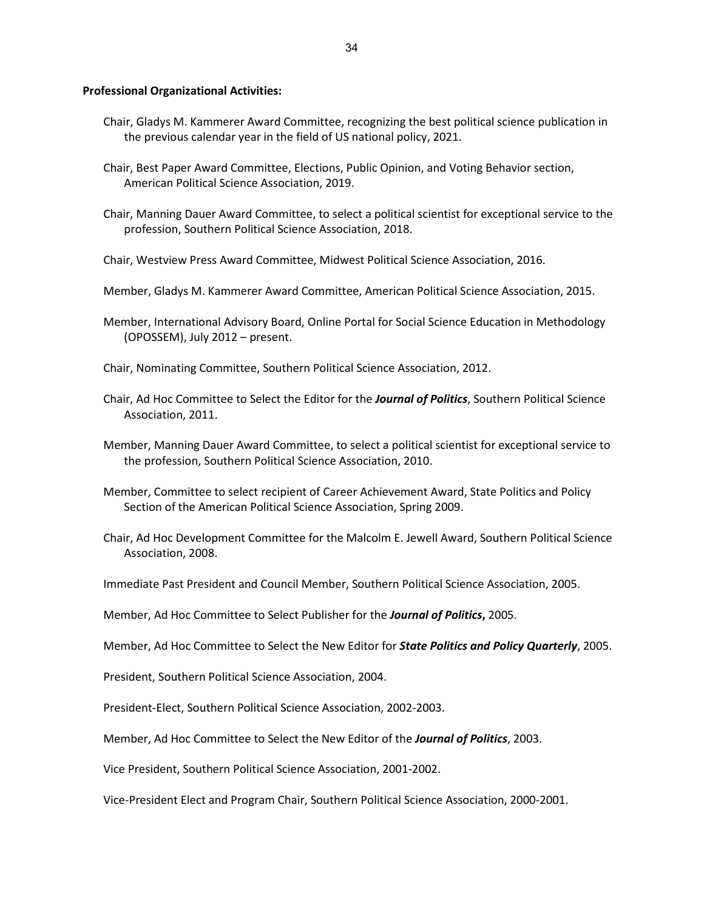#### **Professional Organizational Activities:**

- Chair, Gladys M. Kammerer Award Committee, recognizing the best political science publication in the previous calendar year in the field of US national policy, 2021.
- Chair, Best Paper Award Committee, Elections, Public Opinion, and Voting Behavior section, American Political Science Association, 2019.
- Chair, Manning Dauer Award Committee, to select a political scientist for exceptional service to the profession, Southern Political Science Association, 2018.
- Chair, Westview Press Award Committee, Midwest Political Science Association, 2016.
- Member, Gladys M. Kammerer Award Committee, American Political Science Association, 2015.
- Member, International Advisory Board, Online Portal for Social Science Education in Methodology (OPOSSEM), July 2012 – present.
- Chair, Nominating Committee, Southern Political Science Association, 2012.
- Chair, Ad Hoc Committee to Select the Editor for the *Journal of Politics*, Southern Political Science Association, 2011.
- Member, Manning Dauer Award Committee, to select a political scientist for exceptional service to the profession, Southern Political Science Association, 2010.
- Member, Committee to select recipient of Career Achievement Award, State Politics and Policy Section of the American Political Science Association, Spring 2009.
- Chair, Ad Hoc Development Committee for the Malcolm E. Jewell Award, Southern Political Science Association, 2008.
- Immediate Past President and Council Member, Southern Political Science Association, 2005.
- Member, Ad Hoc Committee to Select Publisher for the *Journal of Politics***,** 2005.
- Member, Ad Hoc Committee to Select the New Editor for *State Politics and Policy Quarterly*, 2005.
- President, Southern Political Science Association, 2004.
- President-Elect, Southern Political Science Association, 2002-2003.
- Member, Ad Hoc Committee to Select the New Editor of the *Journal of Politics*, 2003.
- Vice President, Southern Political Science Association, 2001-2002.

Vice-President Elect and Program Chair, Southern Political Science Association, 2000-2001.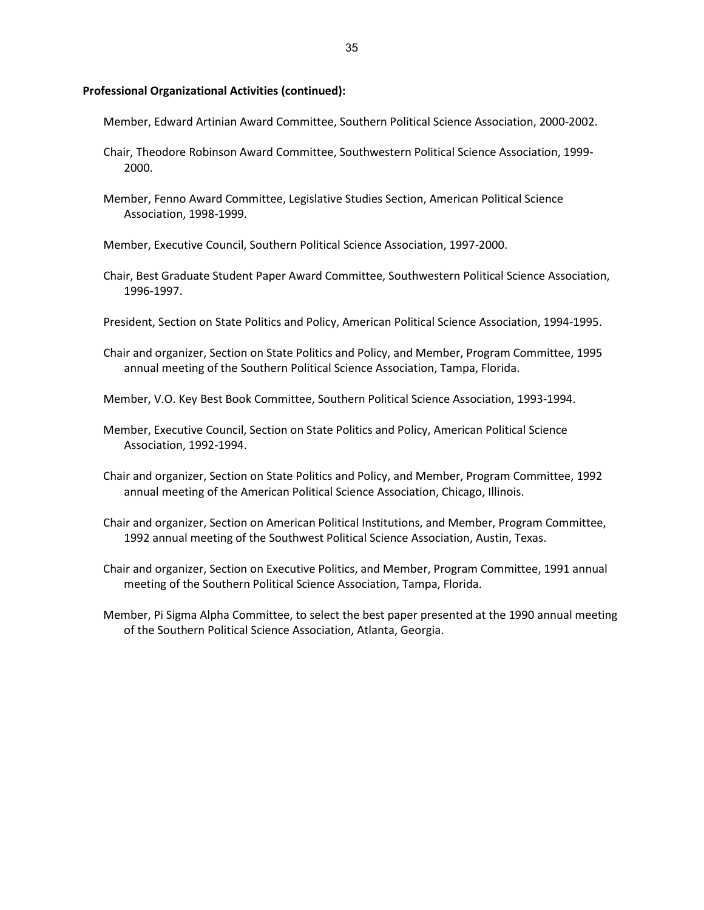#### **Professional Organizational Activities (continued):**

Member, Edward Artinian Award Committee, Southern Political Science Association, 2000-2002.

- Chair, Theodore Robinson Award Committee, Southwestern Political Science Association, 1999- 2000.
- Member, Fenno Award Committee, Legislative Studies Section, American Political Science Association, 1998-1999.

Member, Executive Council, Southern Political Science Association, 1997-2000.

- Chair, Best Graduate Student Paper Award Committee, Southwestern Political Science Association, 1996-1997.
- President, Section on State Politics and Policy, American Political Science Association, 1994-1995.
- Chair and organizer, Section on State Politics and Policy, and Member, Program Committee, 1995 annual meeting of the Southern Political Science Association, Tampa, Florida.

Member, V.O. Key Best Book Committee, Southern Political Science Association, 1993-1994.

- Member, Executive Council, Section on State Politics and Policy, American Political Science Association, 1992-1994.
- Chair and organizer, Section on State Politics and Policy, and Member, Program Committee, 1992 annual meeting of the American Political Science Association, Chicago, Illinois.
- Chair and organizer, Section on American Political Institutions, and Member, Program Committee, 1992 annual meeting of the Southwest Political Science Association, Austin, Texas.
- Chair and organizer, Section on Executive Politics, and Member, Program Committee, 1991 annual meeting of the Southern Political Science Association, Tampa, Florida.
- Member, Pi Sigma Alpha Committee, to select the best paper presented at the 1990 annual meeting of the Southern Political Science Association, Atlanta, Georgia.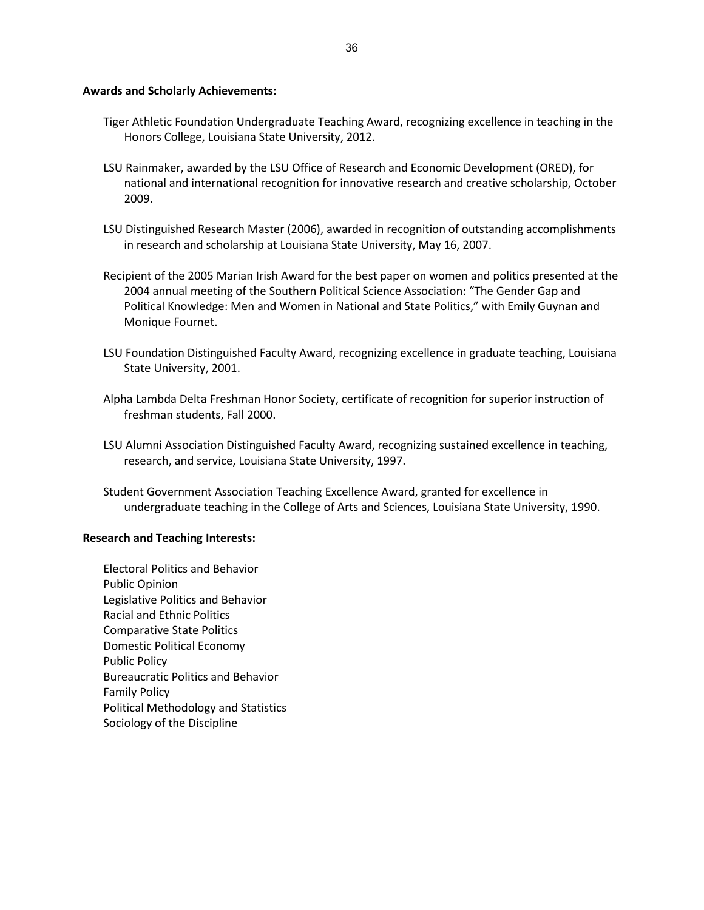# **Awards and Scholarly Achievements:**

- Tiger Athletic Foundation Undergraduate Teaching Award, recognizing excellence in teaching in the Honors College, Louisiana State University, 2012.
- LSU Rainmaker, awarded by the LSU Office of Research and Economic Development (ORED), for national and international recognition for innovative research and creative scholarship, October 2009.
- LSU Distinguished Research Master (2006), awarded in recognition of outstanding accomplishments in research and scholarship at Louisiana State University, May 16, 2007.
- Recipient of the 2005 Marian Irish Award for the best paper on women and politics presented at the 2004 annual meeting of the Southern Political Science Association: "The Gender Gap and Political Knowledge: Men and Women in National and State Politics," with Emily Guynan and Monique Fournet.
- LSU Foundation Distinguished Faculty Award, recognizing excellence in graduate teaching, Louisiana State University, 2001.
- Alpha Lambda Delta Freshman Honor Society, certificate of recognition for superior instruction of freshman students, Fall 2000.
- LSU Alumni Association Distinguished Faculty Award, recognizing sustained excellence in teaching, research, and service, Louisiana State University, 1997.
- Student Government Association Teaching Excellence Award, granted for excellence in undergraduate teaching in the College of Arts and Sciences, Louisiana State University, 1990.

## **Research and Teaching Interests:**

Electoral Politics and Behavior Public Opinion Legislative Politics and Behavior Racial and Ethnic Politics Comparative State Politics Domestic Political Economy Public Policy Bureaucratic Politics and Behavior Family Policy Political Methodology and Statistics Sociology of the Discipline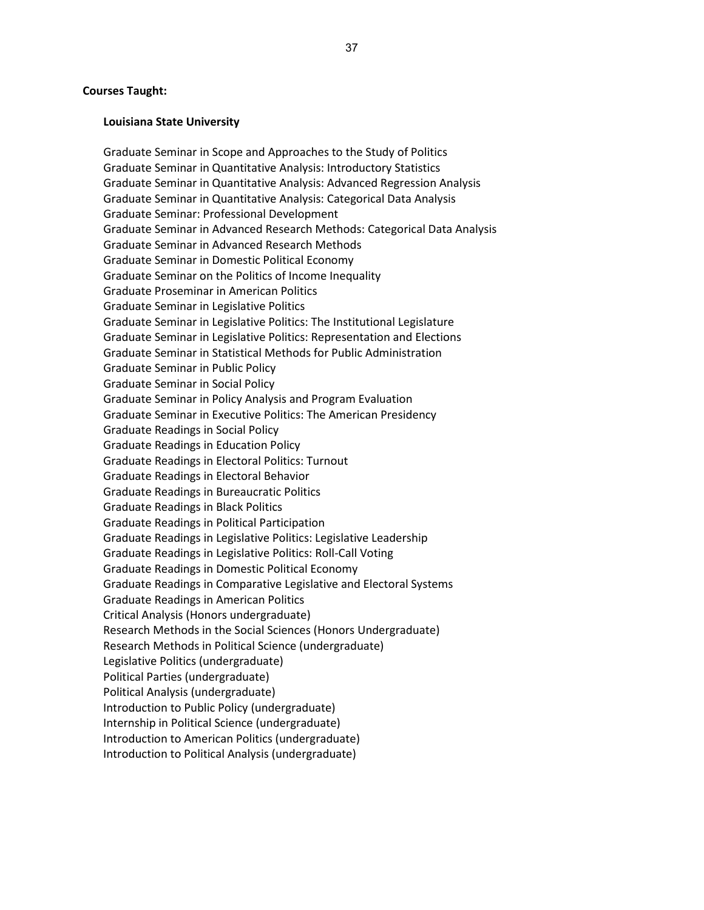#### **Courses Taught:**

#### **Louisiana State University**

Graduate Seminar in Scope and Approaches to the Study of Politics Graduate Seminar in Quantitative Analysis: Introductory Statistics Graduate Seminar in Quantitative Analysis: Advanced Regression Analysis Graduate Seminar in Quantitative Analysis: Categorical Data Analysis Graduate Seminar: Professional Development Graduate Seminar in Advanced Research Methods: Categorical Data Analysis Graduate Seminar in Advanced Research Methods Graduate Seminar in Domestic Political Economy Graduate Seminar on the Politics of Income Inequality Graduate Proseminar in American Politics Graduate Seminar in Legislative Politics Graduate Seminar in Legislative Politics: The Institutional Legislature Graduate Seminar in Legislative Politics: Representation and Elections Graduate Seminar in Statistical Methods for Public Administration Graduate Seminar in Public Policy Graduate Seminar in Social Policy Graduate Seminar in Policy Analysis and Program Evaluation Graduate Seminar in Executive Politics: The American Presidency Graduate Readings in Social Policy Graduate Readings in Education Policy Graduate Readings in Electoral Politics: Turnout Graduate Readings in Electoral Behavior Graduate Readings in Bureaucratic Politics Graduate Readings in Black Politics Graduate Readings in Political Participation Graduate Readings in Legislative Politics: Legislative Leadership Graduate Readings in Legislative Politics: Roll-Call Voting Graduate Readings in Domestic Political Economy Graduate Readings in Comparative Legislative and Electoral Systems Graduate Readings in American Politics Critical Analysis (Honors undergraduate) Research Methods in the Social Sciences (Honors Undergraduate) Research Methods in Political Science (undergraduate) Legislative Politics (undergraduate) Political Parties (undergraduate) Political Analysis (undergraduate) Introduction to Public Policy (undergraduate) Internship in Political Science (undergraduate) Introduction to American Politics (undergraduate) Introduction to Political Analysis (undergraduate)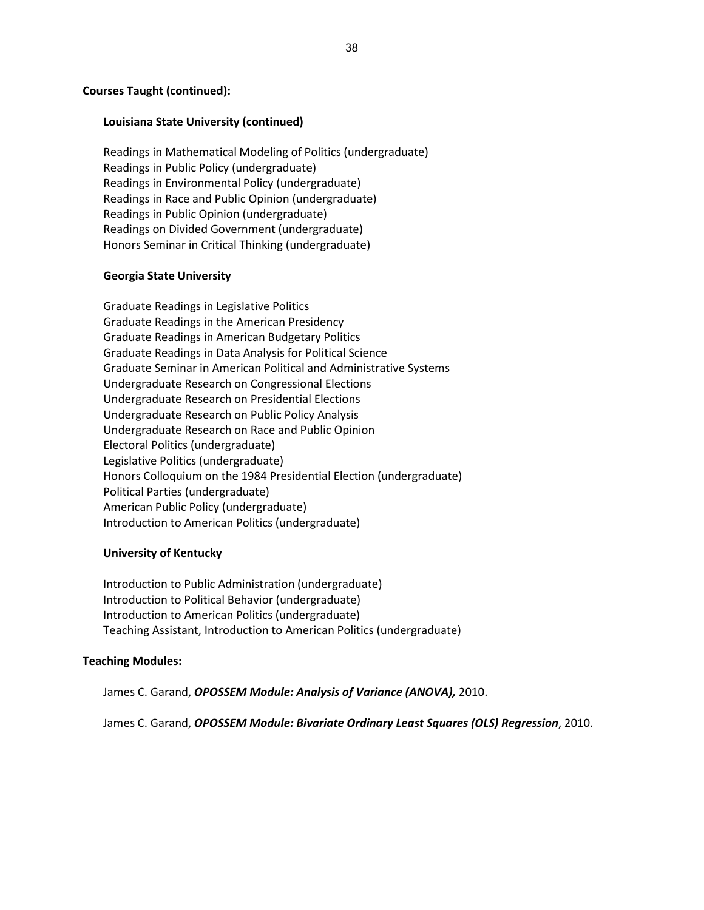## **Courses Taught (continued):**

### **Louisiana State University (continued)**

Readings in Mathematical Modeling of Politics (undergraduate) Readings in Public Policy (undergraduate) Readings in Environmental Policy (undergraduate) Readings in Race and Public Opinion (undergraduate) Readings in Public Opinion (undergraduate) Readings on Divided Government (undergraduate) Honors Seminar in Critical Thinking (undergraduate)

### **Georgia State University**

Graduate Readings in Legislative Politics Graduate Readings in the American Presidency Graduate Readings in American Budgetary Politics Graduate Readings in Data Analysis for Political Science Graduate Seminar in American Political and Administrative Systems Undergraduate Research on Congressional Elections Undergraduate Research on Presidential Elections Undergraduate Research on Public Policy Analysis Undergraduate Research on Race and Public Opinion Electoral Politics (undergraduate) Legislative Politics (undergraduate) Honors Colloquium on the 1984 Presidential Election (undergraduate) Political Parties (undergraduate) American Public Policy (undergraduate) Introduction to American Politics (undergraduate)

### **University of Kentucky**

Introduction to Public Administration (undergraduate) Introduction to Political Behavior (undergraduate) Introduction to American Politics (undergraduate) Teaching Assistant, Introduction to American Politics (undergraduate)

#### **Teaching Modules:**

James C. Garand, *OPOSSEM Module: Analysis of Variance (ANOVA),* 2010.

James C. Garand, *OPOSSEM Module: Bivariate Ordinary Least Squares (OLS) Regression*, 2010.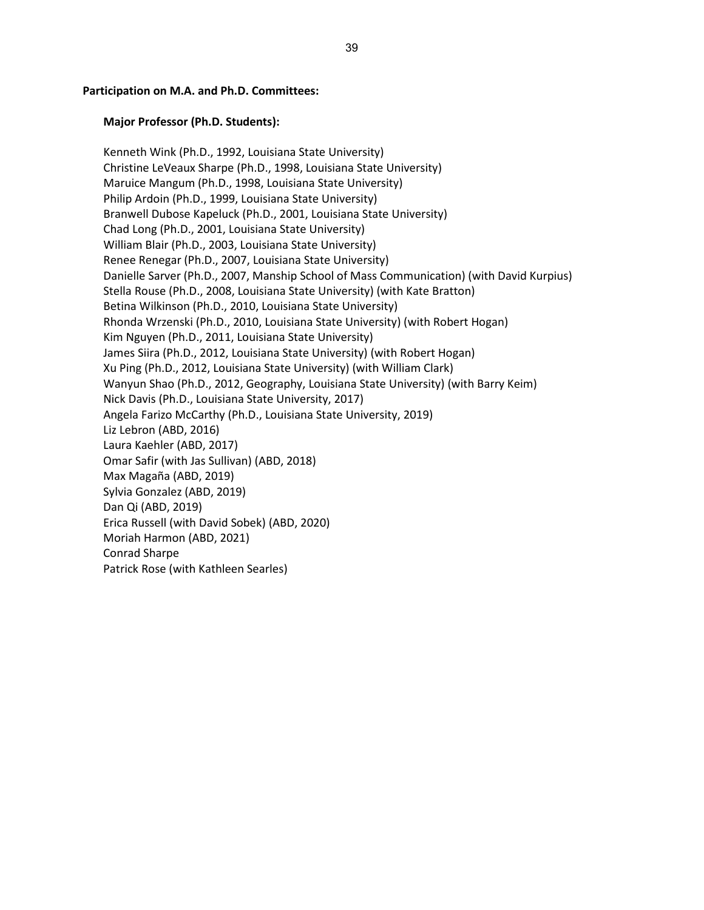### **Participation on M.A. and Ph.D. Committees:**

# **Major Professor (Ph.D. Students):**

Kenneth Wink (Ph.D., 1992, Louisiana State University) Christine LeVeaux Sharpe (Ph.D., 1998, Louisiana State University) Maruice Mangum (Ph.D., 1998, Louisiana State University) Philip Ardoin (Ph.D., 1999, Louisiana State University) Branwell Dubose Kapeluck (Ph.D., 2001, Louisiana State University) Chad Long (Ph.D., 2001, Louisiana State University) William Blair (Ph.D., 2003, Louisiana State University) Renee Renegar (Ph.D., 2007, Louisiana State University) Danielle Sarver (Ph.D., 2007, Manship School of Mass Communication) (with David Kurpius) Stella Rouse (Ph.D., 2008, Louisiana State University) (with Kate Bratton) Betina Wilkinson (Ph.D., 2010, Louisiana State University) Rhonda Wrzenski (Ph.D., 2010, Louisiana State University) (with Robert Hogan) Kim Nguyen (Ph.D., 2011, Louisiana State University) James Siira (Ph.D., 2012, Louisiana State University) (with Robert Hogan) Xu Ping (Ph.D., 2012, Louisiana State University) (with William Clark) Wanyun Shao (Ph.D., 2012, Geography, Louisiana State University) (with Barry Keim) Nick Davis (Ph.D., Louisiana State University, 2017) Angela Farizo McCarthy (Ph.D., Louisiana State University, 2019) Liz Lebron (ABD, 2016) Laura Kaehler (ABD, 2017) Omar Safir (with Jas Sullivan) (ABD, 2018) Max Magaña (ABD, 2019) Sylvia Gonzalez (ABD, 2019) Dan Qi (ABD, 2019) Erica Russell (with David Sobek) (ABD, 2020) Moriah Harmon (ABD, 2021) Conrad Sharpe Patrick Rose (with Kathleen Searles)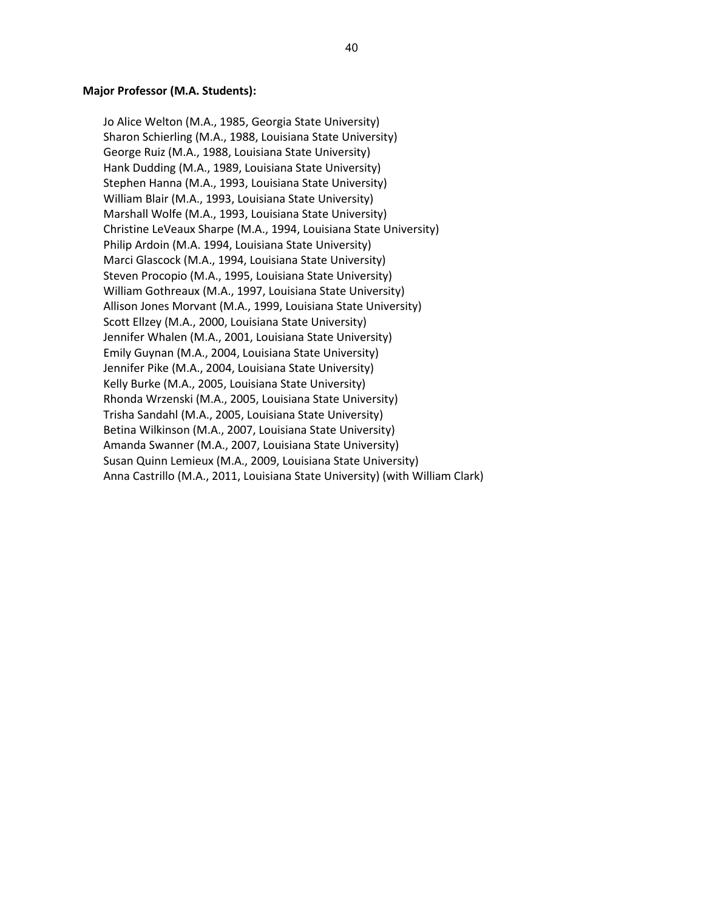#### **Major Professor (M.A. Students):**

Jo Alice Welton (M.A., 1985, Georgia State University) Sharon Schierling (M.A., 1988, Louisiana State University) George Ruiz (M.A., 1988, Louisiana State University) Hank Dudding (M.A., 1989, Louisiana State University) Stephen Hanna (M.A., 1993, Louisiana State University) William Blair (M.A., 1993, Louisiana State University) Marshall Wolfe (M.A., 1993, Louisiana State University) Christine LeVeaux Sharpe (M.A., 1994, Louisiana State University) Philip Ardoin (M.A. 1994, Louisiana State University) Marci Glascock (M.A., 1994, Louisiana State University) Steven Procopio (M.A., 1995, Louisiana State University) William Gothreaux (M.A., 1997, Louisiana State University) Allison Jones Morvant (M.A., 1999, Louisiana State University) Scott Ellzey (M.A., 2000, Louisiana State University) Jennifer Whalen (M.A., 2001, Louisiana State University) Emily Guynan (M.A., 2004, Louisiana State University) Jennifer Pike (M.A., 2004, Louisiana State University) Kelly Burke (M.A., 2005, Louisiana State University) Rhonda Wrzenski (M.A., 2005, Louisiana State University) Trisha Sandahl (M.A., 2005, Louisiana State University) Betina Wilkinson (M.A., 2007, Louisiana State University) Amanda Swanner (M.A., 2007, Louisiana State University) Susan Quinn Lemieux (M.A., 2009, Louisiana State University) Anna Castrillo (M.A., 2011, Louisiana State University) (with William Clark)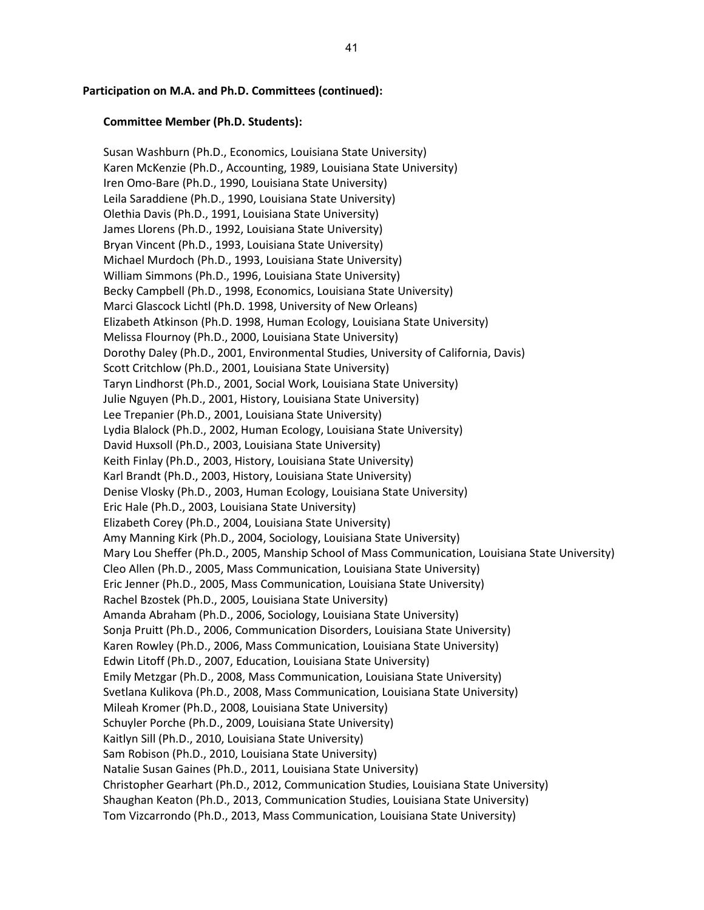#### **Participation on M.A. and Ph.D. Committees (continued):**

#### **Committee Member (Ph.D. Students):**

Susan Washburn (Ph.D., Economics, Louisiana State University) Karen McKenzie (Ph.D., Accounting, 1989, Louisiana State University) Iren Omo-Bare (Ph.D., 1990, Louisiana State University) Leila Saraddiene (Ph.D., 1990, Louisiana State University) Olethia Davis (Ph.D., 1991, Louisiana State University) James Llorens (Ph.D., 1992, Louisiana State University) Bryan Vincent (Ph.D., 1993, Louisiana State University) Michael Murdoch (Ph.D., 1993, Louisiana State University) William Simmons (Ph.D., 1996, Louisiana State University) Becky Campbell (Ph.D., 1998, Economics, Louisiana State University) Marci Glascock Lichtl (Ph.D. 1998, University of New Orleans) Elizabeth Atkinson (Ph.D. 1998, Human Ecology, Louisiana State University) Melissa Flournoy (Ph.D., 2000, Louisiana State University) Dorothy Daley (Ph.D., 2001, Environmental Studies, University of California, Davis) Scott Critchlow (Ph.D., 2001, Louisiana State University) Taryn Lindhorst (Ph.D., 2001, Social Work, Louisiana State University) Julie Nguyen (Ph.D., 2001, History, Louisiana State University) Lee Trepanier (Ph.D., 2001, Louisiana State University) Lydia Blalock (Ph.D., 2002, Human Ecology, Louisiana State University) David Huxsoll (Ph.D., 2003, Louisiana State University) Keith Finlay (Ph.D., 2003, History, Louisiana State University) Karl Brandt (Ph.D., 2003, History, Louisiana State University) Denise Vlosky (Ph.D., 2003, Human Ecology, Louisiana State University) Eric Hale (Ph.D., 2003, Louisiana State University) Elizabeth Corey (Ph.D., 2004, Louisiana State University) Amy Manning Kirk (Ph.D., 2004, Sociology, Louisiana State University) Mary Lou Sheffer (Ph.D., 2005, Manship School of Mass Communication, Louisiana State University) Cleo Allen (Ph.D., 2005, Mass Communication, Louisiana State University) Eric Jenner (Ph.D., 2005, Mass Communication, Louisiana State University) Rachel Bzostek (Ph.D., 2005, Louisiana State University) Amanda Abraham (Ph.D., 2006, Sociology, Louisiana State University) Sonja Pruitt (Ph.D., 2006, Communication Disorders, Louisiana State University) Karen Rowley (Ph.D., 2006, Mass Communication, Louisiana State University) Edwin Litoff (Ph.D., 2007, Education, Louisiana State University) Emily Metzgar (Ph.D., 2008, Mass Communication, Louisiana State University) Svetlana Kulikova (Ph.D., 2008, Mass Communication, Louisiana State University) Mileah Kromer (Ph.D., 2008, Louisiana State University) Schuyler Porche (Ph.D., 2009, Louisiana State University) Kaitlyn Sill (Ph.D., 2010, Louisiana State University) Sam Robison (Ph.D., 2010, Louisiana State University) Natalie Susan Gaines (Ph.D., 2011, Louisiana State University) Christopher Gearhart (Ph.D., 2012, Communication Studies, Louisiana State University) Shaughan Keaton (Ph.D., 2013, Communication Studies, Louisiana State University) Tom Vizcarrondo (Ph.D., 2013, Mass Communication, Louisiana State University)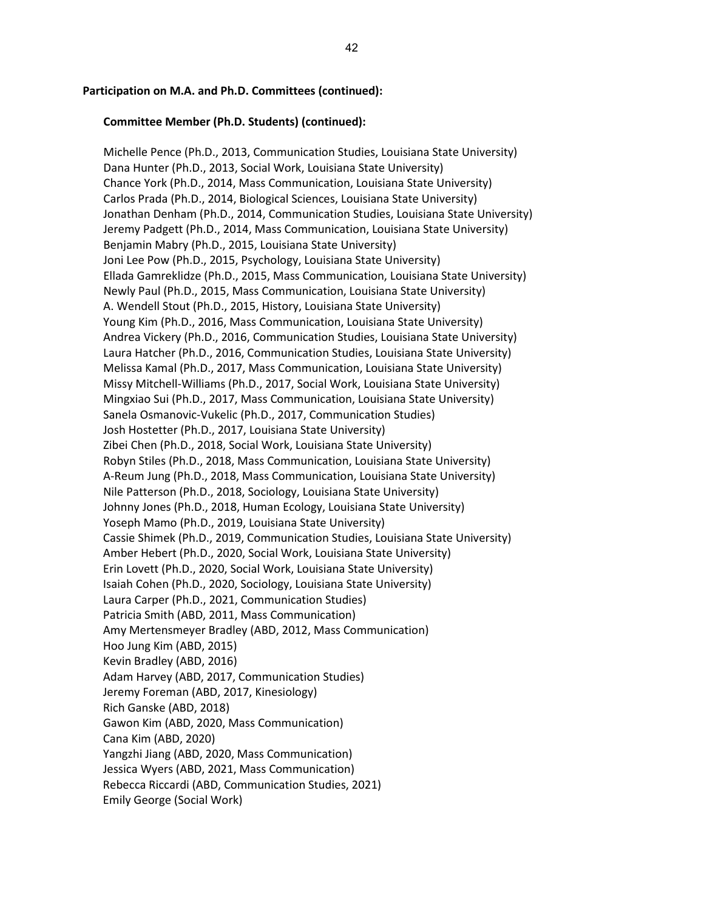#### **Participation on M.A. and Ph.D. Committees (continued):**

### **Committee Member (Ph.D. Students) (continued):**

Michelle Pence (Ph.D., 2013, Communication Studies, Louisiana State University) Dana Hunter (Ph.D., 2013, Social Work, Louisiana State University) Chance York (Ph.D., 2014, Mass Communication, Louisiana State University) Carlos Prada (Ph.D., 2014, Biological Sciences, Louisiana State University) Jonathan Denham (Ph.D., 2014, Communication Studies, Louisiana State University) Jeremy Padgett (Ph.D., 2014, Mass Communication, Louisiana State University) Benjamin Mabry (Ph.D., 2015, Louisiana State University) Joni Lee Pow (Ph.D., 2015, Psychology, Louisiana State University) Ellada Gamreklidze (Ph.D., 2015, Mass Communication, Louisiana State University) Newly Paul (Ph.D., 2015, Mass Communication, Louisiana State University) A. Wendell Stout (Ph.D., 2015, History, Louisiana State University) Young Kim (Ph.D., 2016, Mass Communication, Louisiana State University) Andrea Vickery (Ph.D., 2016, Communication Studies, Louisiana State University) Laura Hatcher (Ph.D., 2016, Communication Studies, Louisiana State University) Melissa Kamal (Ph.D., 2017, Mass Communication, Louisiana State University) Missy Mitchell-Williams (Ph.D., 2017, Social Work, Louisiana State University) Mingxiao Sui (Ph.D., 2017, Mass Communication, Louisiana State University) Sanela Osmanovic-Vukelic (Ph.D., 2017, Communication Studies) Josh Hostetter (Ph.D., 2017, Louisiana State University) Zibei Chen (Ph.D., 2018, Social Work, Louisiana State University) Robyn Stiles (Ph.D., 2018, Mass Communication, Louisiana State University) A-Reum Jung (Ph.D., 2018, Mass Communication, Louisiana State University) Nile Patterson (Ph.D., 2018, Sociology, Louisiana State University) Johnny Jones (Ph.D., 2018, Human Ecology, Louisiana State University) Yoseph Mamo (Ph.D., 2019, Louisiana State University) Cassie Shimek (Ph.D., 2019, Communication Studies, Louisiana State University) Amber Hebert (Ph.D., 2020, Social Work, Louisiana State University) Erin Lovett (Ph.D., 2020, Social Work, Louisiana State University) Isaiah Cohen (Ph.D., 2020, Sociology, Louisiana State University) Laura Carper (Ph.D., 2021, Communication Studies) Patricia Smith (ABD, 2011, Mass Communication) Amy Mertensmeyer Bradley (ABD, 2012, Mass Communication) Hoo Jung Kim (ABD, 2015) Kevin Bradley (ABD, 2016) Adam Harvey (ABD, 2017, Communication Studies) Jeremy Foreman (ABD, 2017, Kinesiology) Rich Ganske (ABD, 2018) Gawon Kim (ABD, 2020, Mass Communication) Cana Kim (ABD, 2020) Yangzhi Jiang (ABD, 2020, Mass Communication) Jessica Wyers (ABD, 2021, Mass Communication) Rebecca Riccardi (ABD, Communication Studies, 2021) Emily George (Social Work)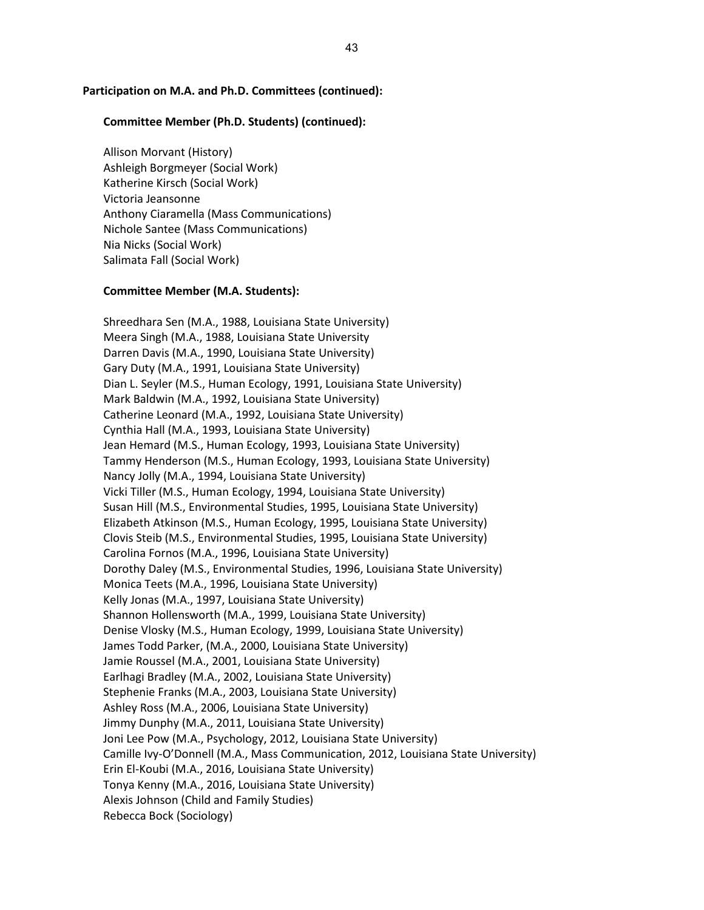# **Participation on M.A. and Ph.D. Committees (continued):**

### **Committee Member (Ph.D. Students) (continued):**

Allison Morvant (History) Ashleigh Borgmeyer (Social Work) Katherine Kirsch (Social Work) Victoria Jeansonne Anthony Ciaramella (Mass Communications) Nichole Santee (Mass Communications) Nia Nicks (Social Work) Salimata Fall (Social Work)

# **Committee Member (M.A. Students):**

Shreedhara Sen (M.A., 1988, Louisiana State University) Meera Singh (M.A., 1988, Louisiana State University Darren Davis (M.A., 1990, Louisiana State University) Gary Duty (M.A., 1991, Louisiana State University) Dian L. Seyler (M.S., Human Ecology, 1991, Louisiana State University) Mark Baldwin (M.A., 1992, Louisiana State University) Catherine Leonard (M.A., 1992, Louisiana State University) Cynthia Hall (M.A., 1993, Louisiana State University) Jean Hemard (M.S., Human Ecology, 1993, Louisiana State University) Tammy Henderson (M.S., Human Ecology, 1993, Louisiana State University) Nancy Jolly (M.A., 1994, Louisiana State University) Vicki Tiller (M.S., Human Ecology, 1994, Louisiana State University) Susan Hill (M.S., Environmental Studies, 1995, Louisiana State University) Elizabeth Atkinson (M.S., Human Ecology, 1995, Louisiana State University) Clovis Steib (M.S., Environmental Studies, 1995, Louisiana State University) Carolina Fornos (M.A., 1996, Louisiana State University) Dorothy Daley (M.S., Environmental Studies, 1996, Louisiana State University) Monica Teets (M.A., 1996, Louisiana State University) Kelly Jonas (M.A., 1997, Louisiana State University) Shannon Hollensworth (M.A., 1999, Louisiana State University) Denise Vlosky (M.S., Human Ecology, 1999, Louisiana State University) James Todd Parker, (M.A., 2000, Louisiana State University) Jamie Roussel (M.A., 2001, Louisiana State University) Earlhagi Bradley (M.A., 2002, Louisiana State University) Stephenie Franks (M.A., 2003, Louisiana State University) Ashley Ross (M.A., 2006, Louisiana State University) Jimmy Dunphy (M.A., 2011, Louisiana State University) Joni Lee Pow (M.A., Psychology, 2012, Louisiana State University) Camille Ivy-O'Donnell (M.A., Mass Communication, 2012, Louisiana State University) Erin El-Koubi (M.A., 2016, Louisiana State University) Tonya Kenny (M.A., 2016, Louisiana State University) Alexis Johnson (Child and Family Studies) Rebecca Bock (Sociology)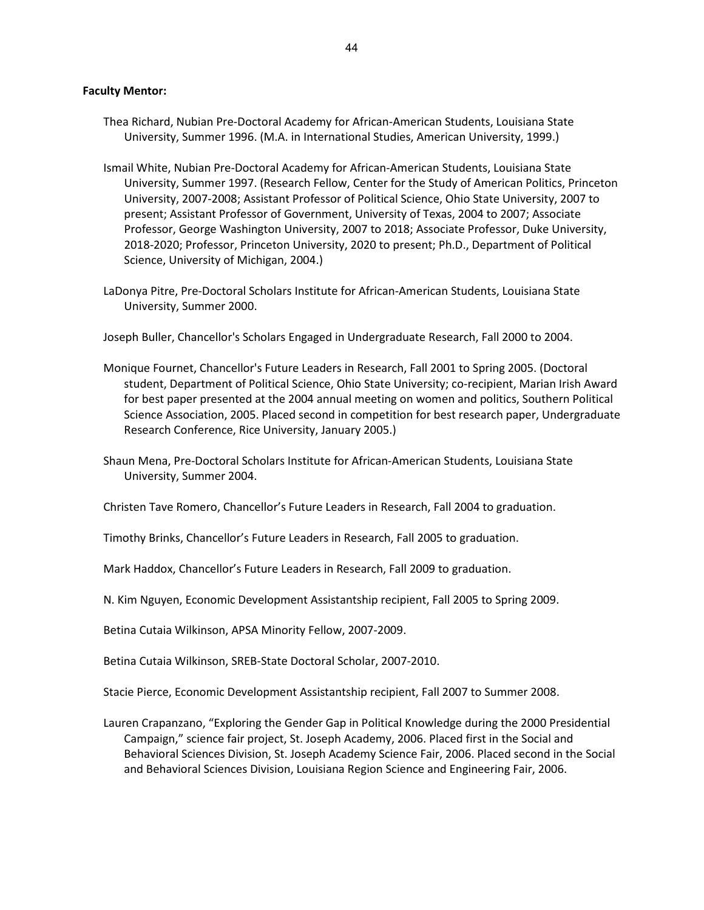# **Faculty Mentor:**

- Thea Richard, Nubian Pre-Doctoral Academy for African-American Students, Louisiana State University, Summer 1996. (M.A. in International Studies, American University, 1999.)
- Ismail White, Nubian Pre-Doctoral Academy for African-American Students, Louisiana State University, Summer 1997. (Research Fellow, Center for the Study of American Politics, Princeton University, 2007-2008; Assistant Professor of Political Science, Ohio State University, 2007 to present; Assistant Professor of Government, University of Texas, 2004 to 2007; Associate Professor, George Washington University, 2007 to 2018; Associate Professor, Duke University, 2018-2020; Professor, Princeton University, 2020 to present; Ph.D., Department of Political Science, University of Michigan, 2004.)
- LaDonya Pitre, Pre-Doctoral Scholars Institute for African-American Students, Louisiana State University, Summer 2000.

Joseph Buller, Chancellor's Scholars Engaged in Undergraduate Research, Fall 2000 to 2004.

- Monique Fournet, Chancellor's Future Leaders in Research, Fall 2001 to Spring 2005. (Doctoral student, Department of Political Science, Ohio State University; co-recipient, Marian Irish Award for best paper presented at the 2004 annual meeting on women and politics, Southern Political Science Association, 2005. Placed second in competition for best research paper, Undergraduate Research Conference, Rice University, January 2005.)
- Shaun Mena, Pre-Doctoral Scholars Institute for African-American Students, Louisiana State University, Summer 2004.

Christen Tave Romero, Chancellor's Future Leaders in Research, Fall 2004 to graduation.

Timothy Brinks, Chancellor's Future Leaders in Research, Fall 2005 to graduation.

Mark Haddox, Chancellor's Future Leaders in Research, Fall 2009 to graduation.

- N. Kim Nguyen, Economic Development Assistantship recipient, Fall 2005 to Spring 2009.
- Betina Cutaia Wilkinson, APSA Minority Fellow, 2007-2009.

Betina Cutaia Wilkinson, SREB-State Doctoral Scholar, 2007-2010.

Stacie Pierce, Economic Development Assistantship recipient, Fall 2007 to Summer 2008.

Lauren Crapanzano, "Exploring the Gender Gap in Political Knowledge during the 2000 Presidential Campaign," science fair project, St. Joseph Academy, 2006. Placed first in the Social and Behavioral Sciences Division, St. Joseph Academy Science Fair, 2006. Placed second in the Social and Behavioral Sciences Division, Louisiana Region Science and Engineering Fair, 2006.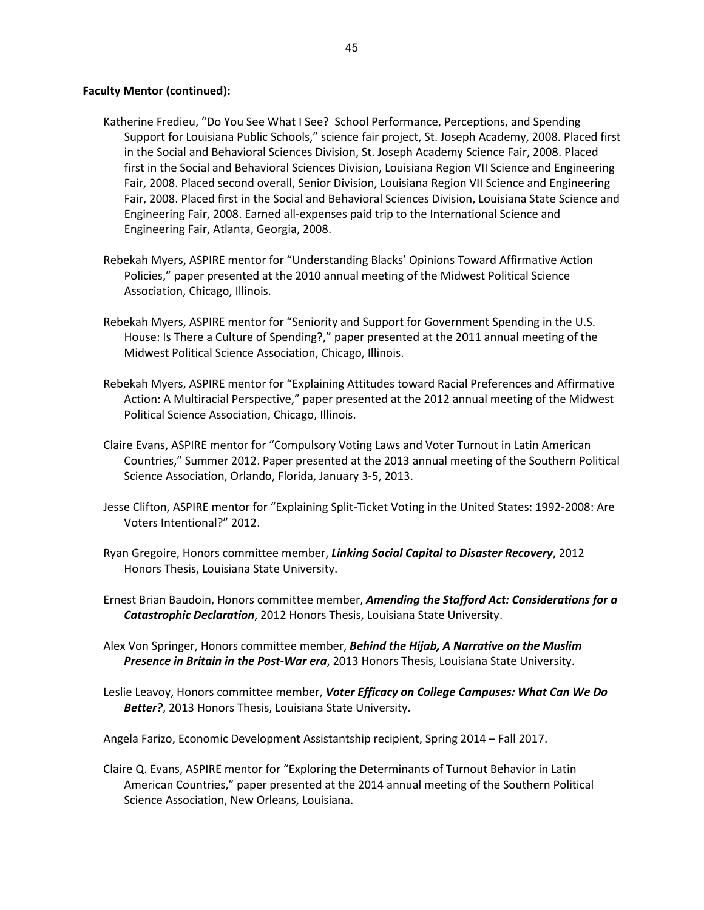# **Faculty Mentor (continued):**

- Katherine Fredieu, "Do You See What I See? School Performance, Perceptions, and Spending Support for Louisiana Public Schools," science fair project, St. Joseph Academy, 2008. Placed first in the Social and Behavioral Sciences Division, St. Joseph Academy Science Fair, 2008. Placed first in the Social and Behavioral Sciences Division, Louisiana Region VII Science and Engineering Fair, 2008. Placed second overall, Senior Division, Louisiana Region VII Science and Engineering Fair, 2008. Placed first in the Social and Behavioral Sciences Division, Louisiana State Science and Engineering Fair, 2008. Earned all-expenses paid trip to the International Science and Engineering Fair, Atlanta, Georgia, 2008.
- Rebekah Myers, ASPIRE mentor for "Understanding Blacks' Opinions Toward Affirmative Action Policies," paper presented at the 2010 annual meeting of the Midwest Political Science Association, Chicago, Illinois.
- Rebekah Myers, ASPIRE mentor for "Seniority and Support for Government Spending in the U.S. House: Is There a Culture of Spending?," paper presented at the 2011 annual meeting of the Midwest Political Science Association, Chicago, Illinois.
- Rebekah Myers, ASPIRE mentor for "Explaining Attitudes toward Racial Preferences and Affirmative Action: A Multiracial Perspective," paper presented at the 2012 annual meeting of the Midwest Political Science Association, Chicago, Illinois.
- Claire Evans, ASPIRE mentor for "Compulsory Voting Laws and Voter Turnout in Latin American Countries," Summer 2012. Paper presented at the 2013 annual meeting of the Southern Political Science Association, Orlando, Florida, January 3-5, 2013.
- Jesse Clifton, ASPIRE mentor for "Explaining Split-Ticket Voting in the United States: 1992-2008: Are Voters Intentional?" 2012.
- Ryan Gregoire, Honors committee member, *Linking Social Capital to Disaster Recovery*, 2012 Honors Thesis, Louisiana State University.
- Ernest Brian Baudoin, Honors committee member, *Amending the Stafford Act: Considerations for a Catastrophic Declaration*, 2012 Honors Thesis, Louisiana State University.
- Alex Von Springer, Honors committee member, *Behind the Hijab, A Narrative on the Muslim Presence in Britain in the Post-War era*, 2013 Honors Thesis, Louisiana State University.
- Leslie Leavoy, Honors committee member, *Voter Efficacy on College Campuses: What Can We Do Better?*, 2013 Honors Thesis, Louisiana State University.

Angela Farizo, Economic Development Assistantship recipient, Spring 2014 – Fall 2017.

Claire Q. Evans, ASPIRE mentor for "Exploring the Determinants of Turnout Behavior in Latin American Countries," paper presented at the 2014 annual meeting of the Southern Political Science Association, New Orleans, Louisiana.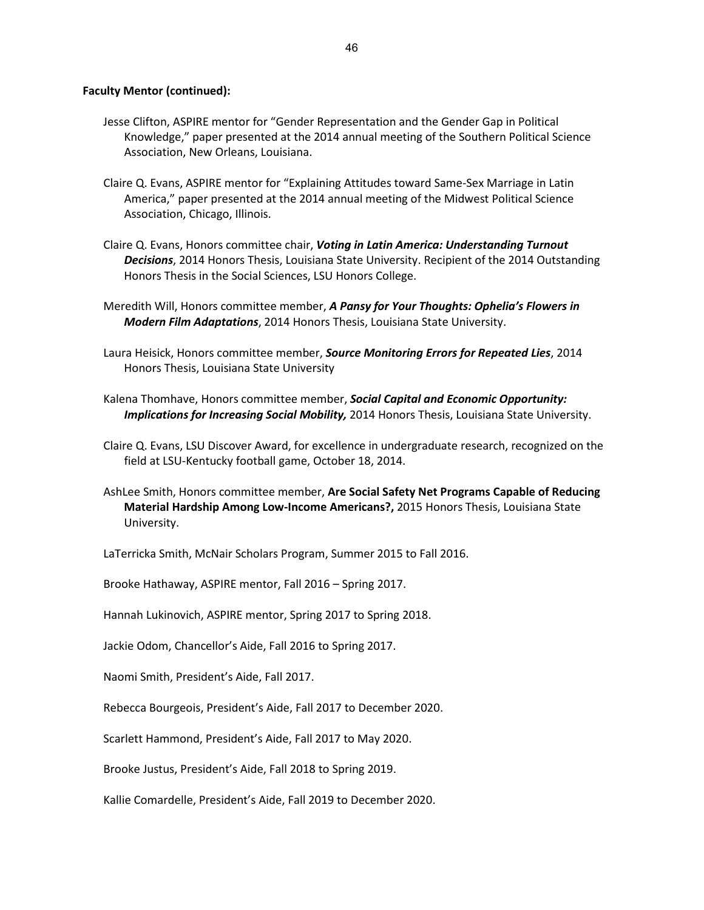## **Faculty Mentor (continued):**

- Jesse Clifton, ASPIRE mentor for "Gender Representation and the Gender Gap in Political Knowledge," paper presented at the 2014 annual meeting of the Southern Political Science Association, New Orleans, Louisiana.
- Claire Q. Evans, ASPIRE mentor for "Explaining Attitudes toward Same-Sex Marriage in Latin America," paper presented at the 2014 annual meeting of the Midwest Political Science Association, Chicago, Illinois.
- Claire Q. Evans, Honors committee chair, *Voting in Latin America: Understanding Turnout Decisions*, 2014 Honors Thesis, Louisiana State University. Recipient of the 2014 Outstanding Honors Thesis in the Social Sciences, LSU Honors College.
- Meredith Will, Honors committee member, *A Pansy for Your Thoughts: Ophelia's Flowers in Modern Film Adaptations*, 2014 Honors Thesis, Louisiana State University.
- Laura Heisick, Honors committee member, *Source Monitoring Errors for Repeated Lies*, 2014 Honors Thesis, Louisiana State University
- Kalena Thomhave, Honors committee member, *Social Capital and Economic Opportunity: Implications for Increasing Social Mobility,* 2014 Honors Thesis, Louisiana State University.
- Claire Q. Evans, LSU Discover Award, for excellence in undergraduate research, recognized on the field at LSU-Kentucky football game, October 18, 2014.
- AshLee Smith, Honors committee member, **Are Social Safety Net Programs Capable of Reducing Material Hardship Among Low-Income Americans?,** 2015 Honors Thesis, Louisiana State University.
- LaTerricka Smith, McNair Scholars Program, Summer 2015 to Fall 2016.

Brooke Hathaway, ASPIRE mentor, Fall 2016 – Spring 2017.

Hannah Lukinovich, ASPIRE mentor, Spring 2017 to Spring 2018.

Jackie Odom, Chancellor's Aide, Fall 2016 to Spring 2017.

Naomi Smith, President's Aide, Fall 2017.

Rebecca Bourgeois, President's Aide, Fall 2017 to December 2020.

Scarlett Hammond, President's Aide, Fall 2017 to May 2020.

Brooke Justus, President's Aide, Fall 2018 to Spring 2019.

Kallie Comardelle, President's Aide, Fall 2019 to December 2020.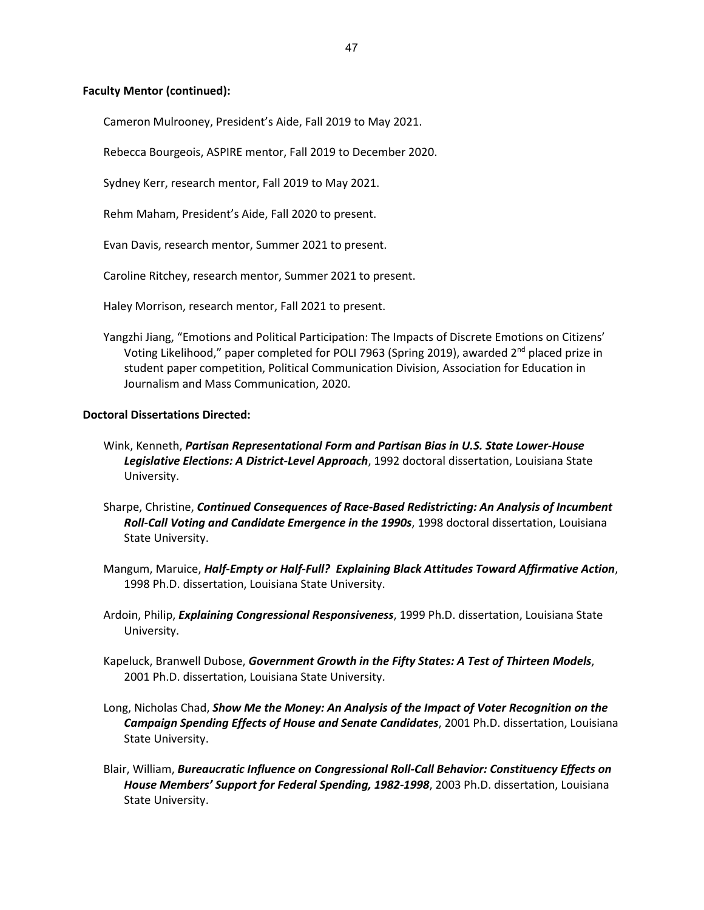# **Faculty Mentor (continued):**

Cameron Mulrooney, President's Aide, Fall 2019 to May 2021.

Rebecca Bourgeois, ASPIRE mentor, Fall 2019 to December 2020.

Sydney Kerr, research mentor, Fall 2019 to May 2021.

Rehm Maham, President's Aide, Fall 2020 to present.

Evan Davis, research mentor, Summer 2021 to present.

Caroline Ritchey, research mentor, Summer 2021 to present.

Haley Morrison, research mentor, Fall 2021 to present.

Yangzhi Jiang, "Emotions and Political Participation: The Impacts of Discrete Emotions on Citizens' Voting Likelihood," paper completed for POLI 7963 (Spring 2019), awarded  $2^{nd}$  placed prize in student paper competition, Political Communication Division, Association for Education in Journalism and Mass Communication, 2020.

## **Doctoral Dissertations Directed:**

- Wink, Kenneth, *Partisan Representational Form and Partisan Bias in U.S. State Lower-House Legislative Elections: A District-Level Approach*, 1992 doctoral dissertation, Louisiana State University.
- Sharpe, Christine, *Continued Consequences of Race-Based Redistricting: An Analysis of Incumbent Roll-Call Voting and Candidate Emergence in the 1990s*, 1998 doctoral dissertation, Louisiana State University.
- Mangum, Maruice, *Half-Empty or Half-Full? Explaining Black Attitudes Toward Affirmative Action*, 1998 Ph.D. dissertation, Louisiana State University.
- Ardoin, Philip, *Explaining Congressional Responsiveness*, 1999 Ph.D. dissertation, Louisiana State University.
- Kapeluck, Branwell Dubose, *Government Growth in the Fifty States: A Test of Thirteen Models*, 2001 Ph.D. dissertation, Louisiana State University.
- Long, Nicholas Chad, *Show Me the Money: An Analysis of the Impact of Voter Recognition on the Campaign Spending Effects of House and Senate Candidates*, 2001 Ph.D. dissertation, Louisiana State University.
- Blair, William, *Bureaucratic Influence on Congressional Roll-Call Behavior: Constituency Effects on House Members' Support for Federal Spending, 1982-1998*, 2003 Ph.D. dissertation, Louisiana State University.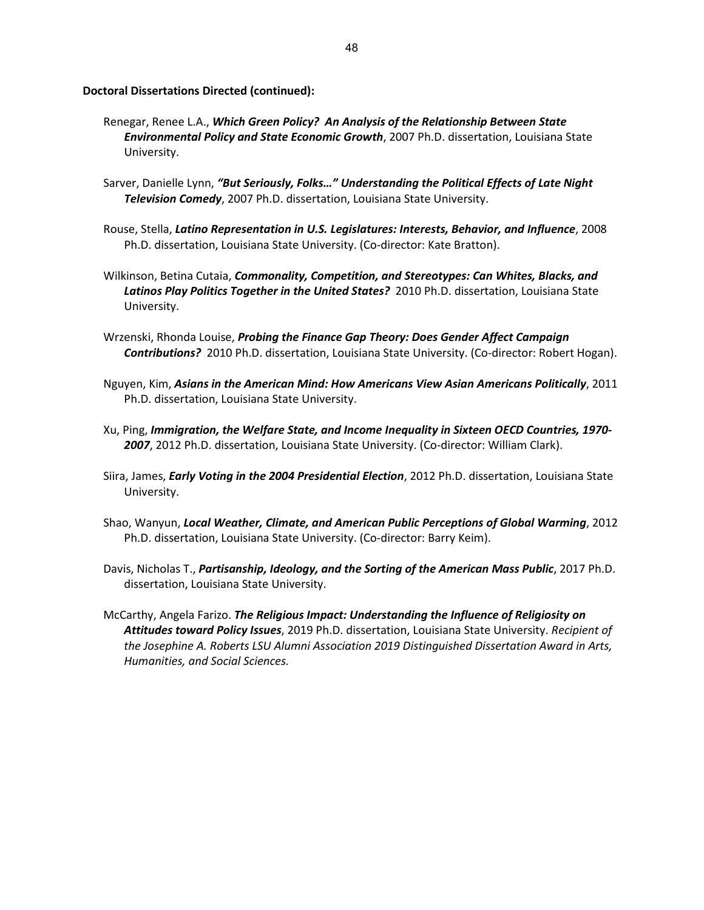**Doctoral Dissertations Directed (continued):**

- Renegar, Renee L.A., *Which Green Policy? An Analysis of the Relationship Between State Environmental Policy and State Economic Growth*, 2007 Ph.D. dissertation, Louisiana State University.
- Sarver, Danielle Lynn, *"But Seriously, Folks…" Understanding the Political Effects of Late Night Television Comedy*, 2007 Ph.D. dissertation, Louisiana State University.
- Rouse, Stella, *Latino Representation in U.S. Legislatures: Interests, Behavior, and Influence*, 2008 Ph.D. dissertation, Louisiana State University. (Co-director: Kate Bratton).
- Wilkinson, Betina Cutaia, *Commonality, Competition, and Stereotypes: Can Whites, Blacks, and Latinos Play Politics Together in the United States?* 2010 Ph.D. dissertation, Louisiana State University.
- Wrzenski, Rhonda Louise, *Probing the Finance Gap Theory: Does Gender Affect Campaign Contributions?* 2010 Ph.D. dissertation, Louisiana State University. (Co-director: Robert Hogan).
- Nguyen, Kim, *Asians in the American Mind: How Americans View Asian Americans Politically*, 2011 Ph.D. dissertation, Louisiana State University.
- Xu, Ping, *Immigration, the Welfare State, and Income Inequality in Sixteen OECD Countries, 1970- 2007*, 2012 Ph.D. dissertation, Louisiana State University. (Co-director: William Clark).
- Siira, James, *Early Voting in the 2004 Presidential Election*, 2012 Ph.D. dissertation, Louisiana State University.
- Shao, Wanyun, *Local Weather, Climate, and American Public Perceptions of Global Warming*, 2012 Ph.D. dissertation, Louisiana State University. (Co-director: Barry Keim).
- Davis, Nicholas T., *Partisanship, Ideology, and the Sorting of the American Mass Public*, 2017 Ph.D. dissertation, Louisiana State University.
- McCarthy, Angela Farizo. *The Religious Impact: Understanding the Influence of Religiosity on Attitudes toward Policy Issues*, 2019 Ph.D. dissertation, Louisiana State University. *Recipient of the Josephine A. Roberts LSU Alumni Association 2019 Distinguished Dissertation Award in Arts, Humanities, and Social Sciences.*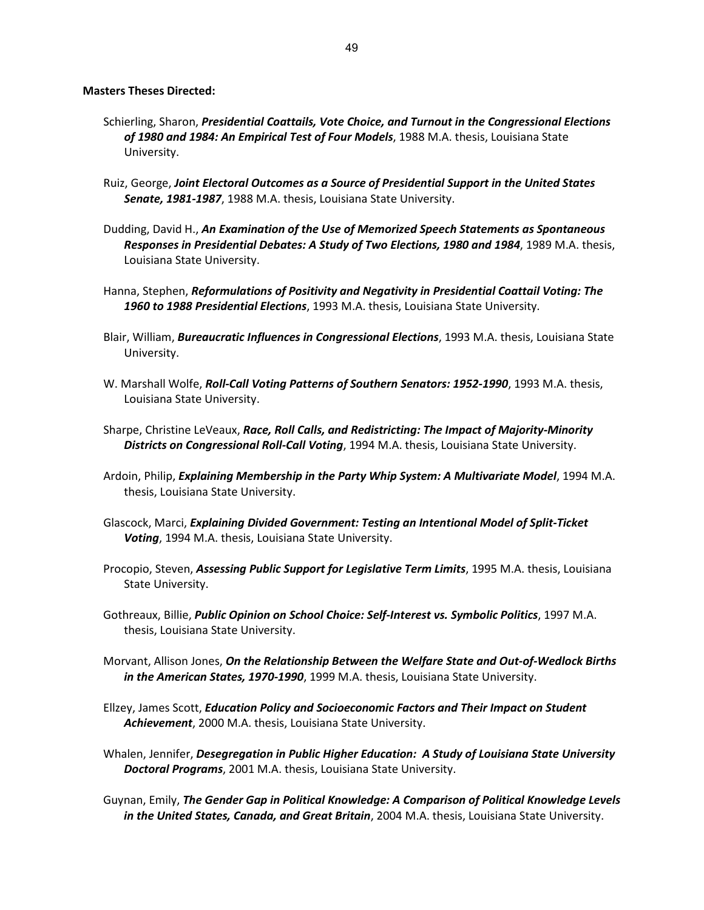### **Masters Theses Directed:**

- Schierling, Sharon, *Presidential Coattails, Vote Choice, and Turnout in the Congressional Elections of 1980 and 1984: An Empirical Test of Four Models*, 1988 M.A. thesis, Louisiana State University.
- Ruiz, George, *Joint Electoral Outcomes as a Source of Presidential Support in the United States Senate, 1981-1987*, 1988 M.A. thesis, Louisiana State University.
- Dudding, David H., *An Examination of the Use of Memorized Speech Statements as Spontaneous Responses in Presidential Debates: A Study of Two Elections, 1980 and 1984*, 1989 M.A. thesis, Louisiana State University.
- Hanna, Stephen, *Reformulations of Positivity and Negativity in Presidential Coattail Voting: The 1960 to 1988 Presidential Elections*, 1993 M.A. thesis, Louisiana State University.
- Blair, William, *Bureaucratic Influences in Congressional Elections*, 1993 M.A. thesis, Louisiana State University.
- W. Marshall Wolfe, *Roll-Call Voting Patterns of Southern Senators: 1952-1990*, 1993 M.A. thesis, Louisiana State University.
- Sharpe, Christine LeVeaux, *Race, Roll Calls, and Redistricting: The Impact of Majority-Minority Districts on Congressional Roll-Call Voting*, 1994 M.A. thesis, Louisiana State University.
- Ardoin, Philip, *Explaining Membership in the Party Whip System: A Multivariate Model*, 1994 M.A. thesis, Louisiana State University.
- Glascock, Marci, *Explaining Divided Government: Testing an Intentional Model of Split-Ticket Voting*, 1994 M.A. thesis, Louisiana State University.
- Procopio, Steven, *Assessing Public Support for Legislative Term Limits*, 1995 M.A. thesis, Louisiana State University.
- Gothreaux, Billie, *Public Opinion on School Choice: Self-Interest vs. Symbolic Politics*, 1997 M.A. thesis, Louisiana State University.
- Morvant, Allison Jones, *On the Relationship Between the Welfare State and Out-of-Wedlock Births in the American States, 1970-1990*, 1999 M.A. thesis, Louisiana State University.
- Ellzey, James Scott, *Education Policy and Socioeconomic Factors and Their Impact on Student Achievement*, 2000 M.A. thesis, Louisiana State University.
- Whalen, Jennifer, *Desegregation in Public Higher Education: A Study of Louisiana State University Doctoral Programs*, 2001 M.A. thesis, Louisiana State University.
- Guynan, Emily, *The Gender Gap in Political Knowledge: A Comparison of Political Knowledge Levels in the United States, Canada, and Great Britain*, 2004 M.A. thesis, Louisiana State University.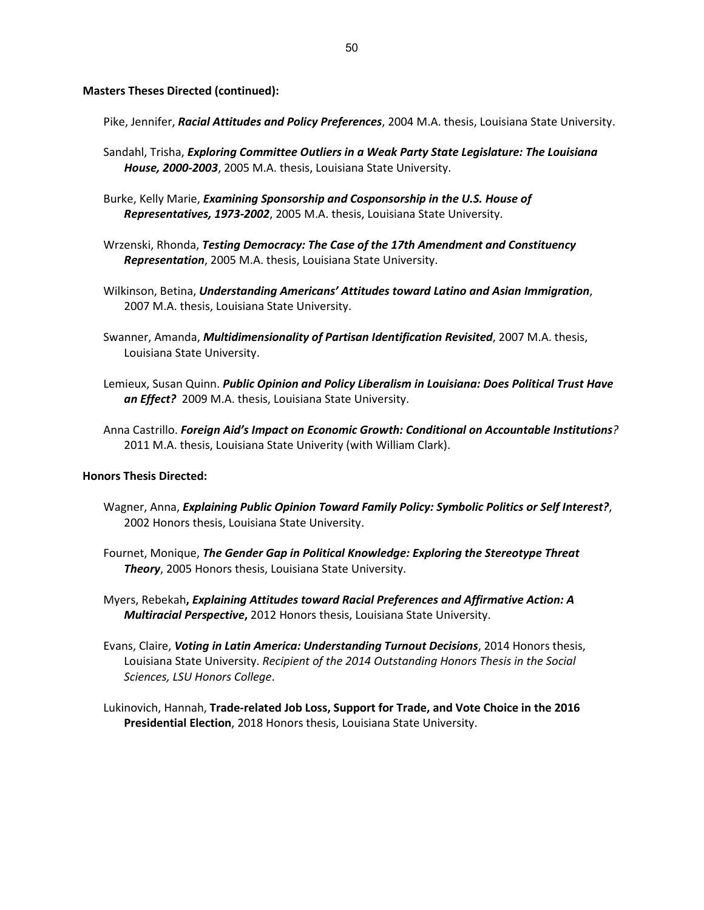**Masters Theses Directed (continued):**

Pike, Jennifer, *Racial Attitudes and Policy Preferences*, 2004 M.A. thesis, Louisiana State University.

- Sandahl, Trisha, *Exploring Committee Outliers in a Weak Party State Legislature: The Louisiana House, 2000-2003*, 2005 M.A. thesis, Louisiana State University.
- Burke, Kelly Marie, *Examining Sponsorship and Cosponsorship in the U.S. House of Representatives, 1973-2002*, 2005 M.A. thesis, Louisiana State University.
- Wrzenski, Rhonda, *Testing Democracy: The Case of the 17th Amendment and Constituency Representation*, 2005 M.A. thesis, Louisiana State University.
- Wilkinson, Betina, *Understanding Americans' Attitudes toward Latino and Asian Immigration*, 2007 M.A. thesis, Louisiana State University.
- Swanner, Amanda, *Multidimensionality of Partisan Identification Revisited*, 2007 M.A. thesis, Louisiana State University.
- Lemieux, Susan Quinn. *Public Opinion and Policy Liberalism in Louisiana: Does Political Trust Have an Effect?* 2009 M.A. thesis, Louisiana State University.
- Anna Castrillo. *Foreign Aid's Impact on Economic Growth: Conditional on Accountable Institutions?* 2011 M.A. thesis, Louisiana State Univerity (with William Clark).

### **Honors Thesis Directed:**

- Wagner, Anna, *Explaining Public Opinion Toward Family Policy: Symbolic Politics or Self Interest?*, 2002 Honors thesis, Louisiana State University.
- Fournet, Monique, *The Gender Gap in Political Knowledge: Exploring the Stereotype Threat Theory*, 2005 Honors thesis, Louisiana State University.
- Myers, Rebekah**,** *Explaining Attitudes toward Racial Preferences and Affirmative Action: A Multiracial Perspective***,** 2012 Honors thesis, Louisiana State University.
- Evans, Claire, *Voting in Latin America: Understanding Turnout Decisions*, 2014 Honors thesis, Louisiana State University. *Recipient of the 2014 Outstanding Honors Thesis in the Social Sciences, LSU Honors College*.
- Lukinovich, Hannah, **Trade-related Job Loss, Support for Trade, and Vote Choice in the 2016 Presidential Election**, 2018 Honors thesis, Louisiana State University.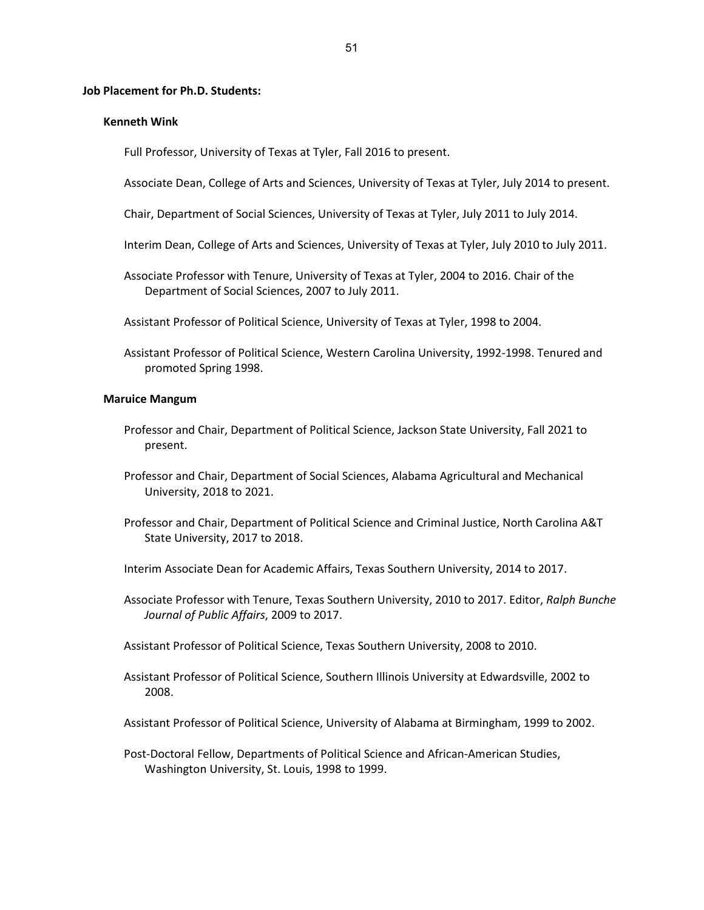#### **Job Placement for Ph.D. Students:**

#### **Kenneth Wink**

Full Professor, University of Texas at Tyler, Fall 2016 to present.

Associate Dean, College of Arts and Sciences, University of Texas at Tyler, July 2014 to present.

Chair, Department of Social Sciences, University of Texas at Tyler, July 2011 to July 2014.

- Interim Dean, College of Arts and Sciences, University of Texas at Tyler, July 2010 to July 2011.
- Associate Professor with Tenure, University of Texas at Tyler, 2004 to 2016. Chair of the Department of Social Sciences, 2007 to July 2011.

Assistant Professor of Political Science, University of Texas at Tyler, 1998 to 2004.

Assistant Professor of Political Science, Western Carolina University, 1992-1998. Tenured and promoted Spring 1998.

## **Maruice Mangum**

- Professor and Chair, Department of Political Science, Jackson State University, Fall 2021 to present.
- Professor and Chair, Department of Social Sciences, Alabama Agricultural and Mechanical University, 2018 to 2021.
- Professor and Chair, Department of Political Science and Criminal Justice, North Carolina A&T State University, 2017 to 2018.

Interim Associate Dean for Academic Affairs, Texas Southern University, 2014 to 2017.

Associate Professor with Tenure, Texas Southern University, 2010 to 2017. Editor, *Ralph Bunche Journal of Public Affairs*, 2009 to 2017.

Assistant Professor of Political Science, Texas Southern University, 2008 to 2010.

Assistant Professor of Political Science, Southern Illinois University at Edwardsville, 2002 to 2008.

Assistant Professor of Political Science, University of Alabama at Birmingham, 1999 to 2002.

Post-Doctoral Fellow, Departments of Political Science and African-American Studies, Washington University, St. Louis, 1998 to 1999.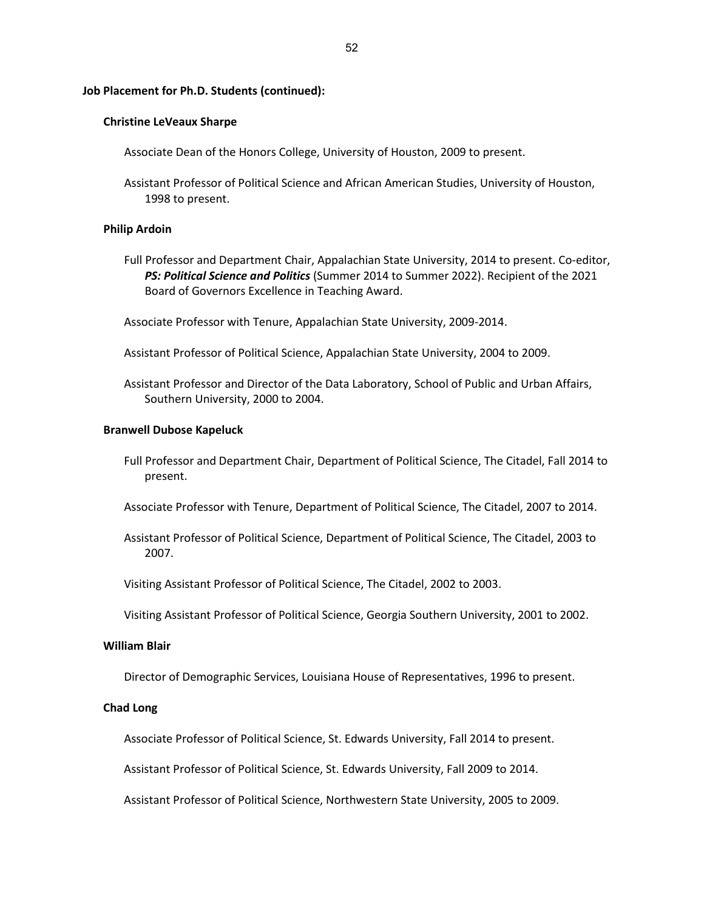### **Christine LeVeaux Sharpe**

Associate Dean of the Honors College, University of Houston, 2009 to present.

Assistant Professor of Political Science and African American Studies, University of Houston, 1998 to present.

#### **Philip Ardoin**

- Full Professor and Department Chair, Appalachian State University, 2014 to present. Co-editor, *PS: Political Science and Politics* (Summer 2014 to Summer 2022). Recipient of the 2021 Board of Governors Excellence in Teaching Award.
- Associate Professor with Tenure, Appalachian State University, 2009-2014.
- Assistant Professor of Political Science, Appalachian State University, 2004 to 2009.
- Assistant Professor and Director of the Data Laboratory, School of Public and Urban Affairs, Southern University, 2000 to 2004.

#### **Branwell Dubose Kapeluck**

- Full Professor and Department Chair, Department of Political Science, The Citadel, Fall 2014 to present.
- Associate Professor with Tenure, Department of Political Science, The Citadel, 2007 to 2014.
- Assistant Professor of Political Science, Department of Political Science, The Citadel, 2003 to 2007.
- Visiting Assistant Professor of Political Science, The Citadel, 2002 to 2003.
- Visiting Assistant Professor of Political Science, Georgia Southern University, 2001 to 2002.

# **William Blair**

Director of Demographic Services, Louisiana House of Representatives, 1996 to present.

# **Chad Long**

Associate Professor of Political Science, St. Edwards University, Fall 2014 to present.

Assistant Professor of Political Science, St. Edwards University, Fall 2009 to 2014.

Assistant Professor of Political Science, Northwestern State University, 2005 to 2009.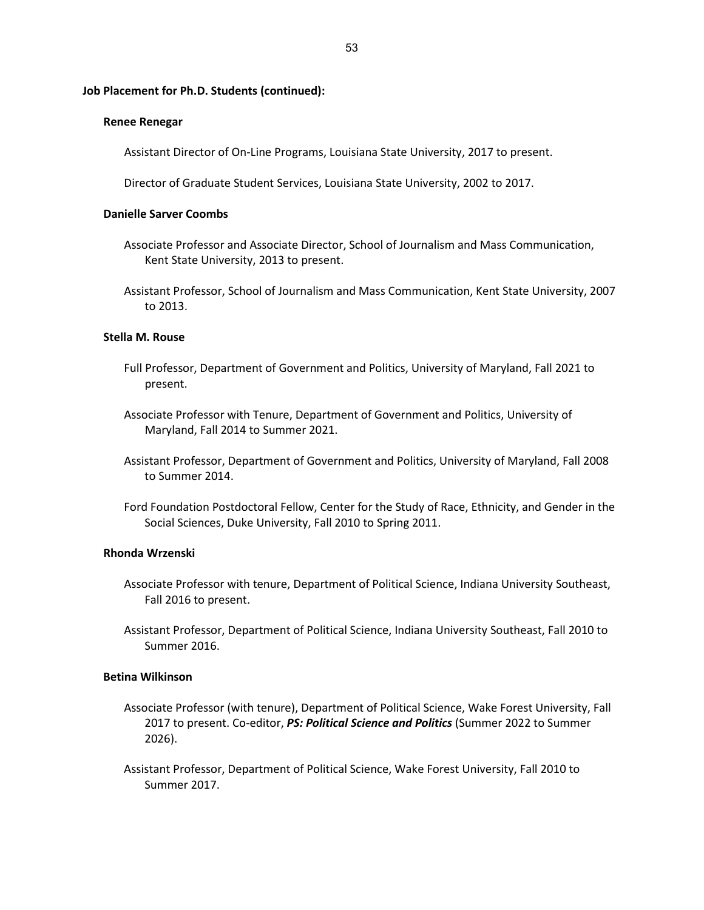### **Renee Renegar**

Assistant Director of On-Line Programs, Louisiana State University, 2017 to present.

Director of Graduate Student Services, Louisiana State University, 2002 to 2017.

### **Danielle Sarver Coombs**

- Associate Professor and Associate Director, School of Journalism and Mass Communication, Kent State University, 2013 to present.
- Assistant Professor, School of Journalism and Mass Communication, Kent State University, 2007 to 2013.

### **Stella M. Rouse**

- Full Professor, Department of Government and Politics, University of Maryland, Fall 2021 to present.
- Associate Professor with Tenure, Department of Government and Politics, University of Maryland, Fall 2014 to Summer 2021.
- Assistant Professor, Department of Government and Politics, University of Maryland, Fall 2008 to Summer 2014.
- Ford Foundation Postdoctoral Fellow, Center for the Study of Race, Ethnicity, and Gender in the Social Sciences, Duke University, Fall 2010 to Spring 2011.

### **Rhonda Wrzenski**

- Associate Professor with tenure, Department of Political Science, Indiana University Southeast, Fall 2016 to present.
- Assistant Professor, Department of Political Science, Indiana University Southeast, Fall 2010 to Summer 2016.

# **Betina Wilkinson**

- Associate Professor (with tenure), Department of Political Science, Wake Forest University, Fall 2017 to present. Co-editor, *PS: Political Science and Politics* (Summer 2022 to Summer 2026).
- Assistant Professor, Department of Political Science, Wake Forest University, Fall 2010 to Summer 2017.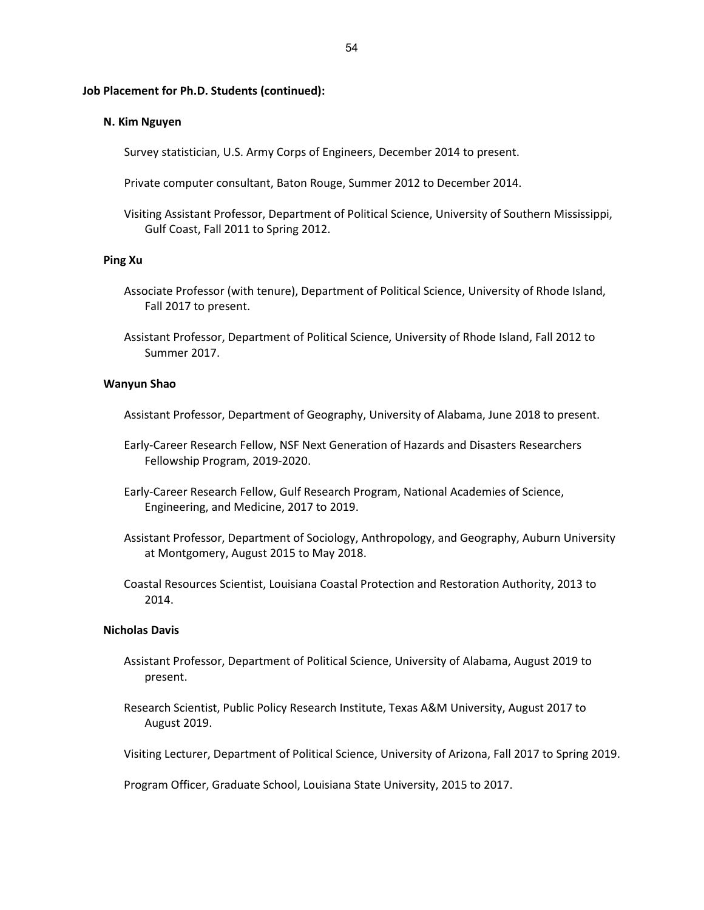### **N. Kim Nguyen**

Survey statistician, U.S. Army Corps of Engineers, December 2014 to present.

Private computer consultant, Baton Rouge, Summer 2012 to December 2014.

Visiting Assistant Professor, Department of Political Science, University of Southern Mississippi, Gulf Coast, Fall 2011 to Spring 2012.

## **Ping Xu**

- Associate Professor (with tenure), Department of Political Science, University of Rhode Island, Fall 2017 to present.
- Assistant Professor, Department of Political Science, University of Rhode Island, Fall 2012 to Summer 2017.

### **Wanyun Shao**

Assistant Professor, Department of Geography, University of Alabama, June 2018 to present.

- Early-Career Research Fellow, NSF Next Generation of Hazards and Disasters Researchers Fellowship Program, 2019-2020.
- Early-Career Research Fellow, Gulf Research Program, National Academies of Science, Engineering, and Medicine, 2017 to 2019.
- Assistant Professor, Department of Sociology, Anthropology, and Geography, Auburn University at Montgomery, August 2015 to May 2018.
- Coastal Resources Scientist, Louisiana Coastal Protection and Restoration Authority, 2013 to 2014.

#### **Nicholas Davis**

- Assistant Professor, Department of Political Science, University of Alabama, August 2019 to present.
- Research Scientist, Public Policy Research Institute, Texas A&M University, August 2017 to August 2019.

Visiting Lecturer, Department of Political Science, University of Arizona, Fall 2017 to Spring 2019.

Program Officer, Graduate School, Louisiana State University, 2015 to 2017.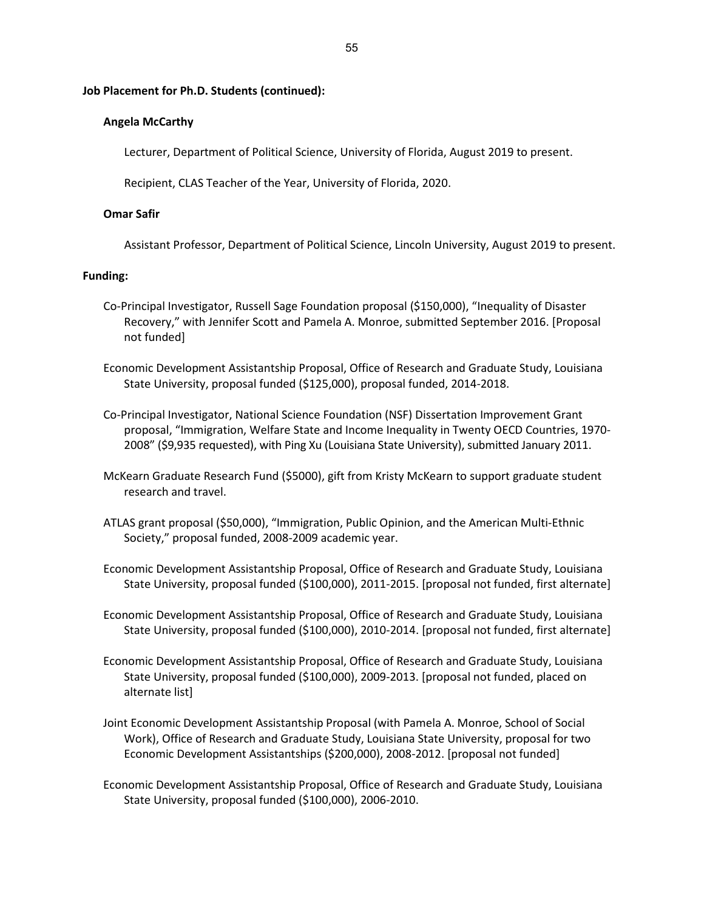# **Angela McCarthy**

Lecturer, Department of Political Science, University of Florida, August 2019 to present.

Recipient, CLAS Teacher of the Year, University of Florida, 2020.

### **Omar Safir**

Assistant Professor, Department of Political Science, Lincoln University, August 2019 to present.

#### **Funding:**

- Co-Principal Investigator, Russell Sage Foundation proposal (\$150,000), "Inequality of Disaster Recovery," with Jennifer Scott and Pamela A. Monroe, submitted September 2016. [Proposal not funded]
- Economic Development Assistantship Proposal, Office of Research and Graduate Study, Louisiana State University, proposal funded (\$125,000), proposal funded, 2014-2018.
- Co-Principal Investigator, National Science Foundation (NSF) Dissertation Improvement Grant proposal, "Immigration, Welfare State and Income Inequality in Twenty OECD Countries, 1970- 2008" (\$9,935 requested), with Ping Xu (Louisiana State University), submitted January 2011.
- McKearn Graduate Research Fund (\$5000), gift from Kristy McKearn to support graduate student research and travel.
- ATLAS grant proposal (\$50,000), "Immigration, Public Opinion, and the American Multi-Ethnic Society," proposal funded, 2008-2009 academic year.
- Economic Development Assistantship Proposal, Office of Research and Graduate Study, Louisiana State University, proposal funded (\$100,000), 2011-2015. [proposal not funded, first alternate]
- Economic Development Assistantship Proposal, Office of Research and Graduate Study, Louisiana State University, proposal funded (\$100,000), 2010-2014. [proposal not funded, first alternate]
- Economic Development Assistantship Proposal, Office of Research and Graduate Study, Louisiana State University, proposal funded (\$100,000), 2009-2013. [proposal not funded, placed on alternate list]
- Joint Economic Development Assistantship Proposal (with Pamela A. Monroe, School of Social Work), Office of Research and Graduate Study, Louisiana State University, proposal for two Economic Development Assistantships (\$200,000), 2008-2012. [proposal not funded]
- Economic Development Assistantship Proposal, Office of Research and Graduate Study, Louisiana State University, proposal funded (\$100,000), 2006-2010.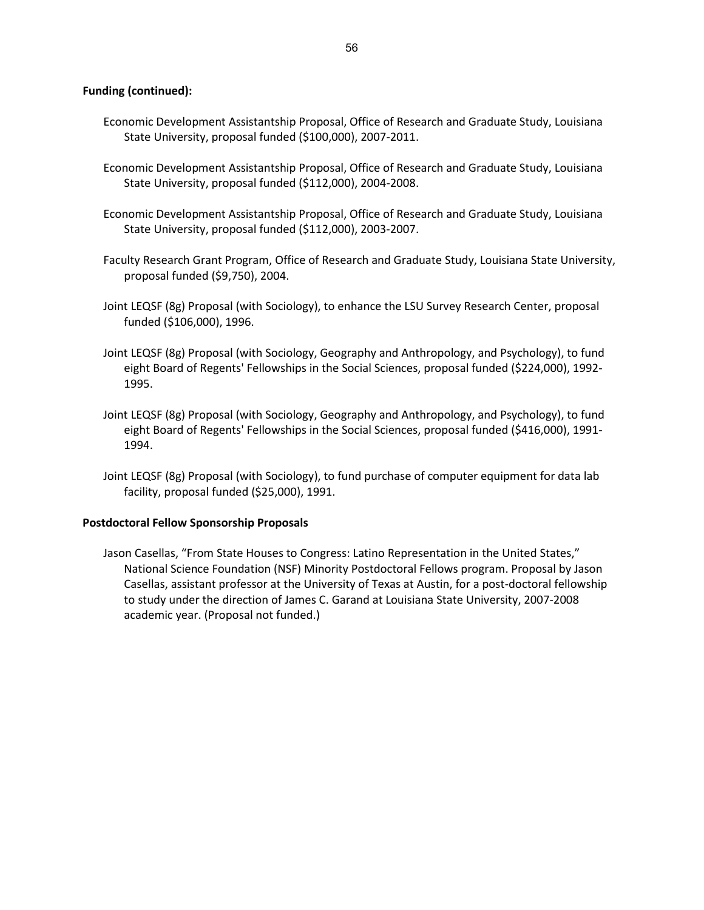# **Funding (continued):**

- Economic Development Assistantship Proposal, Office of Research and Graduate Study, Louisiana State University, proposal funded (\$100,000), 2007-2011.
- Economic Development Assistantship Proposal, Office of Research and Graduate Study, Louisiana State University, proposal funded (\$112,000), 2004-2008.
- Economic Development Assistantship Proposal, Office of Research and Graduate Study, Louisiana State University, proposal funded (\$112,000), 2003-2007.
- Faculty Research Grant Program, Office of Research and Graduate Study, Louisiana State University, proposal funded (\$9,750), 2004.
- Joint LEQSF (8g) Proposal (with Sociology), to enhance the LSU Survey Research Center, proposal funded (\$106,000), 1996.
- Joint LEQSF (8g) Proposal (with Sociology, Geography and Anthropology, and Psychology), to fund eight Board of Regents' Fellowships in the Social Sciences, proposal funded (\$224,000), 1992- 1995.
- Joint LEQSF (8g) Proposal (with Sociology, Geography and Anthropology, and Psychology), to fund eight Board of Regents' Fellowships in the Social Sciences, proposal funded (\$416,000), 1991- 1994.
- Joint LEQSF (8g) Proposal (with Sociology), to fund purchase of computer equipment for data lab facility, proposal funded (\$25,000), 1991.

# **Postdoctoral Fellow Sponsorship Proposals**

Jason Casellas, "From State Houses to Congress: Latino Representation in the United States," National Science Foundation (NSF) Minority Postdoctoral Fellows program. Proposal by Jason Casellas, assistant professor at the University of Texas at Austin, for a post-doctoral fellowship to study under the direction of James C. Garand at Louisiana State University, 2007-2008 academic year. (Proposal not funded.)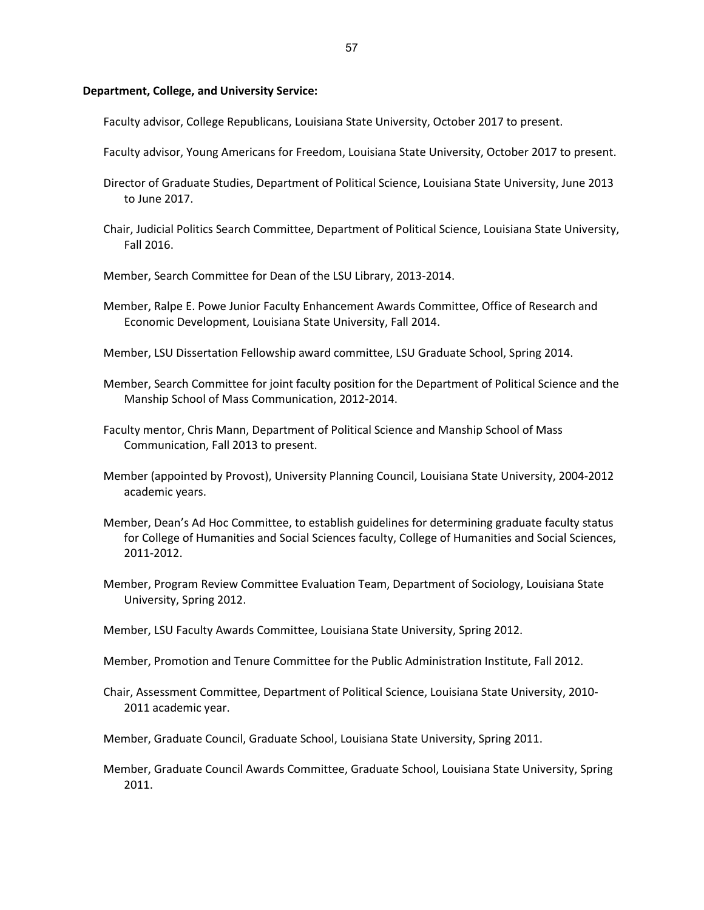#### **Department, College, and University Service:**

Faculty advisor, College Republicans, Louisiana State University, October 2017 to present.

- Faculty advisor, Young Americans for Freedom, Louisiana State University, October 2017 to present.
- Director of Graduate Studies, Department of Political Science, Louisiana State University, June 2013 to June 2017.
- Chair, Judicial Politics Search Committee, Department of Political Science, Louisiana State University, Fall 2016.
- Member, Search Committee for Dean of the LSU Library, 2013-2014.
- Member, Ralpe E. Powe Junior Faculty Enhancement Awards Committee, Office of Research and Economic Development, Louisiana State University, Fall 2014.
- Member, LSU Dissertation Fellowship award committee, LSU Graduate School, Spring 2014.
- Member, Search Committee for joint faculty position for the Department of Political Science and the Manship School of Mass Communication, 2012-2014.
- Faculty mentor, Chris Mann, Department of Political Science and Manship School of Mass Communication, Fall 2013 to present.
- Member (appointed by Provost), University Planning Council, Louisiana State University, 2004-2012 academic years.
- Member, Dean's Ad Hoc Committee, to establish guidelines for determining graduate faculty status for College of Humanities and Social Sciences faculty, College of Humanities and Social Sciences, 2011-2012.
- Member, Program Review Committee Evaluation Team, Department of Sociology, Louisiana State University, Spring 2012.
- Member, LSU Faculty Awards Committee, Louisiana State University, Spring 2012.
- Member, Promotion and Tenure Committee for the Public Administration Institute, Fall 2012.
- Chair, Assessment Committee, Department of Political Science, Louisiana State University, 2010- 2011 academic year.
- Member, Graduate Council, Graduate School, Louisiana State University, Spring 2011.
- Member, Graduate Council Awards Committee, Graduate School, Louisiana State University, Spring 2011.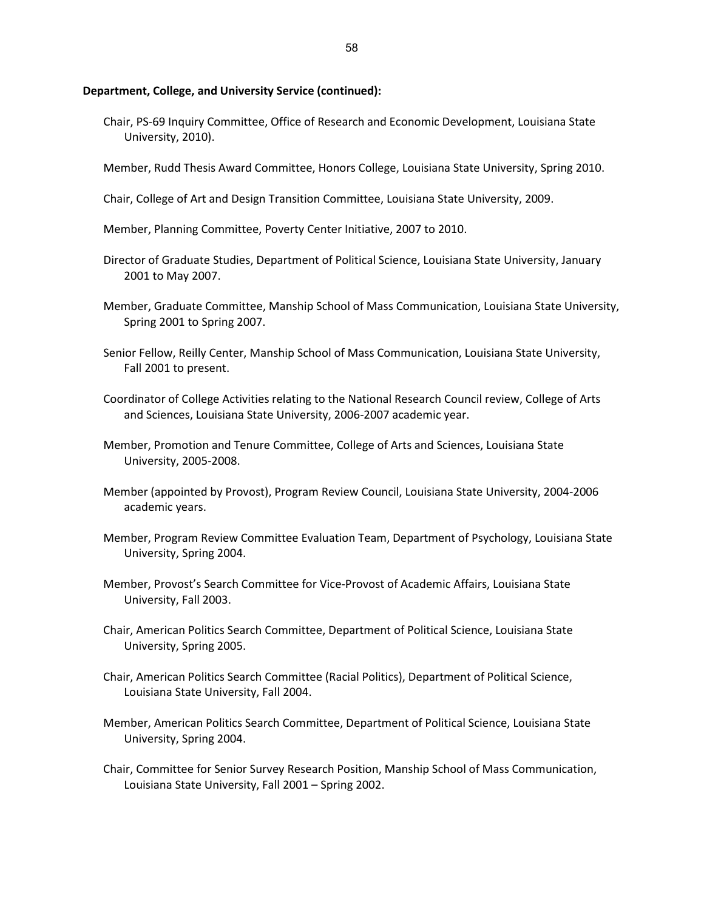#### **Department, College, and University Service (continued):**

- Chair, PS-69 Inquiry Committee, Office of Research and Economic Development, Louisiana State University, 2010).
- Member, Rudd Thesis Award Committee, Honors College, Louisiana State University, Spring 2010.
- Chair, College of Art and Design Transition Committee, Louisiana State University, 2009.
- Member, Planning Committee, Poverty Center Initiative, 2007 to 2010.
- Director of Graduate Studies, Department of Political Science, Louisiana State University, January 2001 to May 2007.
- Member, Graduate Committee, Manship School of Mass Communication, Louisiana State University, Spring 2001 to Spring 2007.
- Senior Fellow, Reilly Center, Manship School of Mass Communication, Louisiana State University, Fall 2001 to present.
- Coordinator of College Activities relating to the National Research Council review, College of Arts and Sciences, Louisiana State University, 2006-2007 academic year.
- Member, Promotion and Tenure Committee, College of Arts and Sciences, Louisiana State University, 2005-2008.
- Member (appointed by Provost), Program Review Council, Louisiana State University, 2004-2006 academic years.
- Member, Program Review Committee Evaluation Team, Department of Psychology, Louisiana State University, Spring 2004.
- Member, Provost's Search Committee for Vice-Provost of Academic Affairs, Louisiana State University, Fall 2003.
- Chair, American Politics Search Committee, Department of Political Science, Louisiana State University, Spring 2005.
- Chair, American Politics Search Committee (Racial Politics), Department of Political Science, Louisiana State University, Fall 2004.
- Member, American Politics Search Committee, Department of Political Science, Louisiana State University, Spring 2004.
- Chair, Committee for Senior Survey Research Position, Manship School of Mass Communication, Louisiana State University, Fall 2001 – Spring 2002.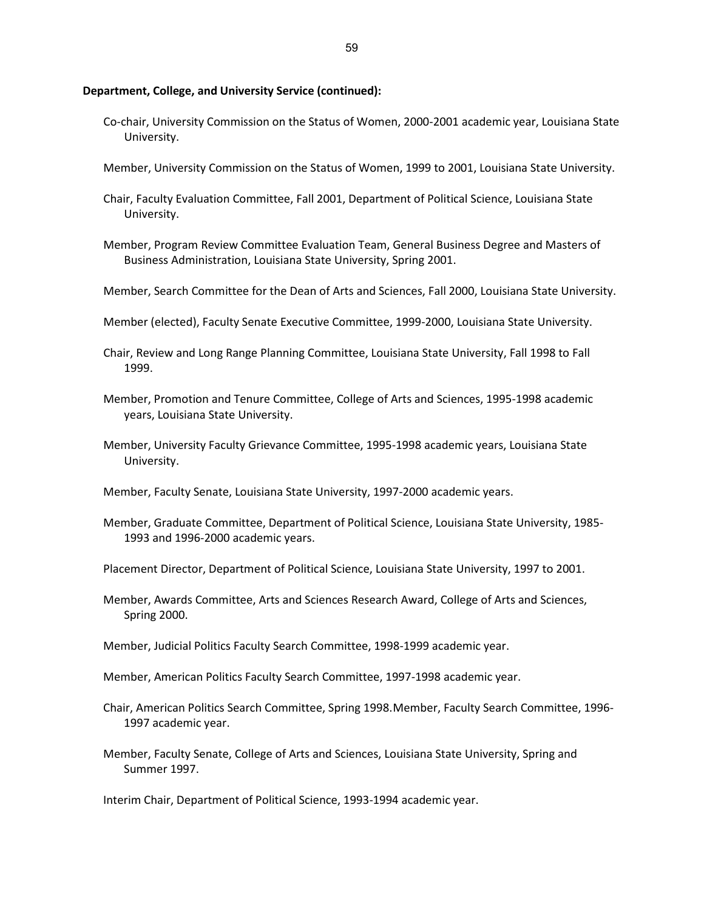#### **Department, College, and University Service (continued):**

- Co-chair, University Commission on the Status of Women, 2000-2001 academic year, Louisiana State University.
- Member, University Commission on the Status of Women, 1999 to 2001, Louisiana State University.
- Chair, Faculty Evaluation Committee, Fall 2001, Department of Political Science, Louisiana State University.
- Member, Program Review Committee Evaluation Team, General Business Degree and Masters of Business Administration, Louisiana State University, Spring 2001.
- Member, Search Committee for the Dean of Arts and Sciences, Fall 2000, Louisiana State University.
- Member (elected), Faculty Senate Executive Committee, 1999-2000, Louisiana State University.
- Chair, Review and Long Range Planning Committee, Louisiana State University, Fall 1998 to Fall 1999.
- Member, Promotion and Tenure Committee, College of Arts and Sciences, 1995-1998 academic years, Louisiana State University.
- Member, University Faculty Grievance Committee, 1995-1998 academic years, Louisiana State University.
- Member, Faculty Senate, Louisiana State University, 1997-2000 academic years.
- Member, Graduate Committee, Department of Political Science, Louisiana State University, 1985- 1993 and 1996-2000 academic years.
- Placement Director, Department of Political Science, Louisiana State University, 1997 to 2001.
- Member, Awards Committee, Arts and Sciences Research Award, College of Arts and Sciences, Spring 2000.
- Member, Judicial Politics Faculty Search Committee, 1998-1999 academic year.
- Member, American Politics Faculty Search Committee, 1997-1998 academic year.
- Chair, American Politics Search Committee, Spring 1998.Member, Faculty Search Committee, 1996- 1997 academic year.
- Member, Faculty Senate, College of Arts and Sciences, Louisiana State University, Spring and Summer 1997.

Interim Chair, Department of Political Science, 1993-1994 academic year.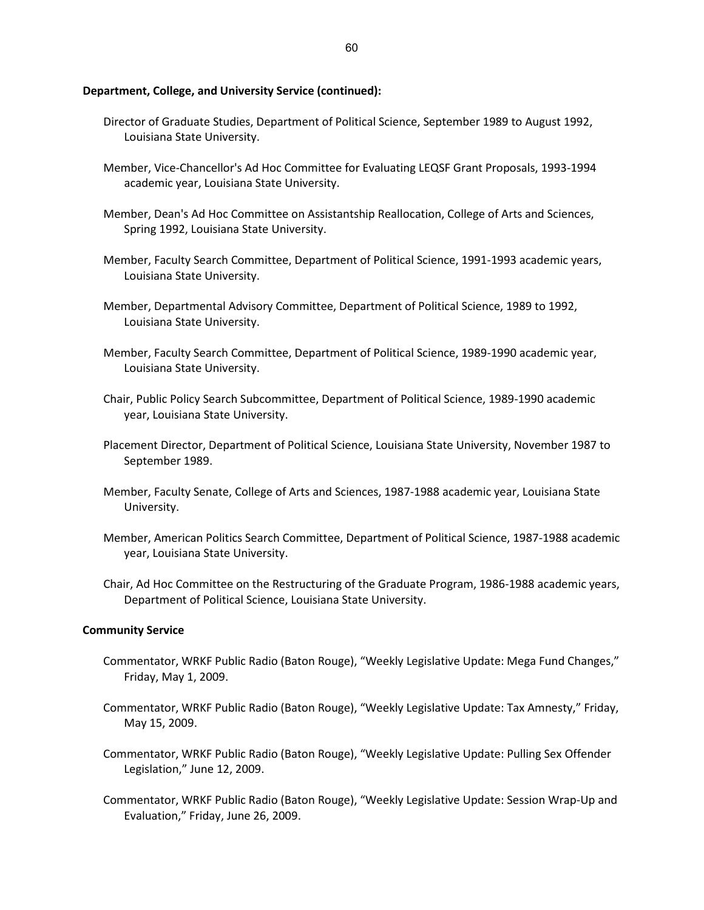### **Department, College, and University Service (continued):**

- Director of Graduate Studies, Department of Political Science, September 1989 to August 1992, Louisiana State University.
- Member, Vice-Chancellor's Ad Hoc Committee for Evaluating LEQSF Grant Proposals, 1993-1994 academic year, Louisiana State University.
- Member, Dean's Ad Hoc Committee on Assistantship Reallocation, College of Arts and Sciences, Spring 1992, Louisiana State University.
- Member, Faculty Search Committee, Department of Political Science, 1991-1993 academic years, Louisiana State University.
- Member, Departmental Advisory Committee, Department of Political Science, 1989 to 1992, Louisiana State University.
- Member, Faculty Search Committee, Department of Political Science, 1989-1990 academic year, Louisiana State University.
- Chair, Public Policy Search Subcommittee, Department of Political Science, 1989-1990 academic year, Louisiana State University.
- Placement Director, Department of Political Science, Louisiana State University, November 1987 to September 1989.
- Member, Faculty Senate, College of Arts and Sciences, 1987-1988 academic year, Louisiana State University.
- Member, American Politics Search Committee, Department of Political Science, 1987-1988 academic year, Louisiana State University.
- Chair, Ad Hoc Committee on the Restructuring of the Graduate Program, 1986-1988 academic years, Department of Political Science, Louisiana State University.

#### **Community Service**

- Commentator, WRKF Public Radio (Baton Rouge), "Weekly Legislative Update: Mega Fund Changes," Friday, May 1, 2009.
- Commentator, WRKF Public Radio (Baton Rouge), "Weekly Legislative Update: Tax Amnesty," Friday, May 15, 2009.
- Commentator, WRKF Public Radio (Baton Rouge), "Weekly Legislative Update: Pulling Sex Offender Legislation," June 12, 2009.
- Commentator, WRKF Public Radio (Baton Rouge), "Weekly Legislative Update: Session Wrap-Up and Evaluation," Friday, June 26, 2009.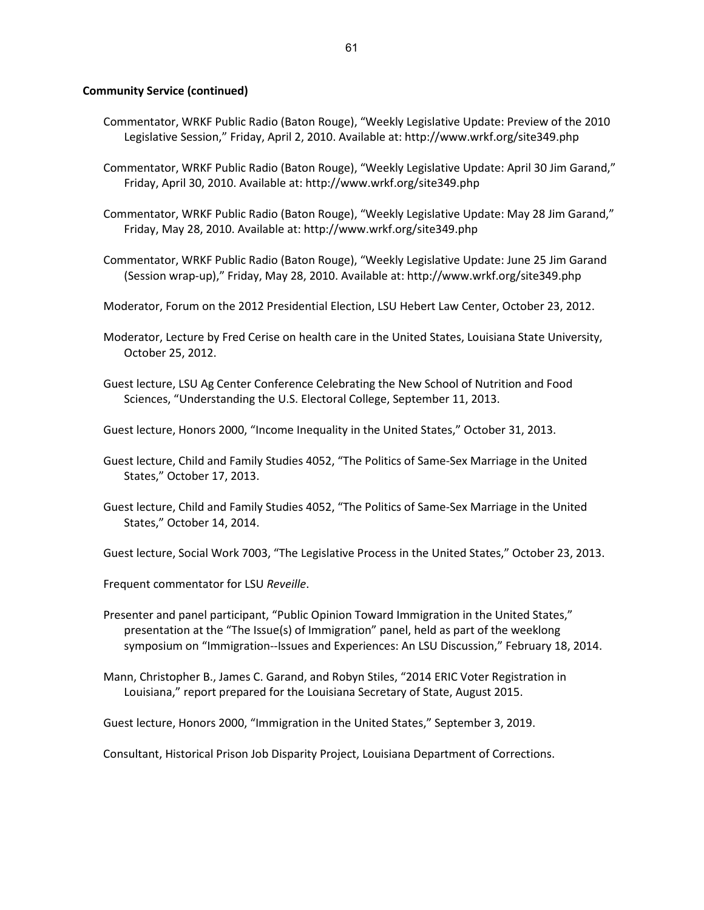## **Community Service (continued)**

- Commentator, WRKF Public Radio (Baton Rouge), "Weekly Legislative Update: Preview of the 2010 Legislative Session," Friday, April 2, 2010. Available at: http://www.wrkf.org/site349.php
- Commentator, WRKF Public Radio (Baton Rouge), "Weekly Legislative Update: April 30 Jim Garand," Friday, April 30, 2010. Available at: http://www.wrkf.org/site349.php
- Commentator, WRKF Public Radio (Baton Rouge), "Weekly Legislative Update: May 28 Jim Garand," Friday, May 28, 2010. Available at: http://www.wrkf.org/site349.php
- Commentator, WRKF Public Radio (Baton Rouge), "Weekly Legislative Update: June 25 Jim Garand (Session wrap-up)," Friday, May 28, 2010. Available at: http://www.wrkf.org/site349.php
- Moderator, Forum on the 2012 Presidential Election, LSU Hebert Law Center, October 23, 2012.
- Moderator, Lecture by Fred Cerise on health care in the United States, Louisiana State University, October 25, 2012.
- Guest lecture, LSU Ag Center Conference Celebrating the New School of Nutrition and Food Sciences, "Understanding the U.S. Electoral College, September 11, 2013.
- Guest lecture, Honors 2000, "Income Inequality in the United States," October 31, 2013.
- Guest lecture, Child and Family Studies 4052, "The Politics of Same-Sex Marriage in the United States," October 17, 2013.
- Guest lecture, Child and Family Studies 4052, "The Politics of Same-Sex Marriage in the United States," October 14, 2014.

Guest lecture, Social Work 7003, "The Legislative Process in the United States," October 23, 2013.

- Frequent commentator for LSU *Reveille*.
- Presenter and panel participant, "Public Opinion Toward Immigration in the United States," presentation at the "The Issue(s) of Immigration" panel, held as part of the weeklong symposium on "Immigration--Issues and Experiences: An LSU Discussion," February 18, 2014.
- Mann, Christopher B., James C. Garand, and Robyn Stiles, "2014 ERIC Voter Registration in Louisiana," report prepared for the Louisiana Secretary of State, August 2015.

Guest lecture, Honors 2000, "Immigration in the United States," September 3, 2019.

Consultant, Historical Prison Job Disparity Project, Louisiana Department of Corrections.